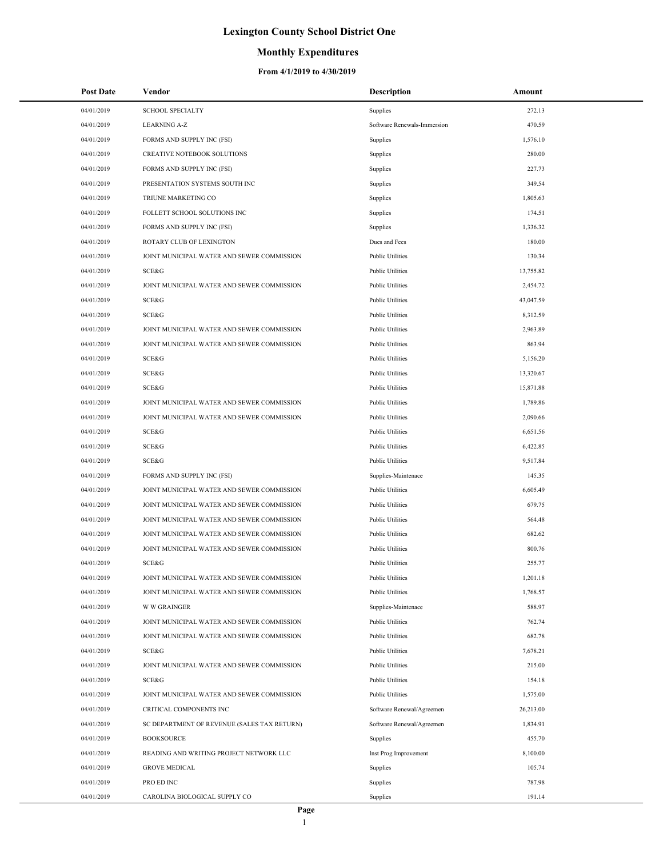## **Monthly Expenditures**

| <b>Post Date</b>         | Vendor                                      | <b>Description</b>          | Amount           |
|--------------------------|---------------------------------------------|-----------------------------|------------------|
| 04/01/2019               | <b>SCHOOL SPECIALTY</b>                     | Supplies                    | 272.13           |
| 04/01/2019               | <b>LEARNING A-Z</b>                         | Software Renewals-Immersion | 470.59           |
| 04/01/2019               | FORMS AND SUPPLY INC (FSI)                  | Supplies                    | 1,576.10         |
| 04/01/2019               | CREATIVE NOTEBOOK SOLUTIONS                 | Supplies                    | 280.00           |
| 04/01/2019               | FORMS AND SUPPLY INC (FSI)                  | Supplies                    | 227.73           |
| 04/01/2019               | PRESENTATION SYSTEMS SOUTH INC              | Supplies                    | 349.54           |
| 04/01/2019               | TRIUNE MARKETING CO                         | Supplies                    | 1,805.63         |
| 04/01/2019               | FOLLETT SCHOOL SOLUTIONS INC                | Supplies                    | 174.51           |
| 04/01/2019               | FORMS AND SUPPLY INC (FSI)                  | Supplies                    | 1,336.32         |
| 04/01/2019               | ROTARY CLUB OF LEXINGTON                    | Dues and Fees               | 180.00           |
| 04/01/2019               | JOINT MUNICIPAL WATER AND SEWER COMMISSION  | <b>Public Utilities</b>     | 130.34           |
| 04/01/2019               | SCE&G                                       | <b>Public Utilities</b>     | 13,755.82        |
| 04/01/2019               | JOINT MUNICIPAL WATER AND SEWER COMMISSION  | <b>Public Utilities</b>     | 2,454.72         |
| 04/01/2019               | SCE&G                                       | <b>Public Utilities</b>     | 43,047.59        |
| 04/01/2019               | SCE&G                                       | <b>Public Utilities</b>     | 8,312.59         |
| 04/01/2019               | JOINT MUNICIPAL WATER AND SEWER COMMISSION  | <b>Public Utilities</b>     | 2,963.89         |
| 04/01/2019               | JOINT MUNICIPAL WATER AND SEWER COMMISSION  | <b>Public Utilities</b>     | 863.94           |
| 04/01/2019               | SCE&G                                       | <b>Public Utilities</b>     | 5,156.20         |
| 04/01/2019               | SCE&G                                       | <b>Public Utilities</b>     | 13,320.67        |
| 04/01/2019               | SCE&G                                       | <b>Public Utilities</b>     | 15,871.88        |
| 04/01/2019               | JOINT MUNICIPAL WATER AND SEWER COMMISSION  | <b>Public Utilities</b>     | 1,789.86         |
| 04/01/2019               | JOINT MUNICIPAL WATER AND SEWER COMMISSION  | <b>Public Utilities</b>     | 2,090.66         |
| 04/01/2019               | SCE&G                                       | <b>Public Utilities</b>     | 6,651.56         |
| 04/01/2019               | SCE&G                                       | <b>Public Utilities</b>     | 6,422.85         |
| 04/01/2019               | SCE&G                                       | <b>Public Utilities</b>     | 9,517.84         |
| 04/01/2019               | FORMS AND SUPPLY INC (FSI)                  | Supplies-Maintenace         | 145.35           |
| 04/01/2019               | JOINT MUNICIPAL WATER AND SEWER COMMISSION  | <b>Public Utilities</b>     | 6,605.49         |
| 04/01/2019               | JOINT MUNICIPAL WATER AND SEWER COMMISSION  | <b>Public Utilities</b>     | 679.75           |
| 04/01/2019               | JOINT MUNICIPAL WATER AND SEWER COMMISSION  | <b>Public Utilities</b>     | 564.48           |
| 04/01/2019               | JOINT MUNICIPAL WATER AND SEWER COMMISSION  | <b>Public Utilities</b>     | 682.62           |
| 04/01/2019               | JOINT MUNICIPAL WATER AND SEWER COMMISSION  | <b>Public Utilities</b>     | 800.76           |
| 04/01/2019               | SCE&G                                       | <b>Public Utilities</b>     | 255.77           |
| 04/01/2019               | JOINT MUNICIPAL WATER AND SEWER COMMISSION  | <b>Public Utilities</b>     | 1,201.18         |
| 04/01/2019               | JOINT MUNICIPAL WATER AND SEWER COMMISSION  | <b>Public Utilities</b>     | 1,768.57         |
| 04/01/2019               | <b>W W GRAINGER</b>                         | Supplies-Maintenace         | 588.97           |
| 04/01/2019               | JOINT MUNICIPAL WATER AND SEWER COMMISSION  | <b>Public Utilities</b>     | 762.74           |
| 04/01/2019               | JOINT MUNICIPAL WATER AND SEWER COMMISSION  | <b>Public Utilities</b>     | 682.78           |
| 04/01/2019               | SCE&G                                       | <b>Public Utilities</b>     | 7,678.21         |
| 04/01/2019               | JOINT MUNICIPAL WATER AND SEWER COMMISSION  | <b>Public Utilities</b>     | 215.00           |
| 04/01/2019               | SCE&G                                       | <b>Public Utilities</b>     | 154.18           |
| 04/01/2019               | JOINT MUNICIPAL WATER AND SEWER COMMISSION  | <b>Public Utilities</b>     | 1,575.00         |
| 04/01/2019               | CRITICAL COMPONENTS INC                     | Software Renewal/Agreemen   | 26,213.00        |
| 04/01/2019               | SC DEPARTMENT OF REVENUE (SALES TAX RETURN) | Software Renewal/Agreemen   | 1,834.91         |
| 04/01/2019               | <b>BOOKSOURCE</b>                           | Supplies                    | 455.70           |
| 04/01/2019               | READING AND WRITING PROJECT NETWORK LLC     | Inst Prog Improvement       | 8,100.00         |
| 04/01/2019<br>04/01/2019 | <b>GROVE MEDICAL</b><br>PRO ED INC          | Supplies<br>Supplies        | 105.74<br>787.98 |
| 04/01/2019               | CAROLINA BIOLOGICAL SUPPLY CO               | Supplies                    | 191.14           |
|                          |                                             |                             |                  |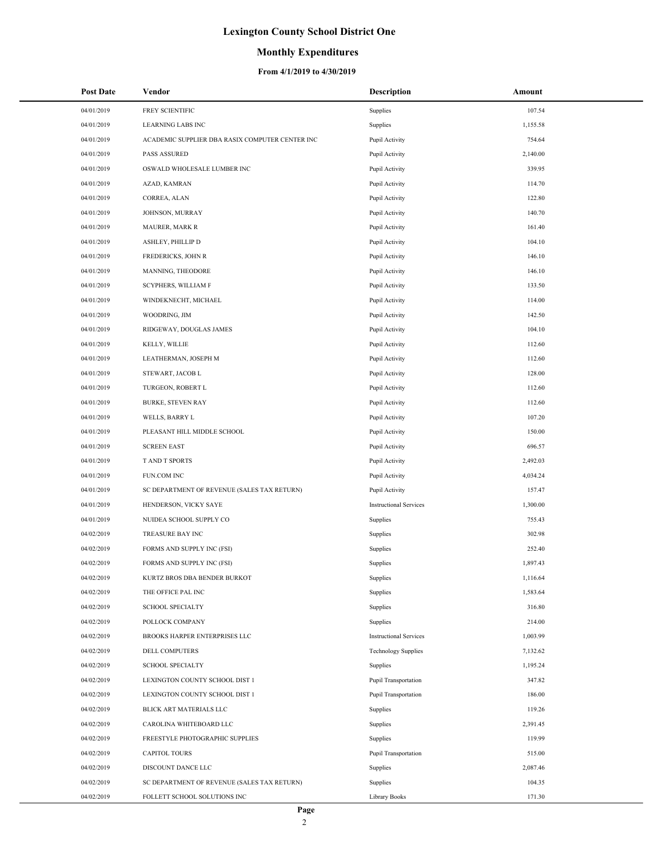### **Monthly Expenditures**

| <b>Post Date</b> | Vendor                                          | <b>Description</b>            | Amount   |
|------------------|-------------------------------------------------|-------------------------------|----------|
| 04/01/2019       | FREY SCIENTIFIC                                 | Supplies                      | 107.54   |
| 04/01/2019       | <b>LEARNING LABS INC</b>                        | Supplies                      | 1,155.58 |
| 04/01/2019       | ACADEMIC SUPPLIER DBA RASIX COMPUTER CENTER INC | Pupil Activity                | 754.64   |
| 04/01/2019       | <b>PASS ASSURED</b>                             | Pupil Activity                | 2,140.00 |
| 04/01/2019       | OSWALD WHOLESALE LUMBER INC                     | Pupil Activity                | 339.95   |
| 04/01/2019       | AZAD, KAMRAN                                    | Pupil Activity                | 114.70   |
| 04/01/2019       | CORREA, ALAN                                    | Pupil Activity                | 122.80   |
| 04/01/2019       | JOHNSON, MURRAY                                 | Pupil Activity                | 140.70   |
| 04/01/2019       | <b>MAURER, MARK R</b>                           | Pupil Activity                | 161.40   |
| 04/01/2019       | ASHLEY, PHILLIP D                               | Pupil Activity                | 104.10   |
| 04/01/2019       | FREDERICKS, JOHN R                              | Pupil Activity                | 146.10   |
| 04/01/2019       | MANNING, THEODORE                               | Pupil Activity                | 146.10   |
| 04/01/2019       | SCYPHERS, WILLIAM F                             | Pupil Activity                | 133.50   |
| 04/01/2019       | WINDEKNECHT, MICHAEL                            | Pupil Activity                | 114.00   |
| 04/01/2019       | WOODRING, JIM                                   | Pupil Activity                | 142.50   |
| 04/01/2019       | RIDGEWAY, DOUGLAS JAMES                         | Pupil Activity                | 104.10   |
| 04/01/2019       | KELLY, WILLIE                                   | Pupil Activity                | 112.60   |
| 04/01/2019       | LEATHERMAN, JOSEPH M                            | Pupil Activity                | 112.60   |
| 04/01/2019       | STEWART, JACOB L                                | Pupil Activity                | 128.00   |
| 04/01/2019       | TURGEON, ROBERT L                               | Pupil Activity                | 112.60   |
| 04/01/2019       | <b>BURKE, STEVEN RAY</b>                        | Pupil Activity                | 112.60   |
| 04/01/2019       | WELLS, BARRY L                                  | Pupil Activity                | 107.20   |
| 04/01/2019       | PLEASANT HILL MIDDLE SCHOOL                     | Pupil Activity                | 150.00   |
| 04/01/2019       | <b>SCREEN EAST</b>                              | Pupil Activity                | 696.57   |
| 04/01/2019       | T AND T SPORTS                                  | Pupil Activity                | 2,492.03 |
| 04/01/2019       | FUN.COM INC                                     | Pupil Activity                | 4,034.24 |
| 04/01/2019       | SC DEPARTMENT OF REVENUE (SALES TAX RETURN)     | Pupil Activity                | 157.47   |
| 04/01/2019       | HENDERSON, VICKY SAYE                           | <b>Instructional Services</b> | 1,300.00 |
| 04/01/2019       | NUIDEA SCHOOL SUPPLY CO                         | Supplies                      | 755.43   |
| 04/02/2019       | TREASURE BAY INC                                | Supplies                      | 302.98   |
| 04/02/2019       | FORMS AND SUPPLY INC (FSI)                      | Supplies                      | 252.40   |
| 04/02/2019       | FORMS AND SUPPLY INC (FSI)                      | Supplies                      | 1,897.43 |
| 04/02/2019       | KURTZ BROS DBA BENDER BURKOT                    | Supplies                      | 1,116.64 |
| 04/02/2019       | THE OFFICE PAL INC                              | Supplies                      | 1,583.64 |
| 04/02/2019       | <b>SCHOOL SPECIALTY</b>                         | Supplies                      | 316.80   |
| 04/02/2019       | POLLOCK COMPANY                                 | Supplies                      | 214.00   |
| 04/02/2019       | <b>BROOKS HARPER ENTERPRISES LLC</b>            | <b>Instructional Services</b> | 1,003.99 |
| 04/02/2019       | DELL COMPUTERS                                  | <b>Technology Supplies</b>    | 7,132.62 |
| 04/02/2019       | <b>SCHOOL SPECIALTY</b>                         | Supplies                      | 1,195.24 |
| 04/02/2019       | LEXINGTON COUNTY SCHOOL DIST 1                  | Pupil Transportation          | 347.82   |
| 04/02/2019       | LEXINGTON COUNTY SCHOOL DIST 1                  | Pupil Transportation          | 186.00   |
| 04/02/2019       | BLICK ART MATERIALS LLC                         | Supplies                      | 119.26   |
| 04/02/2019       | CAROLINA WHITEBOARD LLC                         | Supplies                      | 2,391.45 |
| 04/02/2019       | FREESTYLE PHOTOGRAPHIC SUPPLIES                 | Supplies                      | 119.99   |
| 04/02/2019       | <b>CAPITOL TOURS</b>                            | Pupil Transportation          | 515.00   |
| 04/02/2019       | DISCOUNT DANCE LLC                              | Supplies                      | 2,087.46 |
| 04/02/2019       | SC DEPARTMENT OF REVENUE (SALES TAX RETURN)     | Supplies                      | 104.35   |
| 04/02/2019       | FOLLETT SCHOOL SOLUTIONS INC                    | <b>Library Books</b>          | 171.30   |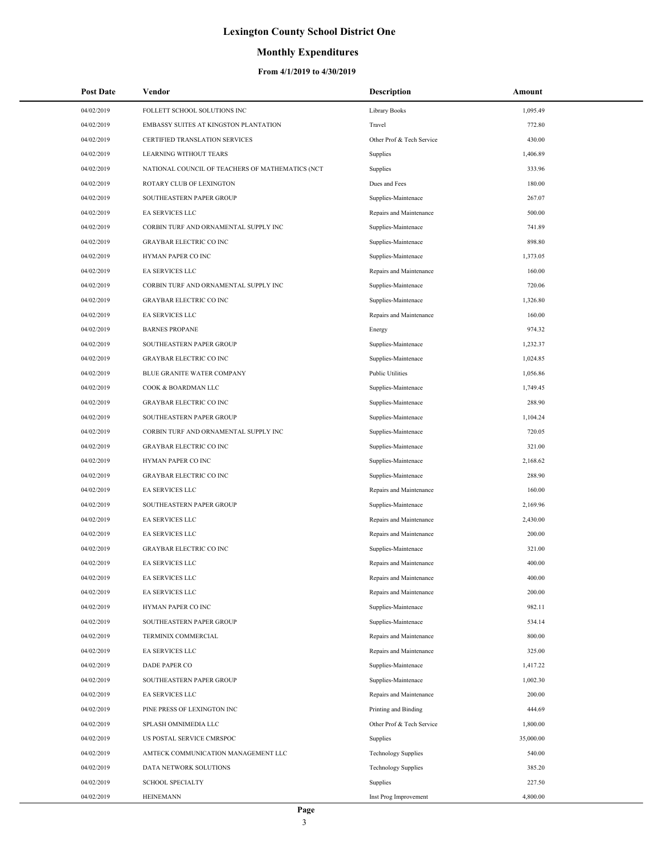### **Monthly Expenditures**

| 04/02/2019<br>FOLLETT SCHOOL SOLUTIONS INC<br>1,095.49<br>Library Books<br>04/02/2019<br>EMBASSY SUITES AT KINGSTON PLANTATION<br>Travel<br>772.80<br>430.00<br>04/02/2019<br>CERTIFIED TRANSLATION SERVICES<br>Other Prof & Tech Service<br>04/02/2019<br><b>LEARNING WITHOUT TEARS</b><br>1,406.89<br>Supplies<br>333.96<br>04/02/2019<br>NATIONAL COUNCIL OF TEACHERS OF MATHEMATICS (NCT<br>Supplies<br>Dues and Fees<br>180.00<br>04/02/2019<br>ROTARY CLUB OF LEXINGTON<br>267.07<br>04/02/2019<br>SOUTHEASTERN PAPER GROUP<br>Supplies-Maintenace<br>04/02/2019<br>EA SERVICES LLC<br>Repairs and Maintenance<br>500.00<br>04/02/2019<br>CORBIN TURF AND ORNAMENTAL SUPPLY INC<br>Supplies-Maintenace<br>741.89<br>898.80<br>04/02/2019<br><b>GRAYBAR ELECTRIC CO INC</b><br>Supplies-Maintenace<br>04/02/2019<br>HYMAN PAPER CO INC<br>Supplies-Maintenace<br>1,373.05<br>160.00<br>04/02/2019<br>EA SERVICES LLC<br>Repairs and Maintenance<br>720.06<br>04/02/2019<br>CORBIN TURF AND ORNAMENTAL SUPPLY INC<br>Supplies-Maintenace<br>04/02/2019<br><b>GRAYBAR ELECTRIC CO INC</b><br>Supplies-Maintenace<br>1,326.80 |  |
|---------------------------------------------------------------------------------------------------------------------------------------------------------------------------------------------------------------------------------------------------------------------------------------------------------------------------------------------------------------------------------------------------------------------------------------------------------------------------------------------------------------------------------------------------------------------------------------------------------------------------------------------------------------------------------------------------------------------------------------------------------------------------------------------------------------------------------------------------------------------------------------------------------------------------------------------------------------------------------------------------------------------------------------------------------------------------------------------------------------------------------|--|
|                                                                                                                                                                                                                                                                                                                                                                                                                                                                                                                                                                                                                                                                                                                                                                                                                                                                                                                                                                                                                                                                                                                                 |  |
|                                                                                                                                                                                                                                                                                                                                                                                                                                                                                                                                                                                                                                                                                                                                                                                                                                                                                                                                                                                                                                                                                                                                 |  |
|                                                                                                                                                                                                                                                                                                                                                                                                                                                                                                                                                                                                                                                                                                                                                                                                                                                                                                                                                                                                                                                                                                                                 |  |
|                                                                                                                                                                                                                                                                                                                                                                                                                                                                                                                                                                                                                                                                                                                                                                                                                                                                                                                                                                                                                                                                                                                                 |  |
|                                                                                                                                                                                                                                                                                                                                                                                                                                                                                                                                                                                                                                                                                                                                                                                                                                                                                                                                                                                                                                                                                                                                 |  |
|                                                                                                                                                                                                                                                                                                                                                                                                                                                                                                                                                                                                                                                                                                                                                                                                                                                                                                                                                                                                                                                                                                                                 |  |
|                                                                                                                                                                                                                                                                                                                                                                                                                                                                                                                                                                                                                                                                                                                                                                                                                                                                                                                                                                                                                                                                                                                                 |  |
|                                                                                                                                                                                                                                                                                                                                                                                                                                                                                                                                                                                                                                                                                                                                                                                                                                                                                                                                                                                                                                                                                                                                 |  |
|                                                                                                                                                                                                                                                                                                                                                                                                                                                                                                                                                                                                                                                                                                                                                                                                                                                                                                                                                                                                                                                                                                                                 |  |
|                                                                                                                                                                                                                                                                                                                                                                                                                                                                                                                                                                                                                                                                                                                                                                                                                                                                                                                                                                                                                                                                                                                                 |  |
|                                                                                                                                                                                                                                                                                                                                                                                                                                                                                                                                                                                                                                                                                                                                                                                                                                                                                                                                                                                                                                                                                                                                 |  |
|                                                                                                                                                                                                                                                                                                                                                                                                                                                                                                                                                                                                                                                                                                                                                                                                                                                                                                                                                                                                                                                                                                                                 |  |
|                                                                                                                                                                                                                                                                                                                                                                                                                                                                                                                                                                                                                                                                                                                                                                                                                                                                                                                                                                                                                                                                                                                                 |  |
|                                                                                                                                                                                                                                                                                                                                                                                                                                                                                                                                                                                                                                                                                                                                                                                                                                                                                                                                                                                                                                                                                                                                 |  |
| 160.00<br>04/02/2019<br>EA SERVICES LLC<br>Repairs and Maintenance                                                                                                                                                                                                                                                                                                                                                                                                                                                                                                                                                                                                                                                                                                                                                                                                                                                                                                                                                                                                                                                              |  |
| 974.32<br>04/02/2019<br><b>BARNES PROPANE</b><br>Energy                                                                                                                                                                                                                                                                                                                                                                                                                                                                                                                                                                                                                                                                                                                                                                                                                                                                                                                                                                                                                                                                         |  |
| 04/02/2019<br>SOUTHEASTERN PAPER GROUP<br>Supplies-Maintenace<br>1,232.37                                                                                                                                                                                                                                                                                                                                                                                                                                                                                                                                                                                                                                                                                                                                                                                                                                                                                                                                                                                                                                                       |  |
| <b>GRAYBAR ELECTRIC CO INC</b><br>04/02/2019<br>Supplies-Maintenace<br>1,024.85                                                                                                                                                                                                                                                                                                                                                                                                                                                                                                                                                                                                                                                                                                                                                                                                                                                                                                                                                                                                                                                 |  |
| <b>Public Utilities</b><br>04/02/2019<br>BLUE GRANITE WATER COMPANY<br>1,056.86                                                                                                                                                                                                                                                                                                                                                                                                                                                                                                                                                                                                                                                                                                                                                                                                                                                                                                                                                                                                                                                 |  |
| 04/02/2019<br>COOK & BOARDMAN LLC<br>Supplies-Maintenace<br>1,749.45                                                                                                                                                                                                                                                                                                                                                                                                                                                                                                                                                                                                                                                                                                                                                                                                                                                                                                                                                                                                                                                            |  |
| 288.90<br>04/02/2019<br><b>GRAYBAR ELECTRIC CO INC</b><br>Supplies-Maintenace                                                                                                                                                                                                                                                                                                                                                                                                                                                                                                                                                                                                                                                                                                                                                                                                                                                                                                                                                                                                                                                   |  |
| 04/02/2019<br>SOUTHEASTERN PAPER GROUP<br>Supplies-Maintenace<br>1,104.24                                                                                                                                                                                                                                                                                                                                                                                                                                                                                                                                                                                                                                                                                                                                                                                                                                                                                                                                                                                                                                                       |  |
| 720.05<br>04/02/2019<br>CORBIN TURF AND ORNAMENTAL SUPPLY INC<br>Supplies-Maintenace                                                                                                                                                                                                                                                                                                                                                                                                                                                                                                                                                                                                                                                                                                                                                                                                                                                                                                                                                                                                                                            |  |
| 04/02/2019<br><b>GRAYBAR ELECTRIC CO INC</b><br>Supplies-Maintenace<br>321.00                                                                                                                                                                                                                                                                                                                                                                                                                                                                                                                                                                                                                                                                                                                                                                                                                                                                                                                                                                                                                                                   |  |
| 04/02/2019<br>HYMAN PAPER CO INC<br>Supplies-Maintenace<br>2,168.62                                                                                                                                                                                                                                                                                                                                                                                                                                                                                                                                                                                                                                                                                                                                                                                                                                                                                                                                                                                                                                                             |  |
| 288.90<br>04/02/2019<br><b>GRAYBAR ELECTRIC CO INC</b><br>Supplies-Maintenace                                                                                                                                                                                                                                                                                                                                                                                                                                                                                                                                                                                                                                                                                                                                                                                                                                                                                                                                                                                                                                                   |  |
| EA SERVICES LLC<br>160.00<br>04/02/2019<br>Repairs and Maintenance                                                                                                                                                                                                                                                                                                                                                                                                                                                                                                                                                                                                                                                                                                                                                                                                                                                                                                                                                                                                                                                              |  |
| 04/02/2019<br>SOUTHEASTERN PAPER GROUP<br>Supplies-Maintenace<br>2,169.96                                                                                                                                                                                                                                                                                                                                                                                                                                                                                                                                                                                                                                                                                                                                                                                                                                                                                                                                                                                                                                                       |  |
| 2,430.00<br>04/02/2019<br>EA SERVICES LLC<br>Repairs and Maintenance                                                                                                                                                                                                                                                                                                                                                                                                                                                                                                                                                                                                                                                                                                                                                                                                                                                                                                                                                                                                                                                            |  |
| 200.00<br>04/02/2019<br>EA SERVICES LLC<br>Repairs and Maintenance                                                                                                                                                                                                                                                                                                                                                                                                                                                                                                                                                                                                                                                                                                                                                                                                                                                                                                                                                                                                                                                              |  |
| 04/02/2019<br><b>GRAYBAR ELECTRIC CO INC</b><br>Supplies-Maintenace<br>321.00                                                                                                                                                                                                                                                                                                                                                                                                                                                                                                                                                                                                                                                                                                                                                                                                                                                                                                                                                                                                                                                   |  |
| 400.00<br>04/02/2019<br><b>EA SERVICES LLC</b><br>Repairs and Maintenance                                                                                                                                                                                                                                                                                                                                                                                                                                                                                                                                                                                                                                                                                                                                                                                                                                                                                                                                                                                                                                                       |  |
| 400.00<br>04/02/2019<br>EA SERVICES LLC<br>Repairs and Maintenance                                                                                                                                                                                                                                                                                                                                                                                                                                                                                                                                                                                                                                                                                                                                                                                                                                                                                                                                                                                                                                                              |  |
| 200.00<br>04/02/2019<br>EA SERVICES LLC<br>Repairs and Maintenance                                                                                                                                                                                                                                                                                                                                                                                                                                                                                                                                                                                                                                                                                                                                                                                                                                                                                                                                                                                                                                                              |  |
| 982.11<br>04/02/2019<br>HYMAN PAPER CO INC<br>Supplies-Maintenace                                                                                                                                                                                                                                                                                                                                                                                                                                                                                                                                                                                                                                                                                                                                                                                                                                                                                                                                                                                                                                                               |  |
| 04/02/2019<br>SOUTHEASTERN PAPER GROUP<br>Supplies-Maintenace<br>534.14                                                                                                                                                                                                                                                                                                                                                                                                                                                                                                                                                                                                                                                                                                                                                                                                                                                                                                                                                                                                                                                         |  |
| 800.00<br>04/02/2019<br>TERMINIX COMMERCIAL<br>Repairs and Maintenance                                                                                                                                                                                                                                                                                                                                                                                                                                                                                                                                                                                                                                                                                                                                                                                                                                                                                                                                                                                                                                                          |  |
| 04/02/2019<br>EA SERVICES LLC<br>Repairs and Maintenance<br>325.00                                                                                                                                                                                                                                                                                                                                                                                                                                                                                                                                                                                                                                                                                                                                                                                                                                                                                                                                                                                                                                                              |  |
| DADE PAPER CO<br>04/02/2019<br>Supplies-Maintenace<br>1,417.22                                                                                                                                                                                                                                                                                                                                                                                                                                                                                                                                                                                                                                                                                                                                                                                                                                                                                                                                                                                                                                                                  |  |
| 1,002.30<br>04/02/2019<br>SOUTHEASTERN PAPER GROUP<br>Supplies-Maintenace                                                                                                                                                                                                                                                                                                                                                                                                                                                                                                                                                                                                                                                                                                                                                                                                                                                                                                                                                                                                                                                       |  |
| 200.00<br>04/02/2019<br>EA SERVICES LLC<br>Repairs and Maintenance                                                                                                                                                                                                                                                                                                                                                                                                                                                                                                                                                                                                                                                                                                                                                                                                                                                                                                                                                                                                                                                              |  |
| 04/02/2019<br>PINE PRESS OF LEXINGTON INC<br>Printing and Binding<br>444.69                                                                                                                                                                                                                                                                                                                                                                                                                                                                                                                                                                                                                                                                                                                                                                                                                                                                                                                                                                                                                                                     |  |
| 04/02/2019<br>SPLASH OMNIMEDIA LLC<br>Other Prof & Tech Service<br>1,800.00                                                                                                                                                                                                                                                                                                                                                                                                                                                                                                                                                                                                                                                                                                                                                                                                                                                                                                                                                                                                                                                     |  |
| 35,000.00<br>04/02/2019<br>US POSTAL SERVICE CMRSPOC<br>Supplies                                                                                                                                                                                                                                                                                                                                                                                                                                                                                                                                                                                                                                                                                                                                                                                                                                                                                                                                                                                                                                                                |  |
| 540.00<br>04/02/2019<br>AMTECK COMMUNICATION MANAGEMENT LLC<br><b>Technology Supplies</b>                                                                                                                                                                                                                                                                                                                                                                                                                                                                                                                                                                                                                                                                                                                                                                                                                                                                                                                                                                                                                                       |  |
| 04/02/2019<br>DATA NETWORK SOLUTIONS<br><b>Technology Supplies</b><br>385.20                                                                                                                                                                                                                                                                                                                                                                                                                                                                                                                                                                                                                                                                                                                                                                                                                                                                                                                                                                                                                                                    |  |
| 04/02/2019<br><b>SCHOOL SPECIALTY</b><br>Supplies<br>227.50                                                                                                                                                                                                                                                                                                                                                                                                                                                                                                                                                                                                                                                                                                                                                                                                                                                                                                                                                                                                                                                                     |  |
| 04/02/2019<br><b>HEINEMANN</b><br>Inst Prog Improvement<br>4,800.00                                                                                                                                                                                                                                                                                                                                                                                                                                                                                                                                                                                                                                                                                                                                                                                                                                                                                                                                                                                                                                                             |  |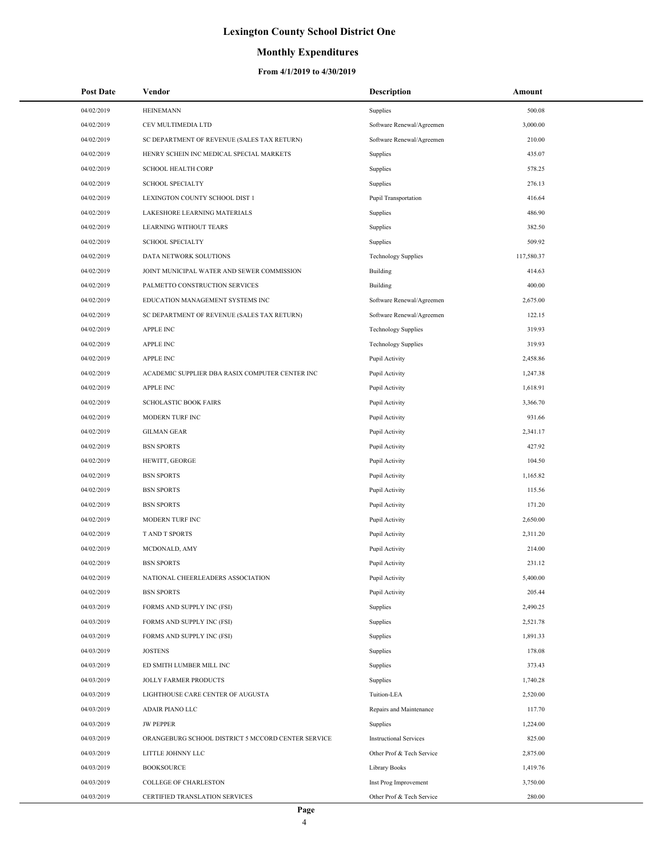### **Monthly Expenditures**

| 04/02/2019<br><b>HEINEMANN</b><br>500.08<br>Supplies<br>04/02/2019<br>CEV MULTIMEDIA LTD<br>Software Renewal/Agreemen<br>3,000.00<br>04/02/2019<br>SC DEPARTMENT OF REVENUE (SALES TAX RETURN)<br>Software Renewal/Agreemen<br>210.00<br>04/02/2019<br>HENRY SCHEIN INC MEDICAL SPECIAL MARKETS<br>435.07<br>Supplies<br>04/02/2019<br><b>SCHOOL HEALTH CORP</b><br>578.25<br>Supplies<br>04/02/2019<br><b>SCHOOL SPECIALTY</b><br>Supplies<br>276.13<br>04/02/2019<br>LEXINGTON COUNTY SCHOOL DIST 1<br>Pupil Transportation<br>416.64<br>04/02/2019<br>486.90<br>LAKESHORE LEARNING MATERIALS<br>Supplies<br>04/02/2019<br>LEARNING WITHOUT TEARS<br>382.50<br>Supplies<br>04/02/2019<br><b>SCHOOL SPECIALTY</b><br>509.92<br>Supplies<br>04/02/2019<br>DATA NETWORK SOLUTIONS<br>117,580.37<br><b>Technology Supplies</b><br>04/02/2019<br>JOINT MUNICIPAL WATER AND SEWER COMMISSION<br>Building<br>414.63<br>04/02/2019<br>PALMETTO CONSTRUCTION SERVICES<br>Building<br>400.00<br>04/02/2019<br>EDUCATION MANAGEMENT SYSTEMS INC<br>Software Renewal/Agreemen<br>2,675.00<br>04/02/2019<br>SC DEPARTMENT OF REVENUE (SALES TAX RETURN)<br>122.15<br>Software Renewal/Agreemen<br>04/02/2019<br><b>APPLE INC</b><br><b>Technology Supplies</b><br>319.93<br>04/02/2019<br><b>APPLE INC</b><br>319.93<br><b>Technology Supplies</b><br>04/02/2019<br><b>APPLE INC</b><br>Pupil Activity<br>2,458.86<br>04/02/2019<br>ACADEMIC SUPPLIER DBA RASIX COMPUTER CENTER INC<br>1,247.38<br>Pupil Activity<br>04/02/2019<br><b>APPLE INC</b><br>1,618.91<br>Pupil Activity<br>04/02/2019<br><b>SCHOLASTIC BOOK FAIRS</b><br>Pupil Activity<br>3,366.70<br>04/02/2019<br>MODERN TURF INC<br>Pupil Activity<br>931.66<br>04/02/2019<br>2,341.17<br><b>GILMAN GEAR</b><br>Pupil Activity<br>04/02/2019<br><b>BSN SPORTS</b><br>Pupil Activity<br>427.92<br>04/02/2019<br>104.50<br>HEWITT, GEORGE<br>Pupil Activity<br>04/02/2019<br><b>BSN SPORTS</b><br>Pupil Activity<br>1,165.82<br>04/02/2019<br><b>BSN SPORTS</b><br>Pupil Activity<br>115.56<br>04/02/2019<br><b>BSN SPORTS</b><br>Pupil Activity<br>171.20<br>04/02/2019<br>MODERN TURF INC<br>Pupil Activity<br>2,650.00<br>04/02/2019<br>T AND T SPORTS<br>Pupil Activity<br>2,311.20<br>04/02/2019<br>Pupil Activity<br>214.00<br>MCDONALD, AMY<br>04/02/2019<br><b>BSN SPORTS</b><br>Pupil Activity<br>231.12<br>04/02/2019<br>5,400.00<br>NATIONAL CHEERLEADERS ASSOCIATION<br>Pupil Activity<br>04/02/2019<br><b>BSN SPORTS</b><br>Pupil Activity<br>205.44<br>04/03/2019<br>FORMS AND SUPPLY INC (FSI)<br>2,490.25<br>Supplies<br>04/03/2019<br>FORMS AND SUPPLY INC (FSI)<br>Supplies<br>2,521.78<br>04/03/2019<br>FORMS AND SUPPLY INC (FSI)<br>1,891.33<br>Supplies<br>04/03/2019<br><b>JOSTENS</b><br>178.08<br>Supplies<br>04/03/2019<br>ED SMITH LUMBER MILL INC<br>373.43<br>Supplies<br>04/03/2019<br><b>JOLLY FARMER PRODUCTS</b><br>Supplies<br>1,740.28<br>04/03/2019<br>LIGHTHOUSE CARE CENTER OF AUGUSTA<br>Tuition-LEA<br>2,520.00<br>04/03/2019<br>ADAIR PIANO LLC<br>Repairs and Maintenance<br>117.70<br>04/03/2019<br><b>JW PEPPER</b><br>Supplies<br>1,224.00<br>04/03/2019<br>ORANGEBURG SCHOOL DISTRICT 5 MCCORD CENTER SERVICE<br><b>Instructional Services</b><br>825.00<br>04/03/2019<br>LITTLE JOHNNY LLC<br>Other Prof & Tech Service<br>2,875.00<br>04/03/2019<br><b>BOOKSOURCE</b><br>Library Books<br>1,419.76<br>04/03/2019<br>COLLEGE OF CHARLESTON<br>Inst Prog Improvement<br>3,750.00<br>04/03/2019<br>CERTIFIED TRANSLATION SERVICES<br>Other Prof & Tech Service<br>280.00 | <b>Post Date</b> | Vendor | <b>Description</b> | Amount |
|------------------------------------------------------------------------------------------------------------------------------------------------------------------------------------------------------------------------------------------------------------------------------------------------------------------------------------------------------------------------------------------------------------------------------------------------------------------------------------------------------------------------------------------------------------------------------------------------------------------------------------------------------------------------------------------------------------------------------------------------------------------------------------------------------------------------------------------------------------------------------------------------------------------------------------------------------------------------------------------------------------------------------------------------------------------------------------------------------------------------------------------------------------------------------------------------------------------------------------------------------------------------------------------------------------------------------------------------------------------------------------------------------------------------------------------------------------------------------------------------------------------------------------------------------------------------------------------------------------------------------------------------------------------------------------------------------------------------------------------------------------------------------------------------------------------------------------------------------------------------------------------------------------------------------------------------------------------------------------------------------------------------------------------------------------------------------------------------------------------------------------------------------------------------------------------------------------------------------------------------------------------------------------------------------------------------------------------------------------------------------------------------------------------------------------------------------------------------------------------------------------------------------------------------------------------------------------------------------------------------------------------------------------------------------------------------------------------------------------------------------------------------------------------------------------------------------------------------------------------------------------------------------------------------------------------------------------------------------------------------------------------------------------------------------------------------------------------------------------------------------------------------------------------------------------------------------------------------------------------------------------------------------------------------------------------------------------------------------------------------------------------------------------------------------------------------------------------------------------------------------------------------------------------------------------------------|------------------|--------|--------------------|--------|
|                                                                                                                                                                                                                                                                                                                                                                                                                                                                                                                                                                                                                                                                                                                                                                                                                                                                                                                                                                                                                                                                                                                                                                                                                                                                                                                                                                                                                                                                                                                                                                                                                                                                                                                                                                                                                                                                                                                                                                                                                                                                                                                                                                                                                                                                                                                                                                                                                                                                                                                                                                                                                                                                                                                                                                                                                                                                                                                                                                                                                                                                                                                                                                                                                                                                                                                                                                                                                                                                                                                                                                        |                  |        |                    |        |
|                                                                                                                                                                                                                                                                                                                                                                                                                                                                                                                                                                                                                                                                                                                                                                                                                                                                                                                                                                                                                                                                                                                                                                                                                                                                                                                                                                                                                                                                                                                                                                                                                                                                                                                                                                                                                                                                                                                                                                                                                                                                                                                                                                                                                                                                                                                                                                                                                                                                                                                                                                                                                                                                                                                                                                                                                                                                                                                                                                                                                                                                                                                                                                                                                                                                                                                                                                                                                                                                                                                                                                        |                  |        |                    |        |
|                                                                                                                                                                                                                                                                                                                                                                                                                                                                                                                                                                                                                                                                                                                                                                                                                                                                                                                                                                                                                                                                                                                                                                                                                                                                                                                                                                                                                                                                                                                                                                                                                                                                                                                                                                                                                                                                                                                                                                                                                                                                                                                                                                                                                                                                                                                                                                                                                                                                                                                                                                                                                                                                                                                                                                                                                                                                                                                                                                                                                                                                                                                                                                                                                                                                                                                                                                                                                                                                                                                                                                        |                  |        |                    |        |
|                                                                                                                                                                                                                                                                                                                                                                                                                                                                                                                                                                                                                                                                                                                                                                                                                                                                                                                                                                                                                                                                                                                                                                                                                                                                                                                                                                                                                                                                                                                                                                                                                                                                                                                                                                                                                                                                                                                                                                                                                                                                                                                                                                                                                                                                                                                                                                                                                                                                                                                                                                                                                                                                                                                                                                                                                                                                                                                                                                                                                                                                                                                                                                                                                                                                                                                                                                                                                                                                                                                                                                        |                  |        |                    |        |
|                                                                                                                                                                                                                                                                                                                                                                                                                                                                                                                                                                                                                                                                                                                                                                                                                                                                                                                                                                                                                                                                                                                                                                                                                                                                                                                                                                                                                                                                                                                                                                                                                                                                                                                                                                                                                                                                                                                                                                                                                                                                                                                                                                                                                                                                                                                                                                                                                                                                                                                                                                                                                                                                                                                                                                                                                                                                                                                                                                                                                                                                                                                                                                                                                                                                                                                                                                                                                                                                                                                                                                        |                  |        |                    |        |
|                                                                                                                                                                                                                                                                                                                                                                                                                                                                                                                                                                                                                                                                                                                                                                                                                                                                                                                                                                                                                                                                                                                                                                                                                                                                                                                                                                                                                                                                                                                                                                                                                                                                                                                                                                                                                                                                                                                                                                                                                                                                                                                                                                                                                                                                                                                                                                                                                                                                                                                                                                                                                                                                                                                                                                                                                                                                                                                                                                                                                                                                                                                                                                                                                                                                                                                                                                                                                                                                                                                                                                        |                  |        |                    |        |
|                                                                                                                                                                                                                                                                                                                                                                                                                                                                                                                                                                                                                                                                                                                                                                                                                                                                                                                                                                                                                                                                                                                                                                                                                                                                                                                                                                                                                                                                                                                                                                                                                                                                                                                                                                                                                                                                                                                                                                                                                                                                                                                                                                                                                                                                                                                                                                                                                                                                                                                                                                                                                                                                                                                                                                                                                                                                                                                                                                                                                                                                                                                                                                                                                                                                                                                                                                                                                                                                                                                                                                        |                  |        |                    |        |
|                                                                                                                                                                                                                                                                                                                                                                                                                                                                                                                                                                                                                                                                                                                                                                                                                                                                                                                                                                                                                                                                                                                                                                                                                                                                                                                                                                                                                                                                                                                                                                                                                                                                                                                                                                                                                                                                                                                                                                                                                                                                                                                                                                                                                                                                                                                                                                                                                                                                                                                                                                                                                                                                                                                                                                                                                                                                                                                                                                                                                                                                                                                                                                                                                                                                                                                                                                                                                                                                                                                                                                        |                  |        |                    |        |
|                                                                                                                                                                                                                                                                                                                                                                                                                                                                                                                                                                                                                                                                                                                                                                                                                                                                                                                                                                                                                                                                                                                                                                                                                                                                                                                                                                                                                                                                                                                                                                                                                                                                                                                                                                                                                                                                                                                                                                                                                                                                                                                                                                                                                                                                                                                                                                                                                                                                                                                                                                                                                                                                                                                                                                                                                                                                                                                                                                                                                                                                                                                                                                                                                                                                                                                                                                                                                                                                                                                                                                        |                  |        |                    |        |
|                                                                                                                                                                                                                                                                                                                                                                                                                                                                                                                                                                                                                                                                                                                                                                                                                                                                                                                                                                                                                                                                                                                                                                                                                                                                                                                                                                                                                                                                                                                                                                                                                                                                                                                                                                                                                                                                                                                                                                                                                                                                                                                                                                                                                                                                                                                                                                                                                                                                                                                                                                                                                                                                                                                                                                                                                                                                                                                                                                                                                                                                                                                                                                                                                                                                                                                                                                                                                                                                                                                                                                        |                  |        |                    |        |
|                                                                                                                                                                                                                                                                                                                                                                                                                                                                                                                                                                                                                                                                                                                                                                                                                                                                                                                                                                                                                                                                                                                                                                                                                                                                                                                                                                                                                                                                                                                                                                                                                                                                                                                                                                                                                                                                                                                                                                                                                                                                                                                                                                                                                                                                                                                                                                                                                                                                                                                                                                                                                                                                                                                                                                                                                                                                                                                                                                                                                                                                                                                                                                                                                                                                                                                                                                                                                                                                                                                                                                        |                  |        |                    |        |
|                                                                                                                                                                                                                                                                                                                                                                                                                                                                                                                                                                                                                                                                                                                                                                                                                                                                                                                                                                                                                                                                                                                                                                                                                                                                                                                                                                                                                                                                                                                                                                                                                                                                                                                                                                                                                                                                                                                                                                                                                                                                                                                                                                                                                                                                                                                                                                                                                                                                                                                                                                                                                                                                                                                                                                                                                                                                                                                                                                                                                                                                                                                                                                                                                                                                                                                                                                                                                                                                                                                                                                        |                  |        |                    |        |
|                                                                                                                                                                                                                                                                                                                                                                                                                                                                                                                                                                                                                                                                                                                                                                                                                                                                                                                                                                                                                                                                                                                                                                                                                                                                                                                                                                                                                                                                                                                                                                                                                                                                                                                                                                                                                                                                                                                                                                                                                                                                                                                                                                                                                                                                                                                                                                                                                                                                                                                                                                                                                                                                                                                                                                                                                                                                                                                                                                                                                                                                                                                                                                                                                                                                                                                                                                                                                                                                                                                                                                        |                  |        |                    |        |
|                                                                                                                                                                                                                                                                                                                                                                                                                                                                                                                                                                                                                                                                                                                                                                                                                                                                                                                                                                                                                                                                                                                                                                                                                                                                                                                                                                                                                                                                                                                                                                                                                                                                                                                                                                                                                                                                                                                                                                                                                                                                                                                                                                                                                                                                                                                                                                                                                                                                                                                                                                                                                                                                                                                                                                                                                                                                                                                                                                                                                                                                                                                                                                                                                                                                                                                                                                                                                                                                                                                                                                        |                  |        |                    |        |
|                                                                                                                                                                                                                                                                                                                                                                                                                                                                                                                                                                                                                                                                                                                                                                                                                                                                                                                                                                                                                                                                                                                                                                                                                                                                                                                                                                                                                                                                                                                                                                                                                                                                                                                                                                                                                                                                                                                                                                                                                                                                                                                                                                                                                                                                                                                                                                                                                                                                                                                                                                                                                                                                                                                                                                                                                                                                                                                                                                                                                                                                                                                                                                                                                                                                                                                                                                                                                                                                                                                                                                        |                  |        |                    |        |
|                                                                                                                                                                                                                                                                                                                                                                                                                                                                                                                                                                                                                                                                                                                                                                                                                                                                                                                                                                                                                                                                                                                                                                                                                                                                                                                                                                                                                                                                                                                                                                                                                                                                                                                                                                                                                                                                                                                                                                                                                                                                                                                                                                                                                                                                                                                                                                                                                                                                                                                                                                                                                                                                                                                                                                                                                                                                                                                                                                                                                                                                                                                                                                                                                                                                                                                                                                                                                                                                                                                                                                        |                  |        |                    |        |
|                                                                                                                                                                                                                                                                                                                                                                                                                                                                                                                                                                                                                                                                                                                                                                                                                                                                                                                                                                                                                                                                                                                                                                                                                                                                                                                                                                                                                                                                                                                                                                                                                                                                                                                                                                                                                                                                                                                                                                                                                                                                                                                                                                                                                                                                                                                                                                                                                                                                                                                                                                                                                                                                                                                                                                                                                                                                                                                                                                                                                                                                                                                                                                                                                                                                                                                                                                                                                                                                                                                                                                        |                  |        |                    |        |
|                                                                                                                                                                                                                                                                                                                                                                                                                                                                                                                                                                                                                                                                                                                                                                                                                                                                                                                                                                                                                                                                                                                                                                                                                                                                                                                                                                                                                                                                                                                                                                                                                                                                                                                                                                                                                                                                                                                                                                                                                                                                                                                                                                                                                                                                                                                                                                                                                                                                                                                                                                                                                                                                                                                                                                                                                                                                                                                                                                                                                                                                                                                                                                                                                                                                                                                                                                                                                                                                                                                                                                        |                  |        |                    |        |
|                                                                                                                                                                                                                                                                                                                                                                                                                                                                                                                                                                                                                                                                                                                                                                                                                                                                                                                                                                                                                                                                                                                                                                                                                                                                                                                                                                                                                                                                                                                                                                                                                                                                                                                                                                                                                                                                                                                                                                                                                                                                                                                                                                                                                                                                                                                                                                                                                                                                                                                                                                                                                                                                                                                                                                                                                                                                                                                                                                                                                                                                                                                                                                                                                                                                                                                                                                                                                                                                                                                                                                        |                  |        |                    |        |
|                                                                                                                                                                                                                                                                                                                                                                                                                                                                                                                                                                                                                                                                                                                                                                                                                                                                                                                                                                                                                                                                                                                                                                                                                                                                                                                                                                                                                                                                                                                                                                                                                                                                                                                                                                                                                                                                                                                                                                                                                                                                                                                                                                                                                                                                                                                                                                                                                                                                                                                                                                                                                                                                                                                                                                                                                                                                                                                                                                                                                                                                                                                                                                                                                                                                                                                                                                                                                                                                                                                                                                        |                  |        |                    |        |
|                                                                                                                                                                                                                                                                                                                                                                                                                                                                                                                                                                                                                                                                                                                                                                                                                                                                                                                                                                                                                                                                                                                                                                                                                                                                                                                                                                                                                                                                                                                                                                                                                                                                                                                                                                                                                                                                                                                                                                                                                                                                                                                                                                                                                                                                                                                                                                                                                                                                                                                                                                                                                                                                                                                                                                                                                                                                                                                                                                                                                                                                                                                                                                                                                                                                                                                                                                                                                                                                                                                                                                        |                  |        |                    |        |
|                                                                                                                                                                                                                                                                                                                                                                                                                                                                                                                                                                                                                                                                                                                                                                                                                                                                                                                                                                                                                                                                                                                                                                                                                                                                                                                                                                                                                                                                                                                                                                                                                                                                                                                                                                                                                                                                                                                                                                                                                                                                                                                                                                                                                                                                                                                                                                                                                                                                                                                                                                                                                                                                                                                                                                                                                                                                                                                                                                                                                                                                                                                                                                                                                                                                                                                                                                                                                                                                                                                                                                        |                  |        |                    |        |
|                                                                                                                                                                                                                                                                                                                                                                                                                                                                                                                                                                                                                                                                                                                                                                                                                                                                                                                                                                                                                                                                                                                                                                                                                                                                                                                                                                                                                                                                                                                                                                                                                                                                                                                                                                                                                                                                                                                                                                                                                                                                                                                                                                                                                                                                                                                                                                                                                                                                                                                                                                                                                                                                                                                                                                                                                                                                                                                                                                                                                                                                                                                                                                                                                                                                                                                                                                                                                                                                                                                                                                        |                  |        |                    |        |
|                                                                                                                                                                                                                                                                                                                                                                                                                                                                                                                                                                                                                                                                                                                                                                                                                                                                                                                                                                                                                                                                                                                                                                                                                                                                                                                                                                                                                                                                                                                                                                                                                                                                                                                                                                                                                                                                                                                                                                                                                                                                                                                                                                                                                                                                                                                                                                                                                                                                                                                                                                                                                                                                                                                                                                                                                                                                                                                                                                                                                                                                                                                                                                                                                                                                                                                                                                                                                                                                                                                                                                        |                  |        |                    |        |
|                                                                                                                                                                                                                                                                                                                                                                                                                                                                                                                                                                                                                                                                                                                                                                                                                                                                                                                                                                                                                                                                                                                                                                                                                                                                                                                                                                                                                                                                                                                                                                                                                                                                                                                                                                                                                                                                                                                                                                                                                                                                                                                                                                                                                                                                                                                                                                                                                                                                                                                                                                                                                                                                                                                                                                                                                                                                                                                                                                                                                                                                                                                                                                                                                                                                                                                                                                                                                                                                                                                                                                        |                  |        |                    |        |
|                                                                                                                                                                                                                                                                                                                                                                                                                                                                                                                                                                                                                                                                                                                                                                                                                                                                                                                                                                                                                                                                                                                                                                                                                                                                                                                                                                                                                                                                                                                                                                                                                                                                                                                                                                                                                                                                                                                                                                                                                                                                                                                                                                                                                                                                                                                                                                                                                                                                                                                                                                                                                                                                                                                                                                                                                                                                                                                                                                                                                                                                                                                                                                                                                                                                                                                                                                                                                                                                                                                                                                        |                  |        |                    |        |
|                                                                                                                                                                                                                                                                                                                                                                                                                                                                                                                                                                                                                                                                                                                                                                                                                                                                                                                                                                                                                                                                                                                                                                                                                                                                                                                                                                                                                                                                                                                                                                                                                                                                                                                                                                                                                                                                                                                                                                                                                                                                                                                                                                                                                                                                                                                                                                                                                                                                                                                                                                                                                                                                                                                                                                                                                                                                                                                                                                                                                                                                                                                                                                                                                                                                                                                                                                                                                                                                                                                                                                        |                  |        |                    |        |
|                                                                                                                                                                                                                                                                                                                                                                                                                                                                                                                                                                                                                                                                                                                                                                                                                                                                                                                                                                                                                                                                                                                                                                                                                                                                                                                                                                                                                                                                                                                                                                                                                                                                                                                                                                                                                                                                                                                                                                                                                                                                                                                                                                                                                                                                                                                                                                                                                                                                                                                                                                                                                                                                                                                                                                                                                                                                                                                                                                                                                                                                                                                                                                                                                                                                                                                                                                                                                                                                                                                                                                        |                  |        |                    |        |
|                                                                                                                                                                                                                                                                                                                                                                                                                                                                                                                                                                                                                                                                                                                                                                                                                                                                                                                                                                                                                                                                                                                                                                                                                                                                                                                                                                                                                                                                                                                                                                                                                                                                                                                                                                                                                                                                                                                                                                                                                                                                                                                                                                                                                                                                                                                                                                                                                                                                                                                                                                                                                                                                                                                                                                                                                                                                                                                                                                                                                                                                                                                                                                                                                                                                                                                                                                                                                                                                                                                                                                        |                  |        |                    |        |
|                                                                                                                                                                                                                                                                                                                                                                                                                                                                                                                                                                                                                                                                                                                                                                                                                                                                                                                                                                                                                                                                                                                                                                                                                                                                                                                                                                                                                                                                                                                                                                                                                                                                                                                                                                                                                                                                                                                                                                                                                                                                                                                                                                                                                                                                                                                                                                                                                                                                                                                                                                                                                                                                                                                                                                                                                                                                                                                                                                                                                                                                                                                                                                                                                                                                                                                                                                                                                                                                                                                                                                        |                  |        |                    |        |
|                                                                                                                                                                                                                                                                                                                                                                                                                                                                                                                                                                                                                                                                                                                                                                                                                                                                                                                                                                                                                                                                                                                                                                                                                                                                                                                                                                                                                                                                                                                                                                                                                                                                                                                                                                                                                                                                                                                                                                                                                                                                                                                                                                                                                                                                                                                                                                                                                                                                                                                                                                                                                                                                                                                                                                                                                                                                                                                                                                                                                                                                                                                                                                                                                                                                                                                                                                                                                                                                                                                                                                        |                  |        |                    |        |
|                                                                                                                                                                                                                                                                                                                                                                                                                                                                                                                                                                                                                                                                                                                                                                                                                                                                                                                                                                                                                                                                                                                                                                                                                                                                                                                                                                                                                                                                                                                                                                                                                                                                                                                                                                                                                                                                                                                                                                                                                                                                                                                                                                                                                                                                                                                                                                                                                                                                                                                                                                                                                                                                                                                                                                                                                                                                                                                                                                                                                                                                                                                                                                                                                                                                                                                                                                                                                                                                                                                                                                        |                  |        |                    |        |
|                                                                                                                                                                                                                                                                                                                                                                                                                                                                                                                                                                                                                                                                                                                                                                                                                                                                                                                                                                                                                                                                                                                                                                                                                                                                                                                                                                                                                                                                                                                                                                                                                                                                                                                                                                                                                                                                                                                                                                                                                                                                                                                                                                                                                                                                                                                                                                                                                                                                                                                                                                                                                                                                                                                                                                                                                                                                                                                                                                                                                                                                                                                                                                                                                                                                                                                                                                                                                                                                                                                                                                        |                  |        |                    |        |
|                                                                                                                                                                                                                                                                                                                                                                                                                                                                                                                                                                                                                                                                                                                                                                                                                                                                                                                                                                                                                                                                                                                                                                                                                                                                                                                                                                                                                                                                                                                                                                                                                                                                                                                                                                                                                                                                                                                                                                                                                                                                                                                                                                                                                                                                                                                                                                                                                                                                                                                                                                                                                                                                                                                                                                                                                                                                                                                                                                                                                                                                                                                                                                                                                                                                                                                                                                                                                                                                                                                                                                        |                  |        |                    |        |
|                                                                                                                                                                                                                                                                                                                                                                                                                                                                                                                                                                                                                                                                                                                                                                                                                                                                                                                                                                                                                                                                                                                                                                                                                                                                                                                                                                                                                                                                                                                                                                                                                                                                                                                                                                                                                                                                                                                                                                                                                                                                                                                                                                                                                                                                                                                                                                                                                                                                                                                                                                                                                                                                                                                                                                                                                                                                                                                                                                                                                                                                                                                                                                                                                                                                                                                                                                                                                                                                                                                                                                        |                  |        |                    |        |
|                                                                                                                                                                                                                                                                                                                                                                                                                                                                                                                                                                                                                                                                                                                                                                                                                                                                                                                                                                                                                                                                                                                                                                                                                                                                                                                                                                                                                                                                                                                                                                                                                                                                                                                                                                                                                                                                                                                                                                                                                                                                                                                                                                                                                                                                                                                                                                                                                                                                                                                                                                                                                                                                                                                                                                                                                                                                                                                                                                                                                                                                                                                                                                                                                                                                                                                                                                                                                                                                                                                                                                        |                  |        |                    |        |
|                                                                                                                                                                                                                                                                                                                                                                                                                                                                                                                                                                                                                                                                                                                                                                                                                                                                                                                                                                                                                                                                                                                                                                                                                                                                                                                                                                                                                                                                                                                                                                                                                                                                                                                                                                                                                                                                                                                                                                                                                                                                                                                                                                                                                                                                                                                                                                                                                                                                                                                                                                                                                                                                                                                                                                                                                                                                                                                                                                                                                                                                                                                                                                                                                                                                                                                                                                                                                                                                                                                                                                        |                  |        |                    |        |
|                                                                                                                                                                                                                                                                                                                                                                                                                                                                                                                                                                                                                                                                                                                                                                                                                                                                                                                                                                                                                                                                                                                                                                                                                                                                                                                                                                                                                                                                                                                                                                                                                                                                                                                                                                                                                                                                                                                                                                                                                                                                                                                                                                                                                                                                                                                                                                                                                                                                                                                                                                                                                                                                                                                                                                                                                                                                                                                                                                                                                                                                                                                                                                                                                                                                                                                                                                                                                                                                                                                                                                        |                  |        |                    |        |
|                                                                                                                                                                                                                                                                                                                                                                                                                                                                                                                                                                                                                                                                                                                                                                                                                                                                                                                                                                                                                                                                                                                                                                                                                                                                                                                                                                                                                                                                                                                                                                                                                                                                                                                                                                                                                                                                                                                                                                                                                                                                                                                                                                                                                                                                                                                                                                                                                                                                                                                                                                                                                                                                                                                                                                                                                                                                                                                                                                                                                                                                                                                                                                                                                                                                                                                                                                                                                                                                                                                                                                        |                  |        |                    |        |
|                                                                                                                                                                                                                                                                                                                                                                                                                                                                                                                                                                                                                                                                                                                                                                                                                                                                                                                                                                                                                                                                                                                                                                                                                                                                                                                                                                                                                                                                                                                                                                                                                                                                                                                                                                                                                                                                                                                                                                                                                                                                                                                                                                                                                                                                                                                                                                                                                                                                                                                                                                                                                                                                                                                                                                                                                                                                                                                                                                                                                                                                                                                                                                                                                                                                                                                                                                                                                                                                                                                                                                        |                  |        |                    |        |
|                                                                                                                                                                                                                                                                                                                                                                                                                                                                                                                                                                                                                                                                                                                                                                                                                                                                                                                                                                                                                                                                                                                                                                                                                                                                                                                                                                                                                                                                                                                                                                                                                                                                                                                                                                                                                                                                                                                                                                                                                                                                                                                                                                                                                                                                                                                                                                                                                                                                                                                                                                                                                                                                                                                                                                                                                                                                                                                                                                                                                                                                                                                                                                                                                                                                                                                                                                                                                                                                                                                                                                        |                  |        |                    |        |
|                                                                                                                                                                                                                                                                                                                                                                                                                                                                                                                                                                                                                                                                                                                                                                                                                                                                                                                                                                                                                                                                                                                                                                                                                                                                                                                                                                                                                                                                                                                                                                                                                                                                                                                                                                                                                                                                                                                                                                                                                                                                                                                                                                                                                                                                                                                                                                                                                                                                                                                                                                                                                                                                                                                                                                                                                                                                                                                                                                                                                                                                                                                                                                                                                                                                                                                                                                                                                                                                                                                                                                        |                  |        |                    |        |
|                                                                                                                                                                                                                                                                                                                                                                                                                                                                                                                                                                                                                                                                                                                                                                                                                                                                                                                                                                                                                                                                                                                                                                                                                                                                                                                                                                                                                                                                                                                                                                                                                                                                                                                                                                                                                                                                                                                                                                                                                                                                                                                                                                                                                                                                                                                                                                                                                                                                                                                                                                                                                                                                                                                                                                                                                                                                                                                                                                                                                                                                                                                                                                                                                                                                                                                                                                                                                                                                                                                                                                        |                  |        |                    |        |
|                                                                                                                                                                                                                                                                                                                                                                                                                                                                                                                                                                                                                                                                                                                                                                                                                                                                                                                                                                                                                                                                                                                                                                                                                                                                                                                                                                                                                                                                                                                                                                                                                                                                                                                                                                                                                                                                                                                                                                                                                                                                                                                                                                                                                                                                                                                                                                                                                                                                                                                                                                                                                                                                                                                                                                                                                                                                                                                                                                                                                                                                                                                                                                                                                                                                                                                                                                                                                                                                                                                                                                        |                  |        |                    |        |
|                                                                                                                                                                                                                                                                                                                                                                                                                                                                                                                                                                                                                                                                                                                                                                                                                                                                                                                                                                                                                                                                                                                                                                                                                                                                                                                                                                                                                                                                                                                                                                                                                                                                                                                                                                                                                                                                                                                                                                                                                                                                                                                                                                                                                                                                                                                                                                                                                                                                                                                                                                                                                                                                                                                                                                                                                                                                                                                                                                                                                                                                                                                                                                                                                                                                                                                                                                                                                                                                                                                                                                        |                  |        |                    |        |
|                                                                                                                                                                                                                                                                                                                                                                                                                                                                                                                                                                                                                                                                                                                                                                                                                                                                                                                                                                                                                                                                                                                                                                                                                                                                                                                                                                                                                                                                                                                                                                                                                                                                                                                                                                                                                                                                                                                                                                                                                                                                                                                                                                                                                                                                                                                                                                                                                                                                                                                                                                                                                                                                                                                                                                                                                                                                                                                                                                                                                                                                                                                                                                                                                                                                                                                                                                                                                                                                                                                                                                        |                  |        |                    |        |
|                                                                                                                                                                                                                                                                                                                                                                                                                                                                                                                                                                                                                                                                                                                                                                                                                                                                                                                                                                                                                                                                                                                                                                                                                                                                                                                                                                                                                                                                                                                                                                                                                                                                                                                                                                                                                                                                                                                                                                                                                                                                                                                                                                                                                                                                                                                                                                                                                                                                                                                                                                                                                                                                                                                                                                                                                                                                                                                                                                                                                                                                                                                                                                                                                                                                                                                                                                                                                                                                                                                                                                        |                  |        |                    |        |
|                                                                                                                                                                                                                                                                                                                                                                                                                                                                                                                                                                                                                                                                                                                                                                                                                                                                                                                                                                                                                                                                                                                                                                                                                                                                                                                                                                                                                                                                                                                                                                                                                                                                                                                                                                                                                                                                                                                                                                                                                                                                                                                                                                                                                                                                                                                                                                                                                                                                                                                                                                                                                                                                                                                                                                                                                                                                                                                                                                                                                                                                                                                                                                                                                                                                                                                                                                                                                                                                                                                                                                        |                  |        |                    |        |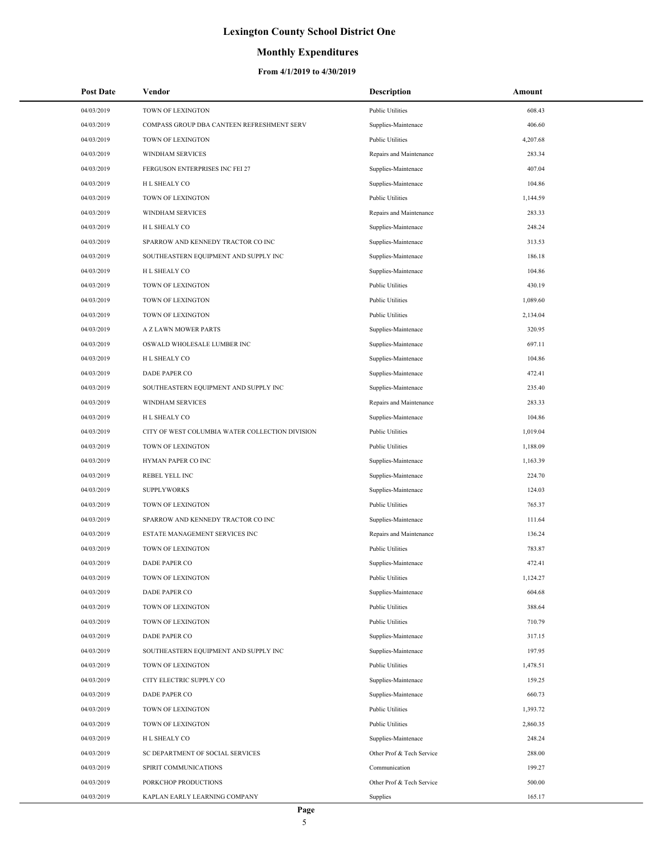### **Monthly Expenditures**

| 04/03/2019<br>TOWN OF LEXINGTON<br><b>Public Utilities</b><br>608.43<br>04/03/2019<br>COMPASS GROUP DBA CANTEEN REFRESHMENT SERV<br>Supplies-Maintenace<br>406.60<br>04/03/2019<br>TOWN OF LEXINGTON<br><b>Public Utilities</b><br>4,207.68<br>04/03/2019<br><b>WINDHAM SERVICES</b><br>Repairs and Maintenance<br>283.34<br>04/03/2019<br>FERGUSON ENTERPRISES INC FEI 27<br>Supplies-Maintenace<br>407.04<br>04/03/2019<br>H L SHEALY CO<br>Supplies-Maintenace<br>104.86<br>04/03/2019<br>TOWN OF LEXINGTON<br><b>Public Utilities</b><br>1,144.59 |  |
|-------------------------------------------------------------------------------------------------------------------------------------------------------------------------------------------------------------------------------------------------------------------------------------------------------------------------------------------------------------------------------------------------------------------------------------------------------------------------------------------------------------------------------------------------------|--|
|                                                                                                                                                                                                                                                                                                                                                                                                                                                                                                                                                       |  |
|                                                                                                                                                                                                                                                                                                                                                                                                                                                                                                                                                       |  |
|                                                                                                                                                                                                                                                                                                                                                                                                                                                                                                                                                       |  |
|                                                                                                                                                                                                                                                                                                                                                                                                                                                                                                                                                       |  |
|                                                                                                                                                                                                                                                                                                                                                                                                                                                                                                                                                       |  |
|                                                                                                                                                                                                                                                                                                                                                                                                                                                                                                                                                       |  |
|                                                                                                                                                                                                                                                                                                                                                                                                                                                                                                                                                       |  |
| 04/03/2019<br><b>WINDHAM SERVICES</b><br>Repairs and Maintenance<br>283.33                                                                                                                                                                                                                                                                                                                                                                                                                                                                            |  |
| 04/03/2019<br>H L SHEALY CO<br>Supplies-Maintenace<br>248.24                                                                                                                                                                                                                                                                                                                                                                                                                                                                                          |  |
| 04/03/2019<br>SPARROW AND KENNEDY TRACTOR CO INC<br>Supplies-Maintenace<br>313.53                                                                                                                                                                                                                                                                                                                                                                                                                                                                     |  |
| 04/03/2019<br>SOUTHEASTERN EQUIPMENT AND SUPPLY INC<br>186.18<br>Supplies-Maintenace                                                                                                                                                                                                                                                                                                                                                                                                                                                                  |  |
| 04/03/2019<br>H L SHEALY CO<br>104.86<br>Supplies-Maintenace                                                                                                                                                                                                                                                                                                                                                                                                                                                                                          |  |
| 04/03/2019<br>TOWN OF LEXINGTON<br><b>Public Utilities</b><br>430.19                                                                                                                                                                                                                                                                                                                                                                                                                                                                                  |  |
| 04/03/2019<br>TOWN OF LEXINGTON<br><b>Public Utilities</b><br>1,089.60                                                                                                                                                                                                                                                                                                                                                                                                                                                                                |  |
| 04/03/2019<br>TOWN OF LEXINGTON<br><b>Public Utilities</b><br>2,134.04                                                                                                                                                                                                                                                                                                                                                                                                                                                                                |  |
| 04/03/2019<br>Supplies-Maintenace<br>320.95<br>A Z LAWN MOWER PARTS                                                                                                                                                                                                                                                                                                                                                                                                                                                                                   |  |
| 04/03/2019<br>OSWALD WHOLESALE LUMBER INC<br>Supplies-Maintenace<br>697.11                                                                                                                                                                                                                                                                                                                                                                                                                                                                            |  |
| 04/03/2019<br>H L SHEALY CO<br>Supplies-Maintenace<br>104.86                                                                                                                                                                                                                                                                                                                                                                                                                                                                                          |  |
| 04/03/2019<br><b>DADE PAPER CO</b><br>472.41<br>Supplies-Maintenace                                                                                                                                                                                                                                                                                                                                                                                                                                                                                   |  |
| 04/03/2019<br>SOUTHEASTERN EQUIPMENT AND SUPPLY INC<br>Supplies-Maintenace<br>235.40                                                                                                                                                                                                                                                                                                                                                                                                                                                                  |  |
| 04/03/2019<br><b>WINDHAM SERVICES</b><br>Repairs and Maintenance<br>283.33                                                                                                                                                                                                                                                                                                                                                                                                                                                                            |  |
| 04/03/2019<br>H L SHEALY CO<br>Supplies-Maintenace<br>104.86                                                                                                                                                                                                                                                                                                                                                                                                                                                                                          |  |
| 04/03/2019<br>CITY OF WEST COLUMBIA WATER COLLECTION DIVISION<br><b>Public Utilities</b><br>1,019.04                                                                                                                                                                                                                                                                                                                                                                                                                                                  |  |
| 04/03/2019<br>TOWN OF LEXINGTON<br><b>Public Utilities</b><br>1,188.09                                                                                                                                                                                                                                                                                                                                                                                                                                                                                |  |
| 04/03/2019<br>HYMAN PAPER CO INC<br>Supplies-Maintenace<br>1,163.39                                                                                                                                                                                                                                                                                                                                                                                                                                                                                   |  |
| 04/03/2019<br><b>REBEL YELL INC</b><br>Supplies-Maintenace<br>224.70                                                                                                                                                                                                                                                                                                                                                                                                                                                                                  |  |
| 04/03/2019<br><b>SUPPLYWORKS</b><br>Supplies-Maintenace<br>124.03                                                                                                                                                                                                                                                                                                                                                                                                                                                                                     |  |
| 04/03/2019<br>TOWN OF LEXINGTON<br><b>Public Utilities</b><br>765.37                                                                                                                                                                                                                                                                                                                                                                                                                                                                                  |  |
| 04/03/2019<br>SPARROW AND KENNEDY TRACTOR CO INC<br>Supplies-Maintenace<br>111.64                                                                                                                                                                                                                                                                                                                                                                                                                                                                     |  |
| 04/03/2019<br>ESTATE MANAGEMENT SERVICES INC<br>Repairs and Maintenance<br>136.24                                                                                                                                                                                                                                                                                                                                                                                                                                                                     |  |
| 04/03/2019<br>TOWN OF LEXINGTON<br><b>Public Utilities</b><br>783.87                                                                                                                                                                                                                                                                                                                                                                                                                                                                                  |  |
| 04/03/2019<br><b>DADE PAPER CO</b><br>472.41<br>Supplies-Maintenace                                                                                                                                                                                                                                                                                                                                                                                                                                                                                   |  |
| 04/03/2019<br>TOWN OF LEXINGTON<br><b>Public Utilities</b><br>1,124.27                                                                                                                                                                                                                                                                                                                                                                                                                                                                                |  |
| 04/03/2019<br>Supplies-Maintenace<br>604.68<br>DADE PAPER CO                                                                                                                                                                                                                                                                                                                                                                                                                                                                                          |  |
| 04/03/2019<br>TOWN OF LEXINGTON<br><b>Public Utilities</b><br>388.64                                                                                                                                                                                                                                                                                                                                                                                                                                                                                  |  |
| 04/03/2019<br>TOWN OF LEXINGTON<br><b>Public Utilities</b><br>710.79                                                                                                                                                                                                                                                                                                                                                                                                                                                                                  |  |
| 04/03/2019<br><b>DADE PAPER CO</b><br>Supplies-Maintenace<br>317.15                                                                                                                                                                                                                                                                                                                                                                                                                                                                                   |  |
| 04/03/2019<br>SOUTHEASTERN EQUIPMENT AND SUPPLY INC<br>Supplies-Maintenace<br>197.95                                                                                                                                                                                                                                                                                                                                                                                                                                                                  |  |
| 04/03/2019<br>TOWN OF LEXINGTON<br><b>Public Utilities</b><br>1,478.51                                                                                                                                                                                                                                                                                                                                                                                                                                                                                |  |
| 04/03/2019<br>CITY ELECTRIC SUPPLY CO<br>Supplies-Maintenace<br>159.25                                                                                                                                                                                                                                                                                                                                                                                                                                                                                |  |
| 04/03/2019<br>DADE PAPER CO<br>Supplies-Maintenace<br>660.73                                                                                                                                                                                                                                                                                                                                                                                                                                                                                          |  |
| 04/03/2019<br>TOWN OF LEXINGTON<br><b>Public Utilities</b><br>1,393.72                                                                                                                                                                                                                                                                                                                                                                                                                                                                                |  |
| 04/03/2019<br>TOWN OF LEXINGTON<br><b>Public Utilities</b><br>2,860.35                                                                                                                                                                                                                                                                                                                                                                                                                                                                                |  |
| 04/03/2019<br>H L SHEALY CO<br>Supplies-Maintenace<br>248.24                                                                                                                                                                                                                                                                                                                                                                                                                                                                                          |  |
| 04/03/2019<br>SC DEPARTMENT OF SOCIAL SERVICES<br>Other Prof & Tech Service<br>288.00                                                                                                                                                                                                                                                                                                                                                                                                                                                                 |  |
| 04/03/2019<br>SPIRIT COMMUNICATIONS<br>Communication<br>199.27                                                                                                                                                                                                                                                                                                                                                                                                                                                                                        |  |
| 04/03/2019<br>PORKCHOP PRODUCTIONS<br>Other Prof & Tech Service<br>500.00                                                                                                                                                                                                                                                                                                                                                                                                                                                                             |  |
| 04/03/2019<br>KAPLAN EARLY LEARNING COMPANY<br>165.17<br>Supplies                                                                                                                                                                                                                                                                                                                                                                                                                                                                                     |  |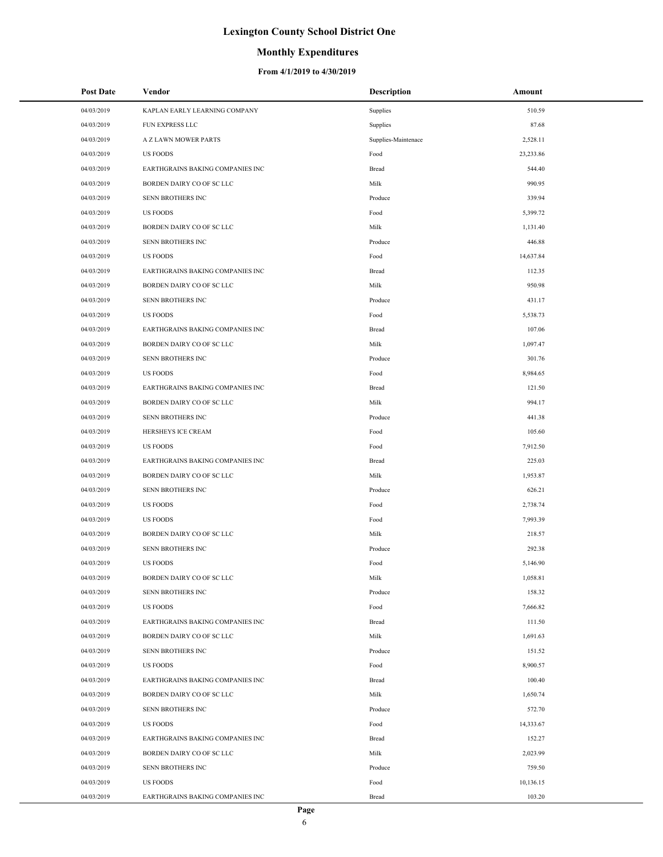## **Monthly Expenditures**

| <b>Post Date</b> | Vendor                           | <b>Description</b>  | Amount    |
|------------------|----------------------------------|---------------------|-----------|
| 04/03/2019       | KAPLAN EARLY LEARNING COMPANY    | Supplies            | 510.59    |
| 04/03/2019       | FUN EXPRESS LLC                  | Supplies            | 87.68     |
| 04/03/2019       | A Z LAWN MOWER PARTS             | Supplies-Maintenace | 2,528.11  |
| 04/03/2019       | <b>US FOODS</b>                  | Food                | 23,233.86 |
| 04/03/2019       | EARTHGRAINS BAKING COMPANIES INC | Bread               | 544.40    |
| 04/03/2019       | BORDEN DAIRY CO OF SC LLC        | Milk                | 990.95    |
| 04/03/2019       | SENN BROTHERS INC                | Produce             | 339.94    |
| 04/03/2019       | <b>US FOODS</b>                  | Food                | 5,399.72  |
| 04/03/2019       | BORDEN DAIRY CO OF SC LLC        | Milk                | 1,131.40  |
| 04/03/2019       | SENN BROTHERS INC                | Produce             | 446.88    |
| 04/03/2019       | <b>US FOODS</b>                  | Food                | 14,637.84 |
| 04/03/2019       | EARTHGRAINS BAKING COMPANIES INC | Bread               | 112.35    |
| 04/03/2019       | BORDEN DAIRY CO OF SC LLC        | Milk                | 950.98    |
| 04/03/2019       | SENN BROTHERS INC                | Produce             | 431.17    |
| 04/03/2019       | <b>US FOODS</b>                  | Food                | 5,538.73  |
| 04/03/2019       | EARTHGRAINS BAKING COMPANIES INC | Bread               | 107.06    |
| 04/03/2019       | BORDEN DAIRY CO OF SC LLC        | Milk                | 1,097.47  |
| 04/03/2019       | SENN BROTHERS INC                | Produce             | 301.76    |
| 04/03/2019       | <b>US FOODS</b>                  | Food                | 8,984.65  |
| 04/03/2019       | EARTHGRAINS BAKING COMPANIES INC | Bread               | 121.50    |
| 04/03/2019       | BORDEN DAIRY CO OF SC LLC        | Milk                | 994.17    |
| 04/03/2019       | SENN BROTHERS INC                | Produce             | 441.38    |
| 04/03/2019       | HERSHEYS ICE CREAM               | Food                | 105.60    |
| 04/03/2019       | <b>US FOODS</b>                  | Food                | 7,912.50  |
| 04/03/2019       | EARTHGRAINS BAKING COMPANIES INC | Bread               | 225.03    |
| 04/03/2019       | BORDEN DAIRY CO OF SC LLC        | Milk                | 1,953.87  |
| 04/03/2019       | SENN BROTHERS INC                | Produce             | 626.21    |
| 04/03/2019       | <b>US FOODS</b>                  | Food                | 2,738.74  |
| 04/03/2019       | <b>US FOODS</b>                  | Food                | 7,993.39  |
| 04/03/2019       | BORDEN DAIRY CO OF SC LLC        | Milk                | 218.57    |
| 04/03/2019       | SENN BROTHERS INC                | Produce             | 292.38    |
| 04/03/2019       | <b>US FOODS</b>                  | Food                | 5,146.90  |
| 04/03/2019       | BORDEN DAIRY CO OF SC LLC        | Milk                | 1,058.81  |
| 04/03/2019       | SENN BROTHERS INC                | Produce             | 158.32    |
| 04/03/2019       | <b>US FOODS</b>                  | Food                | 7,666.82  |
| 04/03/2019       | EARTHGRAINS BAKING COMPANIES INC | Bread               | 111.50    |
| 04/03/2019       | BORDEN DAIRY CO OF SC LLC        | Milk                | 1,691.63  |
| 04/03/2019       | SENN BROTHERS INC                | Produce             | 151.52    |
| 04/03/2019       | <b>US FOODS</b>                  | Food                | 8,900.57  |
| 04/03/2019       | EARTHGRAINS BAKING COMPANIES INC | Bread               | 100.40    |
| 04/03/2019       | BORDEN DAIRY CO OF SC LLC        | Milk                | 1,650.74  |
| 04/03/2019       | SENN BROTHERS INC                | Produce             | 572.70    |
| 04/03/2019       | <b>US FOODS</b>                  | Food                | 14,333.67 |
| 04/03/2019       | EARTHGRAINS BAKING COMPANIES INC | Bread               | 152.27    |
| 04/03/2019       | BORDEN DAIRY CO OF SC LLC        | Milk                | 2,023.99  |
| 04/03/2019       | SENN BROTHERS INC                | Produce             | 759.50    |
| 04/03/2019       | <b>US FOODS</b>                  | Food                | 10,136.15 |
| 04/03/2019       | EARTHGRAINS BAKING COMPANIES INC | Bread               | 103.20    |
|                  |                                  |                     |           |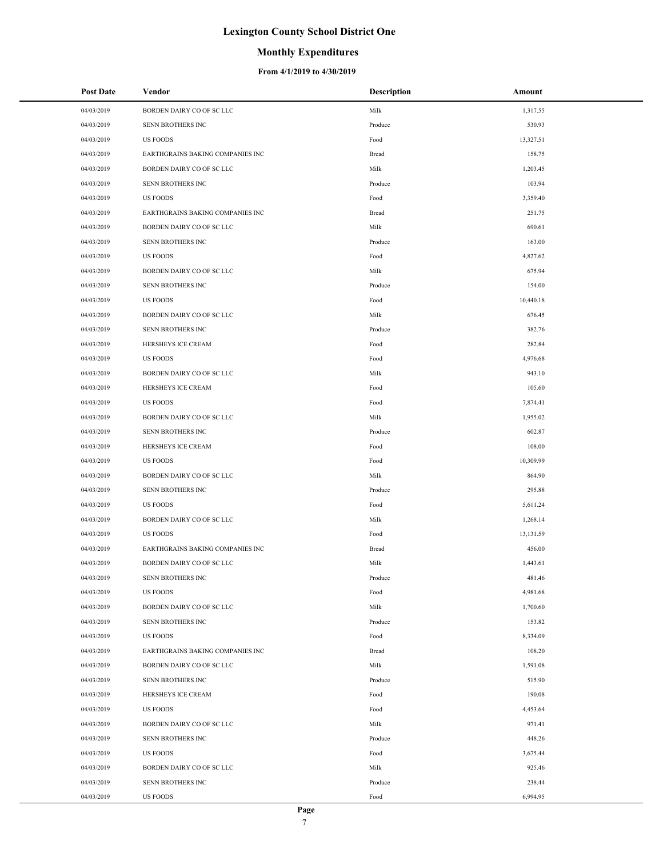### **Monthly Expenditures**

| <b>Post Date</b> | Vendor                           | <b>Description</b> | Amount    |
|------------------|----------------------------------|--------------------|-----------|
| 04/03/2019       | BORDEN DAIRY CO OF SC LLC        | Milk               | 1,317.55  |
| 04/03/2019       | SENN BROTHERS INC                | Produce            | 530.93    |
| 04/03/2019       | <b>US FOODS</b>                  | Food               | 13,327.51 |
| 04/03/2019       | EARTHGRAINS BAKING COMPANIES INC | Bread              | 158.75    |
| 04/03/2019       | BORDEN DAIRY CO OF SC LLC        | Milk               | 1,203.45  |
| 04/03/2019       | SENN BROTHERS INC                | Produce            | 103.94    |
| 04/03/2019       | <b>US FOODS</b>                  | Food               | 3,359.40  |
| 04/03/2019       | EARTHGRAINS BAKING COMPANIES INC | Bread              | 251.75    |
| 04/03/2019       | BORDEN DAIRY CO OF SC LLC        | Milk               | 690.61    |
| 04/03/2019       | SENN BROTHERS INC                | Produce            | 163.00    |
| 04/03/2019       | <b>US FOODS</b>                  | Food               | 4,827.62  |
| 04/03/2019       | BORDEN DAIRY CO OF SC LLC        | Milk               | 675.94    |
| 04/03/2019       | SENN BROTHERS INC                | Produce            | 154.00    |
| 04/03/2019       | <b>US FOODS</b>                  | Food               | 10,440.18 |
| 04/03/2019       | BORDEN DAIRY CO OF SC LLC        | Milk               | 676.45    |
| 04/03/2019       | SENN BROTHERS INC                | Produce            | 382.76    |
| 04/03/2019       | HERSHEYS ICE CREAM               | Food               | 282.84    |
| 04/03/2019       | <b>US FOODS</b>                  | Food               | 4,976.68  |
| 04/03/2019       | BORDEN DAIRY CO OF SC LLC        | Milk               | 943.10    |
| 04/03/2019       | HERSHEYS ICE CREAM               | Food               | 105.60    |
| 04/03/2019       | <b>US FOODS</b>                  | Food               | 7,874.41  |
| 04/03/2019       | BORDEN DAIRY CO OF SC LLC        | Milk               | 1,955.02  |
| 04/03/2019       | SENN BROTHERS INC                | Produce            | 602.87    |
| 04/03/2019       | HERSHEYS ICE CREAM               | Food               | 108.00    |
| 04/03/2019       | <b>US FOODS</b>                  | Food               | 10,309.99 |
| 04/03/2019       | BORDEN DAIRY CO OF SC LLC        | Milk               | 864.90    |
| 04/03/2019       | SENN BROTHERS INC                | Produce            | 295.88    |
| 04/03/2019       | <b>US FOODS</b>                  | Food               | 5,611.24  |
| 04/03/2019       | BORDEN DAIRY CO OF SC LLC        | Milk               | 1,268.14  |
| 04/03/2019       | <b>US FOODS</b>                  | Food               | 13,131.59 |
| 04/03/2019       | EARTHGRAINS BAKING COMPANIES INC | Bread              | 456.00    |
| 04/03/2019       | BORDEN DAIRY CO OF SC LLC        | Milk               | 1,443.61  |
| 04/03/2019       | SENN BROTHERS INC                | Produce            | 481.46    |
| 04/03/2019       | <b>US FOODS</b>                  | Food               | 4,981.68  |
| 04/03/2019       | BORDEN DAIRY CO OF SC LLC        | Milk               | 1,700.60  |
| 04/03/2019       | SENN BROTHERS INC                | Produce            | 153.82    |
| 04/03/2019       | <b>US FOODS</b>                  | Food               | 8,334.09  |
| 04/03/2019       | EARTHGRAINS BAKING COMPANIES INC | Bread              | 108.20    |
| 04/03/2019       | BORDEN DAIRY CO OF SC LLC        | Milk               | 1,591.08  |
| 04/03/2019       | SENN BROTHERS INC                | Produce            | 515.90    |
| 04/03/2019       | HERSHEYS ICE CREAM               | Food               | 190.08    |
| 04/03/2019       | <b>US FOODS</b>                  | Food               | 4,453.64  |
| 04/03/2019       | BORDEN DAIRY CO OF SC LLC        | Milk               | 971.41    |
| 04/03/2019       | SENN BROTHERS INC                | Produce            | 448.26    |
| 04/03/2019       | <b>US FOODS</b>                  | Food               | 3,675.44  |
| 04/03/2019       | BORDEN DAIRY CO OF SC LLC        | Milk               | 925.46    |
| 04/03/2019       | SENN BROTHERS INC                | Produce            | 238.44    |
| 04/03/2019       | <b>US FOODS</b>                  | Food               | 6,994.95  |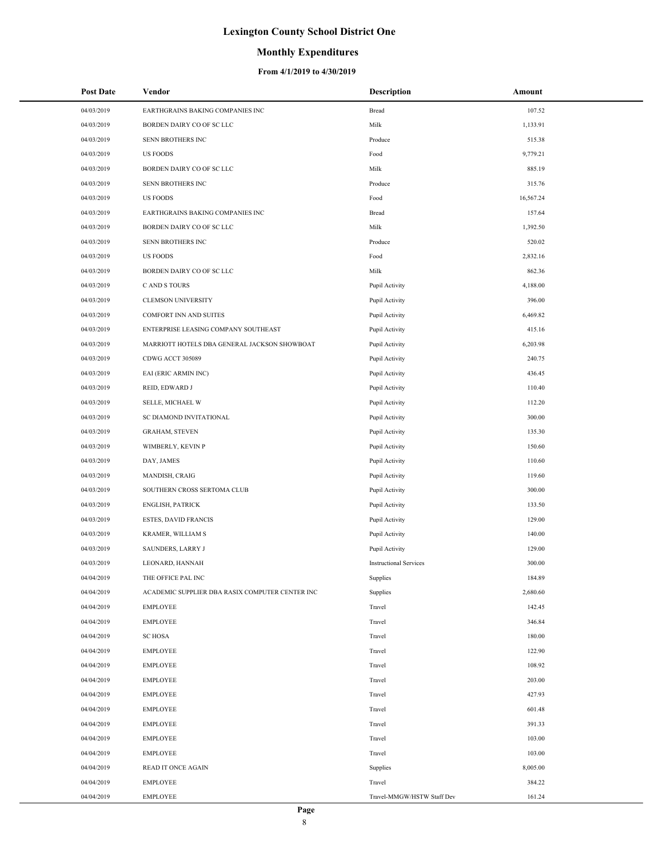### **Monthly Expenditures**

| <b>Post Date</b> | Vendor                                          | <b>Description</b>            | Amount    |
|------------------|-------------------------------------------------|-------------------------------|-----------|
| 04/03/2019       | EARTHGRAINS BAKING COMPANIES INC                | Bread                         | 107.52    |
| 04/03/2019       | BORDEN DAIRY CO OF SC LLC                       | Milk                          | 1,133.91  |
| 04/03/2019       | SENN BROTHERS INC                               | Produce                       | 515.38    |
| 04/03/2019       | <b>US FOODS</b>                                 | Food                          | 9,779.21  |
| 04/03/2019       | BORDEN DAIRY CO OF SC LLC                       | Milk                          | 885.19    |
| 04/03/2019       | SENN BROTHERS INC                               | Produce                       | 315.76    |
| 04/03/2019       | <b>US FOODS</b>                                 | Food                          | 16,567.24 |
| 04/03/2019       | EARTHGRAINS BAKING COMPANIES INC                | Bread                         | 157.64    |
| 04/03/2019       | BORDEN DAIRY CO OF SC LLC                       | Milk                          | 1,392.50  |
| 04/03/2019       | SENN BROTHERS INC                               | Produce                       | 520.02    |
| 04/03/2019       | <b>US FOODS</b>                                 | Food                          | 2,832.16  |
| 04/03/2019       | BORDEN DAIRY CO OF SC LLC                       | Milk                          | 862.36    |
| 04/03/2019       | C AND S TOURS                                   | Pupil Activity                | 4,188.00  |
| 04/03/2019       | <b>CLEMSON UNIVERSITY</b>                       | Pupil Activity                | 396.00    |
| 04/03/2019       | <b>COMFORT INN AND SUITES</b>                   | Pupil Activity                | 6,469.82  |
| 04/03/2019       | ENTERPRISE LEASING COMPANY SOUTHEAST            | Pupil Activity                | 415.16    |
| 04/03/2019       | MARRIOTT HOTELS DBA GENERAL JACKSON SHOWBOAT    | Pupil Activity                | 6,203.98  |
| 04/03/2019       | CDWG ACCT 305089                                | Pupil Activity                | 240.75    |
| 04/03/2019       | EAI (ERIC ARMIN INC)                            | Pupil Activity                | 436.45    |
| 04/03/2019       | REID, EDWARD J                                  | Pupil Activity                | 110.40    |
| 04/03/2019       | SELLE, MICHAEL W                                | Pupil Activity                | 112.20    |
| 04/03/2019       | SC DIAMOND INVITATIONAL                         | Pupil Activity                | 300.00    |
| 04/03/2019       | <b>GRAHAM, STEVEN</b>                           | Pupil Activity                | 135.30    |
| 04/03/2019       | WIMBERLY, KEVIN P                               | Pupil Activity                | 150.60    |
| 04/03/2019       | DAY, JAMES                                      | Pupil Activity                | 110.60    |
| 04/03/2019       | MANDISH, CRAIG                                  | Pupil Activity                | 119.60    |
| 04/03/2019       | SOUTHERN CROSS SERTOMA CLUB                     | Pupil Activity                | 300.00    |
| 04/03/2019       | <b>ENGLISH, PATRICK</b>                         | Pupil Activity                | 133.50    |
| 04/03/2019       | ESTES, DAVID FRANCIS                            | Pupil Activity                | 129.00    |
| 04/03/2019       | KRAMER, WILLIAM S                               | Pupil Activity                | 140.00    |
| 04/03/2019       | SAUNDERS, LARRY J                               | Pupil Activity                | 129.00    |
| 04/03/2019       | LEONARD, HANNAH                                 | <b>Instructional Services</b> | 300.00    |
| 04/04/2019       | THE OFFICE PAL INC                              | Supplies                      | 184.89    |
| 04/04/2019       | ACADEMIC SUPPLIER DBA RASIX COMPUTER CENTER INC | Supplies                      | 2,680.60  |
| 04/04/2019       | <b>EMPLOYEE</b>                                 | Travel                        | 142.45    |
| 04/04/2019       | <b>EMPLOYEE</b>                                 | Travel                        | 346.84    |
| 04/04/2019       | <b>SC HOSA</b>                                  | Travel                        | 180.00    |
| 04/04/2019       | <b>EMPLOYEE</b>                                 | Travel                        | 122.90    |
| 04/04/2019       | <b>EMPLOYEE</b>                                 | Travel                        | 108.92    |
| 04/04/2019       | <b>EMPLOYEE</b>                                 | Travel                        | 203.00    |
| 04/04/2019       | <b>EMPLOYEE</b>                                 | Travel                        | 427.93    |
| 04/04/2019       | <b>EMPLOYEE</b>                                 | Travel                        | 601.48    |
| 04/04/2019       | <b>EMPLOYEE</b>                                 | Travel                        | 391.33    |
| 04/04/2019       | <b>EMPLOYEE</b>                                 | Travel                        | 103.00    |
| 04/04/2019       | <b>EMPLOYEE</b>                                 | Travel                        | 103.00    |
| 04/04/2019       | <b>READ IT ONCE AGAIN</b>                       | Supplies                      | 8,005.00  |
| 04/04/2019       | <b>EMPLOYEE</b>                                 | Travel                        | 384.22    |
| 04/04/2019       | <b>EMPLOYEE</b>                                 | Travel-MMGW/HSTW Staff Dev    | 161.24    |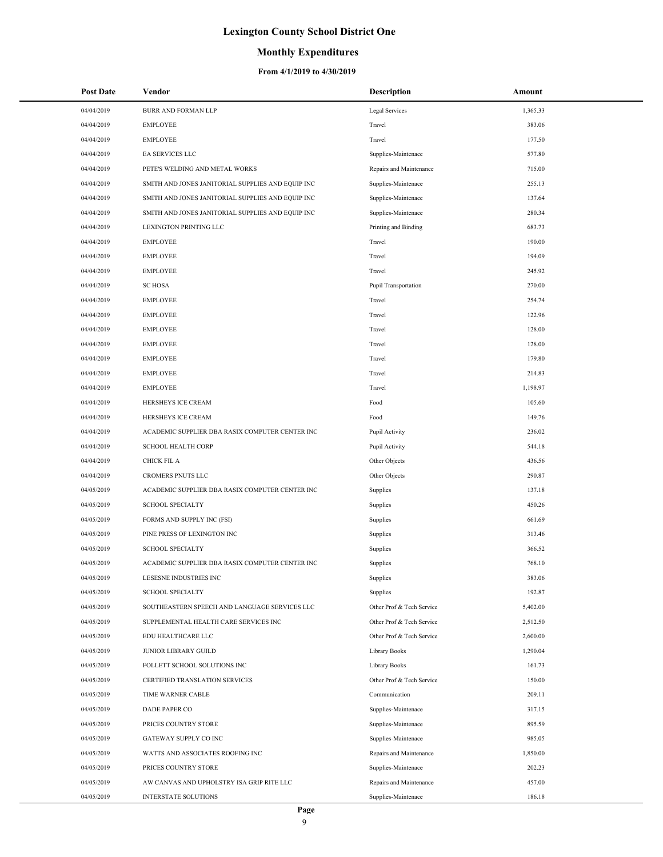## **Monthly Expenditures**

| Post Date                | Vendor                                                   | Description                                    | Amount             |
|--------------------------|----------------------------------------------------------|------------------------------------------------|--------------------|
| 04/04/2019               | BURR AND FORMAN LLP                                      | Legal Services                                 | 1,365.33           |
| 04/04/2019               | <b>EMPLOYEE</b>                                          | Travel                                         | 383.06             |
| 04/04/2019               | <b>EMPLOYEE</b>                                          | Travel                                         | 177.50             |
| 04/04/2019               | EA SERVICES LLC                                          | Supplies-Maintenace                            | 577.80             |
| 04/04/2019               | PETE'S WELDING AND METAL WORKS                           | Repairs and Maintenance                        | 715.00             |
| 04/04/2019               | SMITH AND JONES JANITORIAL SUPPLIES AND EQUIP INC        | Supplies-Maintenace                            | 255.13             |
| 04/04/2019               | SMITH AND JONES JANITORIAL SUPPLIES AND EQUIP INC        | Supplies-Maintenace                            | 137.64             |
| 04/04/2019               | SMITH AND JONES JANITORIAL SUPPLIES AND EQUIP INC        | Supplies-Maintenace                            | 280.34             |
| 04/04/2019               | LEXINGTON PRINTING LLC                                   | Printing and Binding                           | 683.73             |
| 04/04/2019               | <b>EMPLOYEE</b>                                          | Travel                                         | 190.00             |
| 04/04/2019               | <b>EMPLOYEE</b>                                          | Travel                                         | 194.09             |
| 04/04/2019               | <b>EMPLOYEE</b>                                          | Travel                                         | 245.92             |
| 04/04/2019               | <b>SC HOSA</b>                                           | Pupil Transportation                           | 270.00             |
| 04/04/2019               | <b>EMPLOYEE</b>                                          | Travel                                         | 254.74             |
| 04/04/2019               | <b>EMPLOYEE</b>                                          | Travel                                         | 122.96             |
| 04/04/2019               | <b>EMPLOYEE</b>                                          | Travel                                         | 128.00             |
| 04/04/2019               | <b>EMPLOYEE</b>                                          | Travel                                         | 128.00             |
| 04/04/2019               | <b>EMPLOYEE</b>                                          | Travel                                         | 179.80             |
| 04/04/2019               | <b>EMPLOYEE</b>                                          | Travel                                         | 214.83             |
| 04/04/2019               | <b>EMPLOYEE</b>                                          | Travel                                         | 1,198.97           |
| 04/04/2019               | HERSHEYS ICE CREAM                                       | Food                                           | 105.60             |
| 04/04/2019               | HERSHEYS ICE CREAM                                       | Food                                           | 149.76             |
| 04/04/2019               | ACADEMIC SUPPLIER DBA RASIX COMPUTER CENTER INC          | Pupil Activity                                 | 236.02             |
| 04/04/2019               | <b>SCHOOL HEALTH CORP</b>                                | Pupil Activity                                 | 544.18             |
| 04/04/2019               | CHICK FIL A                                              | Other Objects                                  | 436.56             |
| 04/04/2019               | CROMERS PNUTS LLC                                        | Other Objects                                  | 290.87             |
| 04/05/2019               | ACADEMIC SUPPLIER DBA RASIX COMPUTER CENTER INC          | Supplies                                       | 137.18             |
| 04/05/2019               | <b>SCHOOL SPECIALTY</b>                                  | Supplies                                       | 450.26             |
| 04/05/2019               | FORMS AND SUPPLY INC (FSI)                               | Supplies                                       | 661.69             |
| 04/05/2019               | PINE PRESS OF LEXINGTON INC                              | Supplies                                       | 313.46             |
| 04/05/2019               | <b>SCHOOL SPECIALTY</b>                                  | Supplies                                       | 366.52             |
| 04/05/2019               | ACADEMIC SUPPLIER DBA RASIX COMPUTER CENTER INC          | Supplies                                       | 768.10             |
| 04/05/2019               | LESESNE INDUSTRIES INC                                   | Supplies                                       | 383.06             |
| 04/05/2019               | <b>SCHOOL SPECIALTY</b>                                  | Supplies                                       | 192.87             |
| 04/05/2019               | SOUTHEASTERN SPEECH AND LANGUAGE SERVICES LLC            | Other Prof & Tech Service                      | 5,402.00           |
| 04/05/2019               | SUPPLEMENTAL HEALTH CARE SERVICES INC                    | Other Prof & Tech Service                      | 2,512.50           |
| 04/05/2019               | EDU HEALTHCARE LLC                                       | Other Prof & Tech Service                      | 2,600.00           |
| 04/05/2019               | JUNIOR LIBRARY GUILD                                     | Library Books                                  | 1,290.04           |
| 04/05/2019               | FOLLETT SCHOOL SOLUTIONS INC                             | Library Books                                  | 161.73             |
| 04/05/2019               | CERTIFIED TRANSLATION SERVICES                           | Other Prof & Tech Service                      | 150.00             |
| 04/05/2019               | TIME WARNER CABLE                                        | Communication                                  | 209.11             |
| 04/05/2019               | DADE PAPER CO                                            | Supplies-Maintenace                            | 317.15             |
| 04/05/2019               | PRICES COUNTRY STORE                                     | Supplies-Maintenace                            | 895.59             |
| 04/05/2019               | GATEWAY SUPPLY CO INC                                    | Supplies-Maintenace                            | 985.05             |
| 04/05/2019<br>04/05/2019 | WATTS AND ASSOCIATES ROOFING INC<br>PRICES COUNTRY STORE | Repairs and Maintenance<br>Supplies-Maintenace | 1,850.00<br>202.23 |
| 04/05/2019               | AW CANVAS AND UPHOLSTRY ISA GRIP RITE LLC                | Repairs and Maintenance                        | 457.00             |
| 04/05/2019               | INTERSTATE SOLUTIONS                                     | Supplies-Maintenace                            | 186.18             |
|                          |                                                          |                                                |                    |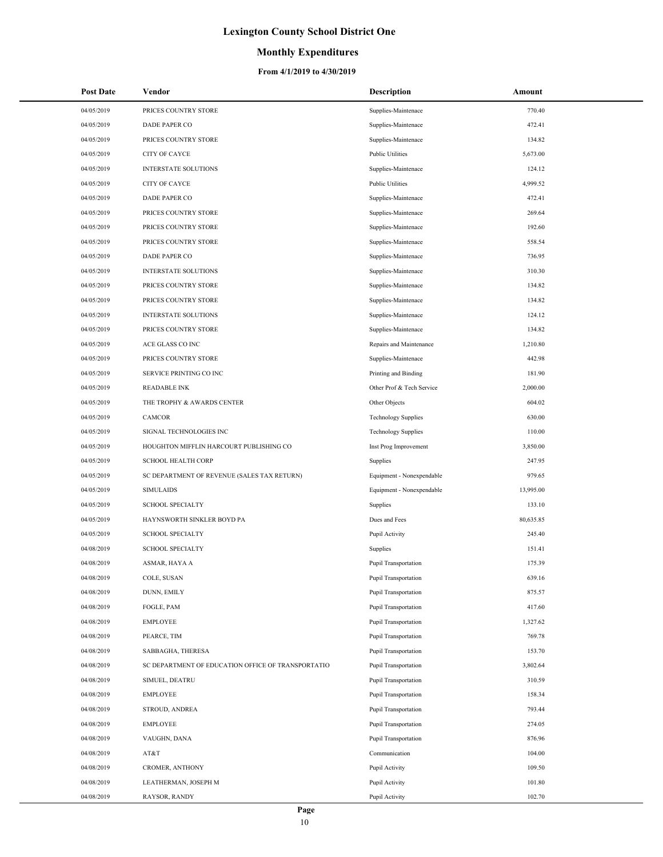### **Monthly Expenditures**

| <b>Post Date</b> | Vendor                                             | Description                 | Amount    |
|------------------|----------------------------------------------------|-----------------------------|-----------|
| 04/05/2019       | PRICES COUNTRY STORE                               | Supplies-Maintenace         | 770.40    |
| 04/05/2019       | <b>DADE PAPER CO</b>                               | Supplies-Maintenace         | 472.41    |
| 04/05/2019       | PRICES COUNTRY STORE                               | Supplies-Maintenace         | 134.82    |
| 04/05/2019       | <b>CITY OF CAYCE</b>                               | <b>Public Utilities</b>     | 5,673.00  |
| 04/05/2019       | <b>INTERSTATE SOLUTIONS</b>                        | Supplies-Maintenace         | 124.12    |
| 04/05/2019       | CITY OF CAYCE                                      | <b>Public Utilities</b>     | 4,999.52  |
| 04/05/2019       | <b>DADE PAPER CO</b>                               | Supplies-Maintenace         | 472.41    |
| 04/05/2019       | PRICES COUNTRY STORE                               | Supplies-Maintenace         | 269.64    |
| 04/05/2019       | PRICES COUNTRY STORE                               | Supplies-Maintenace         | 192.60    |
| 04/05/2019       | PRICES COUNTRY STORE                               | Supplies-Maintenace         | 558.54    |
| 04/05/2019       | DADE PAPER CO                                      | Supplies-Maintenace         | 736.95    |
| 04/05/2019       | INTERSTATE SOLUTIONS                               | Supplies-Maintenace         | 310.30    |
| 04/05/2019       | PRICES COUNTRY STORE                               | Supplies-Maintenace         | 134.82    |
| 04/05/2019       | PRICES COUNTRY STORE                               | Supplies-Maintenace         | 134.82    |
| 04/05/2019       | INTERSTATE SOLUTIONS                               | Supplies-Maintenace         | 124.12    |
| 04/05/2019       | PRICES COUNTRY STORE                               | Supplies-Maintenace         | 134.82    |
| 04/05/2019       | ACE GLASS CO INC                                   | Repairs and Maintenance     | 1,210.80  |
| 04/05/2019       | PRICES COUNTRY STORE                               | Supplies-Maintenace         | 442.98    |
| 04/05/2019       | SERVICE PRINTING CO INC                            | Printing and Binding        | 181.90    |
| 04/05/2019       | <b>READABLE INK</b>                                | Other Prof & Tech Service   | 2,000.00  |
| 04/05/2019       | THE TROPHY & AWARDS CENTER                         | Other Objects               | 604.02    |
| 04/05/2019       | CAMCOR                                             | <b>Technology Supplies</b>  | 630.00    |
| 04/05/2019       | SIGNAL TECHNOLOGIES INC                            | <b>Technology Supplies</b>  | 110.00    |
| 04/05/2019       | HOUGHTON MIFFLIN HARCOURT PUBLISHING CO            | Inst Prog Improvement       | 3,850.00  |
| 04/05/2019       | <b>SCHOOL HEALTH CORP</b>                          | Supplies                    | 247.95    |
| 04/05/2019       | SC DEPARTMENT OF REVENUE (SALES TAX RETURN)        | Equipment - Nonexpendable   | 979.65    |
| 04/05/2019       | <b>SIMULAIDS</b>                                   | Equipment - Nonexpendable   | 13,995.00 |
| 04/05/2019       | <b>SCHOOL SPECIALTY</b>                            | Supplies                    | 133.10    |
| 04/05/2019       | HAYNSWORTH SINKLER BOYD PA                         | Dues and Fees               | 80,635.85 |
| 04/05/2019       | <b>SCHOOL SPECIALTY</b>                            | Pupil Activity              | 245.40    |
| 04/08/2019       | <b>SCHOOL SPECIALTY</b>                            | Supplies                    | 151.41    |
| 04/08/2019       | ASMAR, HAYA A                                      | <b>Pupil Transportation</b> | 175.39    |
| 04/08/2019       | COLE, SUSAN                                        | Pupil Transportation        | 639.16    |
| 04/08/2019       | DUNN, EMILY                                        | Pupil Transportation        | 875.57    |
| 04/08/2019       | FOGLE, PAM                                         | Pupil Transportation        | 417.60    |
| 04/08/2019       | <b>EMPLOYEE</b>                                    | Pupil Transportation        | 1,327.62  |
| 04/08/2019       | PEARCE, TIM                                        | Pupil Transportation        | 769.78    |
| 04/08/2019       | SABBAGHA, THERESA                                  | Pupil Transportation        | 153.70    |
| 04/08/2019       | SC DEPARTMENT OF EDUCATION OFFICE OF TRANSPORTATIO | <b>Pupil Transportation</b> | 3,802.64  |
| 04/08/2019       | SIMUEL, DEATRU                                     | Pupil Transportation        | 310.59    |
| 04/08/2019       | <b>EMPLOYEE</b>                                    | Pupil Transportation        | 158.34    |
| 04/08/2019       | STROUD, ANDREA                                     | Pupil Transportation        | 793.44    |
| 04/08/2019       | <b>EMPLOYEE</b>                                    | Pupil Transportation        | 274.05    |
| 04/08/2019       | VAUGHN, DANA                                       | Pupil Transportation        | 876.96    |
| 04/08/2019       | AT&T                                               | Communication               | 104.00    |
| 04/08/2019       | CROMER, ANTHONY                                    | Pupil Activity              | 109.50    |
| 04/08/2019       | LEATHERMAN, JOSEPH M                               | Pupil Activity              | 101.80    |
| 04/08/2019       | RAYSOR, RANDY                                      | Pupil Activity              | 102.70    |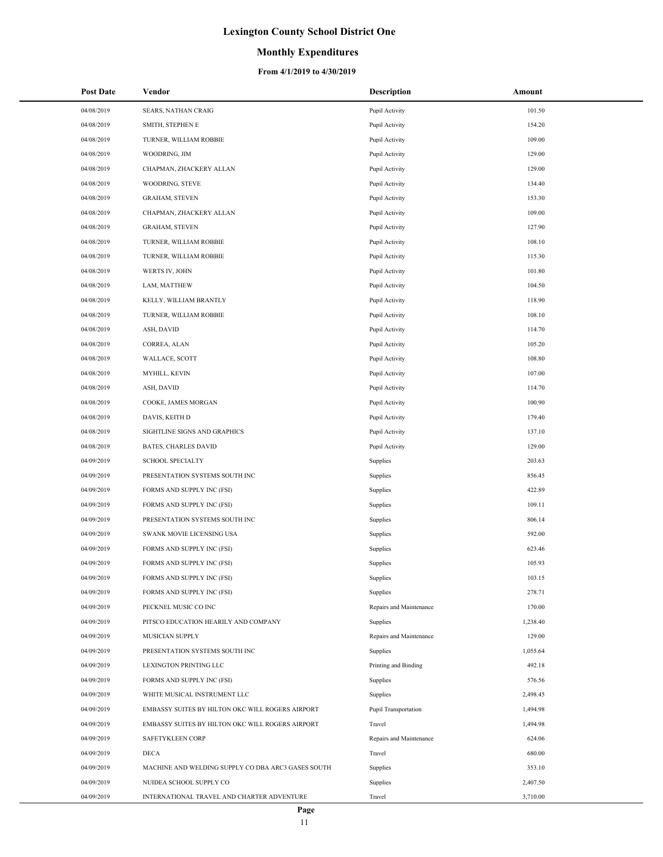### **Monthly Expenditures**

| <b>Post Date</b> | Vendor                                             | Description             | Amount   |
|------------------|----------------------------------------------------|-------------------------|----------|
| 04/08/2019       | <b>SEARS, NATHAN CRAIG</b>                         | Pupil Activity          | 101.50   |
| 04/08/2019       | SMITH, STEPHEN E                                   | Pupil Activity          | 154.20   |
| 04/08/2019       | TURNER, WILLIAM ROBBIE                             | Pupil Activity          | 109.00   |
| 04/08/2019       | WOODRING, JIM                                      | Pupil Activity          | 129.00   |
| 04/08/2019       | CHAPMAN, ZHACKERY ALLAN                            | Pupil Activity          | 129.00   |
| 04/08/2019       | WOODRING, STEVE                                    | Pupil Activity          | 134.40   |
| 04/08/2019       | <b>GRAHAM, STEVEN</b>                              | Pupil Activity          | 153.30   |
| 04/08/2019       | CHAPMAN, ZHACKERY ALLAN                            | Pupil Activity          | 109.00   |
| 04/08/2019       | <b>GRAHAM, STEVEN</b>                              | Pupil Activity          | 127.90   |
| 04/08/2019       | TURNER, WILLIAM ROBBIE                             | Pupil Activity          | 108.10   |
| 04/08/2019       | TURNER, WILLIAM ROBBIE                             | Pupil Activity          | 115.30   |
| 04/08/2019       | <b>WERTS IV, JOHN</b>                              | Pupil Activity          | 101.80   |
| 04/08/2019       | LAM, MATTHEW                                       | Pupil Activity          | 104.50   |
| 04/08/2019       | KELLY, WILLIAM BRANTLY                             | Pupil Activity          | 118.90   |
| 04/08/2019       | TURNER, WILLIAM ROBBIE                             | Pupil Activity          | 108.10   |
| 04/08/2019       | ASH, DAVID                                         | Pupil Activity          | 114.70   |
| 04/08/2019       | CORREA, ALAN                                       | Pupil Activity          | 105.20   |
| 04/08/2019       | WALLACE, SCOTT                                     | Pupil Activity          | 108.80   |
| 04/08/2019       | MYHILL, KEVIN                                      | Pupil Activity          | 107.00   |
| 04/08/2019       | ASH, DAVID                                         | Pupil Activity          | 114.70   |
| 04/08/2019       | COOKE, JAMES MORGAN                                | Pupil Activity          | 100.90   |
| 04/08/2019       | DAVIS, KEITH D                                     | Pupil Activity          | 179.40   |
| 04/08/2019       | SIGHTLINE SIGNS AND GRAPHICS                       | Pupil Activity          | 137.10   |
| 04/08/2019       | <b>BATES, CHARLES DAVID</b>                        | Pupil Activity          | 129.00   |
| 04/09/2019       | <b>SCHOOL SPECIALTY</b>                            | Supplies                | 203.63   |
| 04/09/2019       | PRESENTATION SYSTEMS SOUTH INC                     | Supplies                | 856.45   |
| 04/09/2019       | FORMS AND SUPPLY INC (FSI)                         | Supplies                | 422.89   |
| 04/09/2019       | FORMS AND SUPPLY INC (FSI)                         | Supplies                | 109.11   |
| 04/09/2019       | PRESENTATION SYSTEMS SOUTH INC                     | Supplies                | 806.14   |
| 04/09/2019       | SWANK MOVIE LICENSING USA                          | Supplies                | 592.00   |
| 04/09/2019       | FORMS AND SUPPLY INC (FSI)                         | Supplies                | 623.46   |
| 04/09/2019       | FORMS AND SUPPLY INC (FSI)                         | Supplies                | 105.93   |
| 04/09/2019       | FORMS AND SUPPLY INC (FSI)                         | Supplies                | 103.15   |
| 04/09/2019       | FORMS AND SUPPLY INC (FSI)                         | Supplies                | 278.71   |
| 04/09/2019       | PECKNEL MUSIC CO INC                               | Repairs and Maintenance | 170.00   |
| 04/09/2019       | PITSCO EDUCATION HEARILY AND COMPANY               | Supplies                | 1,238.40 |
| 04/09/2019       | MUSICIAN SUPPLY                                    | Repairs and Maintenance | 129.00   |
| 04/09/2019       | PRESENTATION SYSTEMS SOUTH INC                     | Supplies                | 1,055.64 |
| 04/09/2019       | LEXINGTON PRINTING LLC                             | Printing and Binding    | 492.18   |
| 04/09/2019       | FORMS AND SUPPLY INC (FSI)                         | Supplies                | 576.56   |
| 04/09/2019       | WHITE MUSICAL INSTRUMENT LLC                       | Supplies                | 2,498.45 |
| 04/09/2019       | EMBASSY SUITES BY HILTON OKC WILL ROGERS AIRPORT   | Pupil Transportation    | 1,494.98 |
| 04/09/2019       | EMBASSY SUITES BY HILTON OKC WILL ROGERS AIRPORT   | Travel                  | 1,494.98 |
| 04/09/2019       | <b>SAFETYKLEEN CORP</b>                            | Repairs and Maintenance | 624.06   |
| 04/09/2019       | <b>DECA</b>                                        | Travel                  | 680.00   |
| 04/09/2019       | MACHINE AND WELDING SUPPLY CO DBA ARC3 GASES SOUTH | Supplies                | 353.10   |
| 04/09/2019       | NUIDEA SCHOOL SUPPLY CO                            | Supplies                | 2,407.50 |
| 04/09/2019       | INTERNATIONAL TRAVEL AND CHARTER ADVENTURE         | Travel                  | 3,710.00 |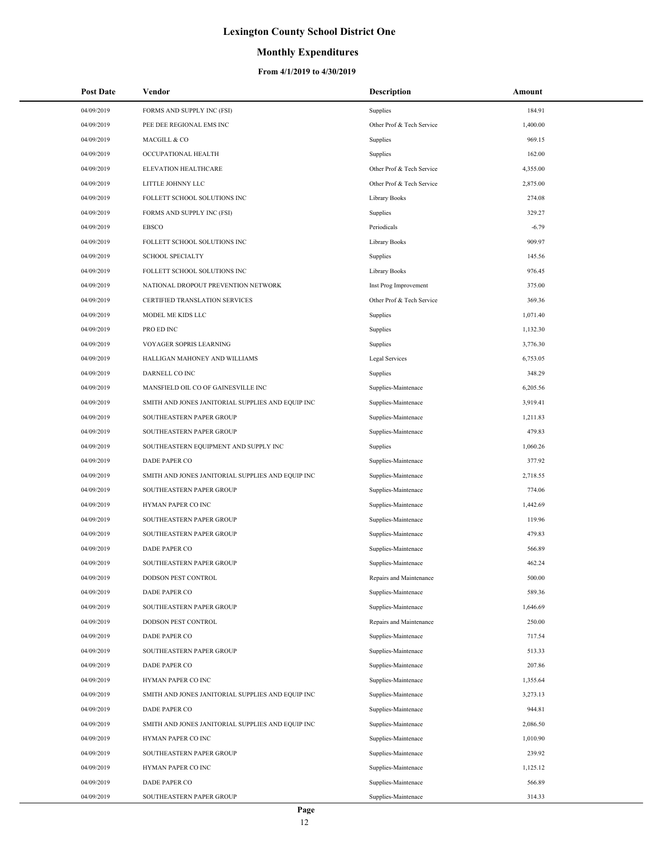### **Monthly Expenditures**

| <b>Post Date</b> | Vendor                                            | <b>Description</b>        | Amount   |
|------------------|---------------------------------------------------|---------------------------|----------|
| 04/09/2019       | FORMS AND SUPPLY INC (FSI)                        | Supplies                  | 184.91   |
| 04/09/2019       | PEE DEE REGIONAL EMS INC                          | Other Prof & Tech Service | 1,400.00 |
| 04/09/2019       | MACGILL & CO                                      | Supplies                  | 969.15   |
| 04/09/2019       | OCCUPATIONAL HEALTH                               | Supplies                  | 162.00   |
| 04/09/2019       | ELEVATION HEALTHCARE                              | Other Prof & Tech Service | 4,355.00 |
| 04/09/2019       | LITTLE JOHNNY LLC                                 | Other Prof & Tech Service | 2,875.00 |
| 04/09/2019       | FOLLETT SCHOOL SOLUTIONS INC                      | Library Books             | 274.08   |
| 04/09/2019       | FORMS AND SUPPLY INC (FSI)                        | Supplies                  | 329.27   |
| 04/09/2019       | <b>EBSCO</b>                                      | Periodicals               | $-6.79$  |
| 04/09/2019       | FOLLETT SCHOOL SOLUTIONS INC                      | Library Books             | 909.97   |
| 04/09/2019       | <b>SCHOOL SPECIALTY</b>                           | Supplies                  | 145.56   |
| 04/09/2019       | FOLLETT SCHOOL SOLUTIONS INC                      | Library Books             | 976.45   |
| 04/09/2019       | NATIONAL DROPOUT PREVENTION NETWORK               | Inst Prog Improvement     | 375.00   |
| 04/09/2019       | CERTIFIED TRANSLATION SERVICES                    | Other Prof & Tech Service | 369.36   |
| 04/09/2019       | MODEL ME KIDS LLC                                 | Supplies                  | 1,071.40 |
| 04/09/2019       | PRO ED INC                                        | Supplies                  | 1,132.30 |
| 04/09/2019       | VOYAGER SOPRIS LEARNING                           | Supplies                  | 3,776.30 |
| 04/09/2019       | HALLIGAN MAHONEY AND WILLIAMS                     | Legal Services            | 6,753.05 |
| 04/09/2019       | DARNELL CO INC                                    | Supplies                  | 348.29   |
| 04/09/2019       | MANSFIELD OIL CO OF GAINESVILLE INC               | Supplies-Maintenace       | 6,205.56 |
| 04/09/2019       | SMITH AND JONES JANITORIAL SUPPLIES AND EQUIP INC | Supplies-Maintenace       | 3,919.41 |
| 04/09/2019       | SOUTHEASTERN PAPER GROUP                          | Supplies-Maintenace       | 1,211.83 |
| 04/09/2019       | SOUTHEASTERN PAPER GROUP                          | Supplies-Maintenace       | 479.83   |
| 04/09/2019       | SOUTHEASTERN EQUIPMENT AND SUPPLY INC             | Supplies                  | 1,060.26 |
| 04/09/2019       | DADE PAPER CO                                     | Supplies-Maintenace       | 377.92   |
| 04/09/2019       | SMITH AND JONES JANITORIAL SUPPLIES AND EQUIP INC | Supplies-Maintenace       | 2,718.55 |
| 04/09/2019       | SOUTHEASTERN PAPER GROUP                          | Supplies-Maintenace       | 774.06   |
| 04/09/2019       | HYMAN PAPER CO INC                                | Supplies-Maintenace       | 1,442.69 |
| 04/09/2019       | SOUTHEASTERN PAPER GROUP                          | Supplies-Maintenace       | 119.96   |
| 04/09/2019       | SOUTHEASTERN PAPER GROUP                          | Supplies-Maintenace       | 479.83   |
| 04/09/2019       | DADE PAPER CO                                     | Supplies-Maintenace       | 566.89   |
| 04/09/2019       | SOUTHEASTERN PAPER GROUP                          | Supplies-Maintenace       | 462.24   |
| 04/09/2019       | DODSON PEST CONTROL                               | Repairs and Maintenance   | 500.00   |
| 04/09/2019       | DADE PAPER CO                                     | Supplies-Maintenace       | 589.36   |
| 04/09/2019       | SOUTHEASTERN PAPER GROUP                          | Supplies-Maintenace       | 1,646.69 |
| 04/09/2019       | DODSON PEST CONTROL                               | Repairs and Maintenance   | 250.00   |
| 04/09/2019       | <b>DADE PAPER CO</b>                              | Supplies-Maintenace       | 717.54   |
| 04/09/2019       | SOUTHEASTERN PAPER GROUP                          | Supplies-Maintenace       | 513.33   |
| 04/09/2019       | DADE PAPER CO                                     | Supplies-Maintenace       | 207.86   |
| 04/09/2019       | HYMAN PAPER CO INC                                | Supplies-Maintenace       | 1,355.64 |
| 04/09/2019       | SMITH AND JONES JANITORIAL SUPPLIES AND EQUIP INC | Supplies-Maintenace       | 3,273.13 |
| 04/09/2019       | DADE PAPER CO                                     | Supplies-Maintenace       | 944.81   |
| 04/09/2019       | SMITH AND JONES JANITORIAL SUPPLIES AND EQUIP INC | Supplies-Maintenace       | 2,086.50 |
| 04/09/2019       | HYMAN PAPER CO INC                                | Supplies-Maintenace       | 1,010.90 |
| 04/09/2019       | SOUTHEASTERN PAPER GROUP                          | Supplies-Maintenace       | 239.92   |
| 04/09/2019       | HYMAN PAPER CO INC                                | Supplies-Maintenace       | 1,125.12 |
| 04/09/2019       | DADE PAPER CO                                     | Supplies-Maintenace       | 566.89   |
| 04/09/2019       | SOUTHEASTERN PAPER GROUP                          | Supplies-Maintenace       | 314.33   |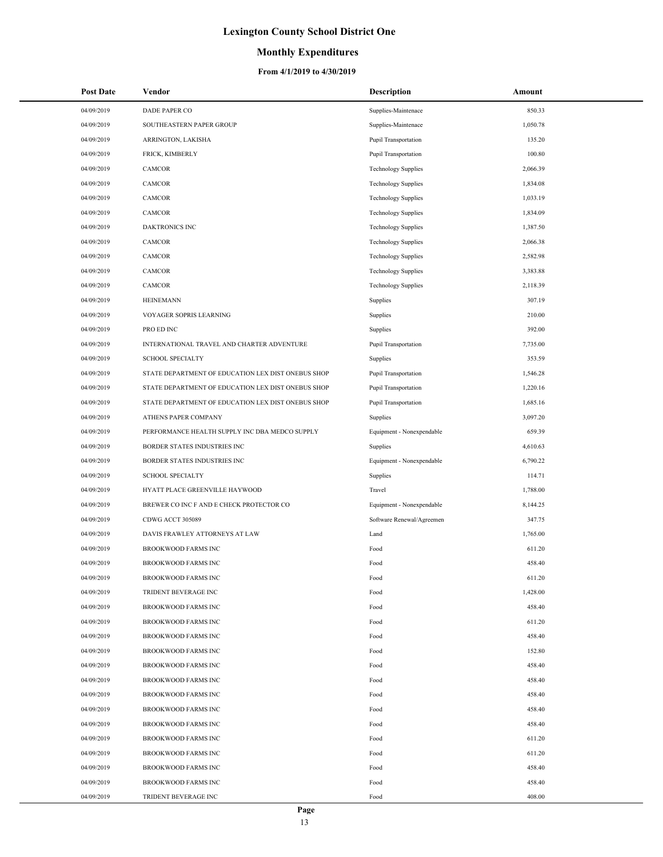### **Monthly Expenditures**

| <b>Post Date</b> | Vendor                                             | <b>Description</b>          | Amount   |
|------------------|----------------------------------------------------|-----------------------------|----------|
| 04/09/2019       | <b>DADE PAPER CO</b>                               | Supplies-Maintenace         | 850.33   |
| 04/09/2019       | SOUTHEASTERN PAPER GROUP                           | Supplies-Maintenace         | 1,050.78 |
| 04/09/2019       | ARRINGTON, LAKISHA                                 | <b>Pupil Transportation</b> | 135.20   |
| 04/09/2019       | FRICK, KIMBERLY                                    | <b>Pupil Transportation</b> | 100.80   |
| 04/09/2019       | <b>CAMCOR</b>                                      | <b>Technology Supplies</b>  | 2,066.39 |
| 04/09/2019       | CAMCOR                                             | <b>Technology Supplies</b>  | 1,834.08 |
| 04/09/2019       | <b>CAMCOR</b>                                      | <b>Technology Supplies</b>  | 1,033.19 |
| 04/09/2019       | CAMCOR                                             | <b>Technology Supplies</b>  | 1,834.09 |
| 04/09/2019       | <b>DAKTRONICS INC</b>                              | <b>Technology Supplies</b>  | 1,387.50 |
| 04/09/2019       | CAMCOR                                             | <b>Technology Supplies</b>  | 2,066.38 |
| 04/09/2019       | CAMCOR                                             | <b>Technology Supplies</b>  | 2,582.98 |
| 04/09/2019       | <b>CAMCOR</b>                                      | <b>Technology Supplies</b>  | 3,383.88 |
| 04/09/2019       | CAMCOR                                             | <b>Technology Supplies</b>  | 2,118.39 |
| 04/09/2019       | <b>HEINEMANN</b>                                   | Supplies                    | 307.19   |
| 04/09/2019       | VOYAGER SOPRIS LEARNING                            | Supplies                    | 210.00   |
| 04/09/2019       | PRO ED INC                                         | Supplies                    | 392.00   |
| 04/09/2019       | INTERNATIONAL TRAVEL AND CHARTER ADVENTURE         | <b>Pupil Transportation</b> | 7,735.00 |
| 04/09/2019       | <b>SCHOOL SPECIALTY</b>                            | Supplies                    | 353.59   |
| 04/09/2019       | STATE DEPARTMENT OF EDUCATION LEX DIST ONEBUS SHOP | <b>Pupil Transportation</b> | 1,546.28 |
| 04/09/2019       | STATE DEPARTMENT OF EDUCATION LEX DIST ONEBUS SHOP | Pupil Transportation        | 1,220.16 |
| 04/09/2019       | STATE DEPARTMENT OF EDUCATION LEX DIST ONEBUS SHOP | <b>Pupil Transportation</b> | 1,685.16 |
| 04/09/2019       | ATHENS PAPER COMPANY                               | Supplies                    | 3,097.20 |
| 04/09/2019       | PERFORMANCE HEALTH SUPPLY INC DBA MEDCO SUPPLY     | Equipment - Nonexpendable   | 659.39   |
| 04/09/2019       | BORDER STATES INDUSTRIES INC                       | Supplies                    | 4,610.63 |
| 04/09/2019       | BORDER STATES INDUSTRIES INC                       | Equipment - Nonexpendable   | 6,790.22 |
| 04/09/2019       | <b>SCHOOL SPECIALTY</b>                            | Supplies                    | 114.71   |
| 04/09/2019       | HYATT PLACE GREENVILLE HAYWOOD                     | Travel                      | 1,788.00 |
| 04/09/2019       | BREWER CO INC F AND E CHECK PROTECTOR CO           | Equipment - Nonexpendable   | 8,144.25 |
| 04/09/2019       | CDWG ACCT 305089                                   | Software Renewal/Agreemen   | 347.75   |
| 04/09/2019       | DAVIS FRAWLEY ATTORNEYS AT LAW                     | Land                        | 1,765.00 |
| 04/09/2019       | <b>BROOKWOOD FARMS INC</b>                         | Food                        | 611.20   |
| 04/09/2019       | <b>BROOKWOOD FARMS INC</b>                         | Food                        | 458.40   |
| 04/09/2019       | <b>BROOKWOOD FARMS INC</b>                         | Food                        | 611.20   |
| 04/09/2019       | TRIDENT BEVERAGE INC                               | Food                        | 1,428.00 |
| 04/09/2019       | <b>BROOKWOOD FARMS INC</b>                         | Food                        | 458.40   |
| 04/09/2019       | <b>BROOKWOOD FARMS INC</b>                         | Food                        | 611.20   |
| 04/09/2019       | <b>BROOKWOOD FARMS INC</b>                         | Food                        | 458.40   |
| 04/09/2019       | <b>BROOKWOOD FARMS INC</b>                         | Food                        | 152.80   |
| 04/09/2019       | <b>BROOKWOOD FARMS INC</b>                         | Food                        | 458.40   |
| 04/09/2019       | <b>BROOKWOOD FARMS INC</b>                         | Food                        | 458.40   |
| 04/09/2019       | <b>BROOKWOOD FARMS INC</b>                         | Food                        | 458.40   |
| 04/09/2019       | <b>BROOKWOOD FARMS INC</b>                         | Food                        | 458.40   |
| 04/09/2019       | <b>BROOKWOOD FARMS INC</b>                         | Food                        | 458.40   |
| 04/09/2019       | <b>BROOKWOOD FARMS INC</b>                         | Food                        | 611.20   |
| 04/09/2019       | <b>BROOKWOOD FARMS INC</b>                         | Food                        | 611.20   |
| 04/09/2019       | <b>BROOKWOOD FARMS INC</b>                         | Food                        | 458.40   |
| 04/09/2019       | <b>BROOKWOOD FARMS INC</b>                         | Food                        | 458.40   |
| 04/09/2019       | TRIDENT BEVERAGE INC                               | Food                        | 408.00   |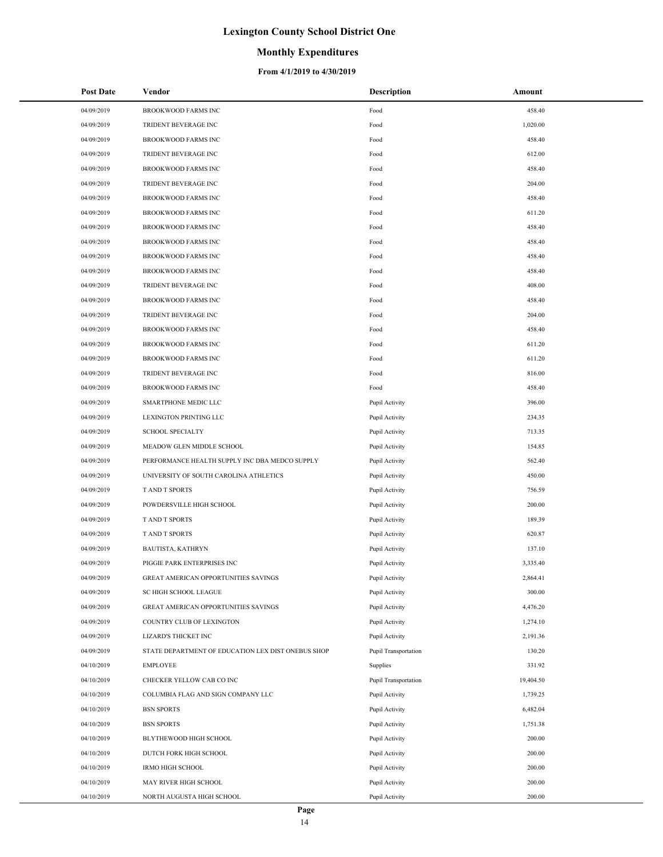## **Monthly Expenditures**

| <b>Post Date</b> | Vendor                                             | <b>Description</b>   | Amount    |
|------------------|----------------------------------------------------|----------------------|-----------|
| 04/09/2019       | <b>BROOKWOOD FARMS INC</b>                         | Food                 | 458.40    |
| 04/09/2019       | TRIDENT BEVERAGE INC                               | Food                 | 1,020.00  |
| 04/09/2019       | <b>BROOKWOOD FARMS INC</b>                         | Food                 | 458.40    |
| 04/09/2019       | TRIDENT BEVERAGE INC                               | Food                 | 612.00    |
| 04/09/2019       | <b>BROOKWOOD FARMS INC</b>                         | Food                 | 458.40    |
| 04/09/2019       | TRIDENT BEVERAGE INC                               | Food                 | 204.00    |
| 04/09/2019       | <b>BROOKWOOD FARMS INC</b>                         | Food                 | 458.40    |
| 04/09/2019       | <b>BROOKWOOD FARMS INC</b>                         | Food                 | 611.20    |
| 04/09/2019       | <b>BROOKWOOD FARMS INC</b>                         | Food                 | 458.40    |
| 04/09/2019       | <b>BROOKWOOD FARMS INC</b>                         | Food                 | 458.40    |
| 04/09/2019       | <b>BROOKWOOD FARMS INC</b>                         | Food                 | 458.40    |
| 04/09/2019       | <b>BROOKWOOD FARMS INC</b>                         | Food                 | 458.40    |
| 04/09/2019       | TRIDENT BEVERAGE INC                               | Food                 | 408.00    |
| 04/09/2019       | <b>BROOKWOOD FARMS INC</b>                         | Food                 | 458.40    |
| 04/09/2019       | TRIDENT BEVERAGE INC                               | Food                 | 204.00    |
| 04/09/2019       | <b>BROOKWOOD FARMS INC</b>                         | Food                 | 458.40    |
| 04/09/2019       | <b>BROOKWOOD FARMS INC</b>                         | Food                 | 611.20    |
| 04/09/2019       | <b>BROOKWOOD FARMS INC</b>                         | Food                 | 611.20    |
| 04/09/2019       | TRIDENT BEVERAGE INC                               | Food                 | 816.00    |
| 04/09/2019       | <b>BROOKWOOD FARMS INC</b>                         | Food                 | 458.40    |
| 04/09/2019       | SMARTPHONE MEDIC LLC                               | Pupil Activity       | 396.00    |
| 04/09/2019       | LEXINGTON PRINTING LLC                             | Pupil Activity       | 234.35    |
| 04/09/2019       | <b>SCHOOL SPECIALTY</b>                            | Pupil Activity       | 713.35    |
| 04/09/2019       | MEADOW GLEN MIDDLE SCHOOL                          | Pupil Activity       | 154.85    |
| 04/09/2019       | PERFORMANCE HEALTH SUPPLY INC DBA MEDCO SUPPLY     | Pupil Activity       | 562.40    |
| 04/09/2019       | UNIVERSITY OF SOUTH CAROLINA ATHLETICS             | Pupil Activity       | 450.00    |
| 04/09/2019       | <b>TAND T SPORTS</b>                               | Pupil Activity       | 756.59    |
| 04/09/2019       | POWDERSVILLE HIGH SCHOOL                           | Pupil Activity       | 200.00    |
| 04/09/2019       | <b>TAND T SPORTS</b>                               | Pupil Activity       | 189.39    |
| 04/09/2019       | T AND T SPORTS                                     | Pupil Activity       | 620.87    |
| 04/09/2019       | BAUTISTA, KATHRYN                                  | Pupil Activity       | 137.10    |
| 04/09/2019       | PIGGIE PARK ENTERPRISES INC                        | Pupil Activity       | 3,335.40  |
| 04/09/2019       | GREAT AMERICAN OPPORTUNITIES SAVINGS               | Pupil Activity       | 2,864.41  |
| 04/09/2019       | SC HIGH SCHOOL LEAGUE                              | Pupil Activity       | 300.00    |
| 04/09/2019       | GREAT AMERICAN OPPORTUNITIES SAVINGS               | Pupil Activity       | 4,476.20  |
| 04/09/2019       | COUNTRY CLUB OF LEXINGTON                          | Pupil Activity       | 1,274.10  |
| 04/09/2019       | LIZARD'S THICKET INC                               | Pupil Activity       | 2,191.36  |
| 04/09/2019       | STATE DEPARTMENT OF EDUCATION LEX DIST ONEBUS SHOP | Pupil Transportation | 130.20    |
| 04/10/2019       | <b>EMPLOYEE</b>                                    | Supplies             | 331.92    |
| 04/10/2019       | CHECKER YELLOW CAB CO INC                          | Pupil Transportation | 19,404.50 |
| 04/10/2019       | COLUMBIA FLAG AND SIGN COMPANY LLC                 | Pupil Activity       | 1,739.25  |
| 04/10/2019       | <b>BSN SPORTS</b>                                  | Pupil Activity       | 6,482.04  |
| 04/10/2019       | <b>BSN SPORTS</b>                                  | Pupil Activity       | 1,751.38  |
| 04/10/2019       | BLYTHEWOOD HIGH SCHOOL                             | Pupil Activity       | 200.00    |
| 04/10/2019       | DUTCH FORK HIGH SCHOOL                             | Pupil Activity       | 200.00    |
| 04/10/2019       | <b>IRMO HIGH SCHOOL</b>                            | Pupil Activity       | 200.00    |
| 04/10/2019       | MAY RIVER HIGH SCHOOL                              | Pupil Activity       | 200.00    |
| 04/10/2019       | NORTH AUGUSTA HIGH SCHOOL                          | Pupil Activity       | 200.00    |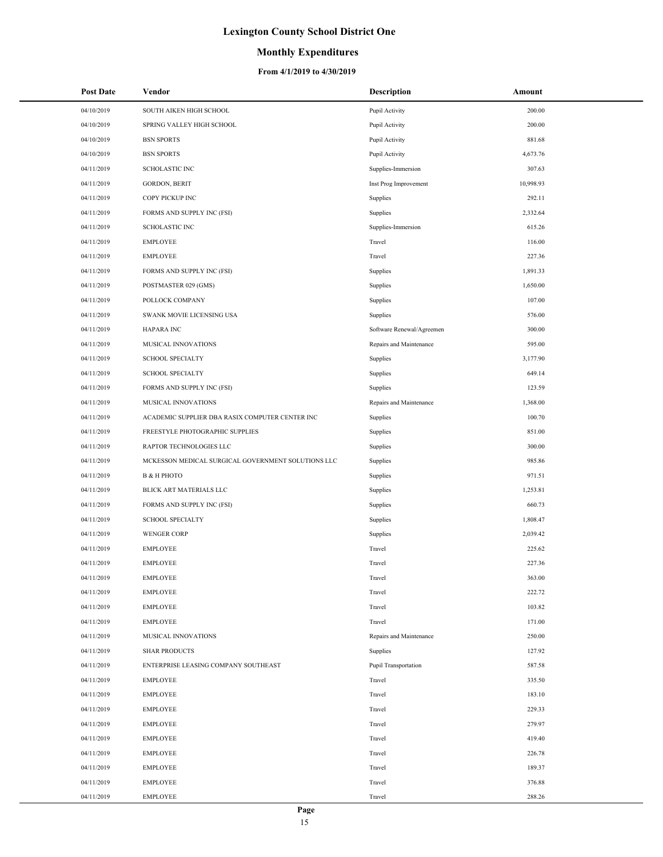### **Monthly Expenditures**

| <b>Post Date</b> | Vendor                                             | <b>Description</b>        | Amount    |
|------------------|----------------------------------------------------|---------------------------|-----------|
| 04/10/2019       | SOUTH AIKEN HIGH SCHOOL                            | Pupil Activity            | 200.00    |
| 04/10/2019       | SPRING VALLEY HIGH SCHOOL                          | Pupil Activity            | 200.00    |
| 04/10/2019       | <b>BSN SPORTS</b>                                  | Pupil Activity            | 881.68    |
| 04/10/2019       | <b>BSN SPORTS</b>                                  | Pupil Activity            | 4,673.76  |
| 04/11/2019       | <b>SCHOLASTIC INC</b>                              | Supplies-Immersion        | 307.63    |
| 04/11/2019       | <b>GORDON, BERIT</b>                               | Inst Prog Improvement     | 10,998.93 |
| 04/11/2019       | COPY PICKUP INC                                    | Supplies                  | 292.11    |
| 04/11/2019       | FORMS AND SUPPLY INC (FSI)                         | Supplies                  | 2,332.64  |
| 04/11/2019       | <b>SCHOLASTIC INC</b>                              | Supplies-Immersion        | 615.26    |
| 04/11/2019       | <b>EMPLOYEE</b>                                    | Travel                    | 116.00    |
| 04/11/2019       | <b>EMPLOYEE</b>                                    | Travel                    | 227.36    |
| 04/11/2019       | FORMS AND SUPPLY INC (FSI)                         | Supplies                  | 1,891.33  |
| 04/11/2019       | POSTMASTER 029 (GMS)                               | Supplies                  | 1,650.00  |
| 04/11/2019       | POLLOCK COMPANY                                    | Supplies                  | 107.00    |
| 04/11/2019       | SWANK MOVIE LICENSING USA                          | Supplies                  | 576.00    |
| 04/11/2019       | <b>HAPARA INC</b>                                  | Software Renewal/Agreemen | 300.00    |
| 04/11/2019       | MUSICAL INNOVATIONS                                | Repairs and Maintenance   | 595.00    |
| 04/11/2019       | <b>SCHOOL SPECIALTY</b>                            | Supplies                  | 3,177.90  |
| 04/11/2019       | <b>SCHOOL SPECIALTY</b>                            | Supplies                  | 649.14    |
| 04/11/2019       | FORMS AND SUPPLY INC (FSI)                         | Supplies                  | 123.59    |
| 04/11/2019       | MUSICAL INNOVATIONS                                | Repairs and Maintenance   | 1,368.00  |
| 04/11/2019       | ACADEMIC SUPPLIER DBA RASIX COMPUTER CENTER INC    | Supplies                  | 100.70    |
| 04/11/2019       | FREESTYLE PHOTOGRAPHIC SUPPLIES                    | Supplies                  | 851.00    |
| 04/11/2019       | RAPTOR TECHNOLOGIES LLC                            | Supplies                  | 300.00    |
| 04/11/2019       | MCKESSON MEDICAL SURGICAL GOVERNMENT SOLUTIONS LLC | Supplies                  | 985.86    |
| 04/11/2019       | В & Н РНОТО                                        | Supplies                  | 971.51    |
| 04/11/2019       | BLICK ART MATERIALS LLC                            | Supplies                  | 1,253.81  |
| 04/11/2019       | FORMS AND SUPPLY INC (FSI)                         | Supplies                  | 660.73    |
| 04/11/2019       | <b>SCHOOL SPECIALTY</b>                            | Supplies                  | 1,808.47  |
| 04/11/2019       | <b>WENGER CORP</b>                                 | Supplies                  | 2,039.42  |
| 04/11/2019       | <b>EMPLOYEE</b>                                    | Travel                    | 225.62    |
| 04/11/2019       | <b>EMPLOYEE</b>                                    | Travel                    | 227.36    |
| 04/11/2019       | <b>EMPLOYEE</b>                                    | Travel                    | 363.00    |
| 04/11/2019       | <b>EMPLOYEE</b>                                    | Travel                    | 222.72    |
| 04/11/2019       | <b>EMPLOYEE</b>                                    | Travel                    | 103.82    |
| 04/11/2019       | <b>EMPLOYEE</b>                                    | Travel                    | 171.00    |
| 04/11/2019       | MUSICAL INNOVATIONS                                | Repairs and Maintenance   | 250.00    |
| 04/11/2019       | <b>SHAR PRODUCTS</b>                               | Supplies                  | 127.92    |
| 04/11/2019       | ENTERPRISE LEASING COMPANY SOUTHEAST               | Pupil Transportation      | 587.58    |
| 04/11/2019       | <b>EMPLOYEE</b>                                    | Travel                    | 335.50    |
| 04/11/2019       | <b>EMPLOYEE</b>                                    | Travel                    | 183.10    |
| 04/11/2019       | <b>EMPLOYEE</b>                                    | Travel                    | 229.33    |
| 04/11/2019       | <b>EMPLOYEE</b>                                    | Travel                    | 279.97    |
| 04/11/2019       | <b>EMPLOYEE</b>                                    | Travel                    | 419.40    |
| 04/11/2019       | <b>EMPLOYEE</b>                                    | Travel                    | 226.78    |
| 04/11/2019       | <b>EMPLOYEE</b>                                    | Travel                    | 189.37    |
| 04/11/2019       | <b>EMPLOYEE</b>                                    | Travel                    | 376.88    |
| 04/11/2019       | <b>EMPLOYEE</b>                                    | Travel                    | 288.26    |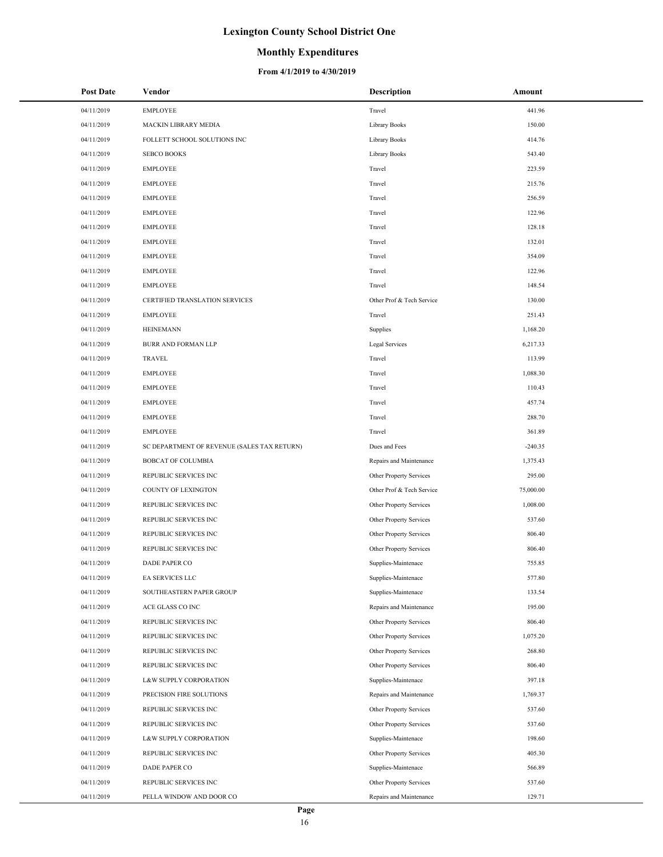### **Monthly Expenditures**

| <b>Post Date</b>         | Vendor                                         | <b>Description</b>                                 | Amount             |
|--------------------------|------------------------------------------------|----------------------------------------------------|--------------------|
| 04/11/2019               | <b>EMPLOYEE</b>                                | Travel                                             | 441.96             |
| 04/11/2019               | MACKIN LIBRARY MEDIA                           | Library Books                                      | 150.00             |
| 04/11/2019               | FOLLETT SCHOOL SOLUTIONS INC                   | Library Books                                      | 414.76             |
| 04/11/2019               | <b>SEBCO BOOKS</b>                             | Library Books                                      | 543.40             |
| 04/11/2019               | <b>EMPLOYEE</b>                                | Travel                                             | 223.59             |
| 04/11/2019               | <b>EMPLOYEE</b>                                | Travel                                             | 215.76             |
| 04/11/2019               | <b>EMPLOYEE</b>                                | Travel                                             | 256.59             |
| 04/11/2019               | <b>EMPLOYEE</b>                                | Travel                                             | 122.96             |
| 04/11/2019               | <b>EMPLOYEE</b>                                | Travel                                             | 128.18             |
| 04/11/2019               | <b>EMPLOYEE</b>                                | Travel                                             | 132.01             |
| 04/11/2019               | <b>EMPLOYEE</b>                                | Travel                                             | 354.09             |
| 04/11/2019               | <b>EMPLOYEE</b>                                | Travel                                             | 122.96             |
| 04/11/2019               | <b>EMPLOYEE</b>                                | Travel                                             | 148.54             |
| 04/11/2019               | CERTIFIED TRANSLATION SERVICES                 | Other Prof & Tech Service                          | 130.00             |
| 04/11/2019               | <b>EMPLOYEE</b>                                | Travel                                             | 251.43             |
| 04/11/2019               | <b>HEINEMANN</b>                               | Supplies                                           | 1,168.20           |
| 04/11/2019               | BURR AND FORMAN LLP                            | Legal Services                                     | 6,217.33           |
| 04/11/2019               | <b>TRAVEL</b>                                  | Travel                                             | 113.99             |
| 04/11/2019               | <b>EMPLOYEE</b>                                | Travel                                             | 1,088.30           |
| 04/11/2019               | <b>EMPLOYEE</b>                                | Travel                                             | 110.43             |
| 04/11/2019               | <b>EMPLOYEE</b>                                | Travel                                             | 457.74             |
| 04/11/2019               | <b>EMPLOYEE</b>                                | Travel                                             | 288.70             |
| 04/11/2019               | <b>EMPLOYEE</b>                                | Travel                                             | 361.89             |
| 04/11/2019               | SC DEPARTMENT OF REVENUE (SALES TAX RETURN)    | Dues and Fees                                      | $-240.35$          |
| 04/11/2019               | <b>BOBCAT OF COLUMBIA</b>                      | Repairs and Maintenance                            | 1,375.43           |
| 04/11/2019               | REPUBLIC SERVICES INC                          | Other Property Services                            | 295.00             |
| 04/11/2019               | COUNTY OF LEXINGTON                            | Other Prof & Tech Service                          | 75,000.00          |
| 04/11/2019               | REPUBLIC SERVICES INC                          | Other Property Services                            | 1,008.00           |
| 04/11/2019               | REPUBLIC SERVICES INC                          | Other Property Services                            | 537.60             |
| 04/11/2019               | REPUBLIC SERVICES INC                          | Other Property Services                            | 806.40             |
| 04/11/2019               | REPUBLIC SERVICES INC                          | Other Property Services                            | 806.40             |
| 04/11/2019               | DADE PAPER CO                                  | Supplies-Maintenace                                | 755.85             |
| 04/11/2019               | EA SERVICES LLC                                | Supplies-Maintenace                                | 577.80             |
| 04/11/2019               | SOUTHEASTERN PAPER GROUP                       | Supplies-Maintenace                                | 133.54             |
| 04/11/2019               | ACE GLASS CO INC                               | Repairs and Maintenance                            | 195.00             |
| 04/11/2019               | REPUBLIC SERVICES INC                          | Other Property Services                            | 806.40             |
| 04/11/2019               | REPUBLIC SERVICES INC                          | Other Property Services                            | 1,075.20           |
| 04/11/2019               | REPUBLIC SERVICES INC                          | Other Property Services                            | 268.80             |
| 04/11/2019               | REPUBLIC SERVICES INC                          | Other Property Services                            | 806.40             |
| 04/11/2019               | L&W SUPPLY CORPORATION                         | Supplies-Maintenace                                | 397.18             |
| 04/11/2019<br>04/11/2019 | PRECISION FIRE SOLUTIONS                       | Repairs and Maintenance<br>Other Property Services | 1,769.37<br>537.60 |
| 04/11/2019               | REPUBLIC SERVICES INC<br>REPUBLIC SERVICES INC | Other Property Services                            | 537.60             |
| 04/11/2019               | L&W SUPPLY CORPORATION                         | Supplies-Maintenace                                | 198.60             |
| 04/11/2019               | REPUBLIC SERVICES INC                          | Other Property Services                            | 405.30             |
| 04/11/2019               | DADE PAPER CO                                  | Supplies-Maintenace                                | 566.89             |
| 04/11/2019               | REPUBLIC SERVICES INC                          | Other Property Services                            | 537.60             |
| 04/11/2019               | PELLA WINDOW AND DOOR CO                       | Repairs and Maintenance                            | 129.71             |
|                          |                                                |                                                    |                    |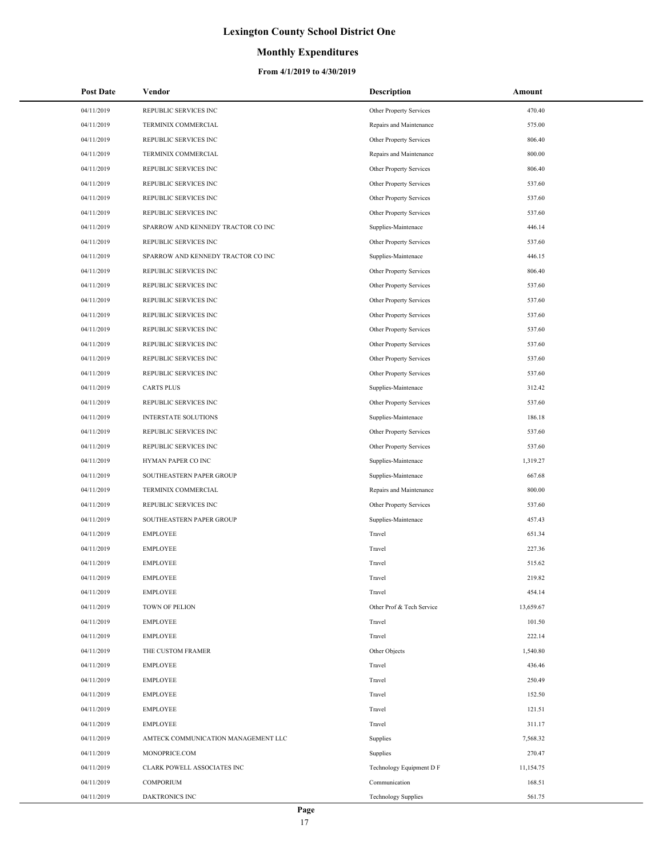## **Monthly Expenditures**

| <b>Post Date</b> | Vendor                              | Description                | Amount    |
|------------------|-------------------------------------|----------------------------|-----------|
| 04/11/2019       | REPUBLIC SERVICES INC               | Other Property Services    | 470.40    |
| 04/11/2019       | TERMINIX COMMERCIAL                 | Repairs and Maintenance    | 575.00    |
| 04/11/2019       | REPUBLIC SERVICES INC               | Other Property Services    | 806.40    |
| 04/11/2019       | TERMINIX COMMERCIAL                 | Repairs and Maintenance    | 800.00    |
| 04/11/2019       | REPUBLIC SERVICES INC               | Other Property Services    | 806.40    |
| 04/11/2019       | REPUBLIC SERVICES INC               | Other Property Services    | 537.60    |
| 04/11/2019       | REPUBLIC SERVICES INC               | Other Property Services    | 537.60    |
| 04/11/2019       | REPUBLIC SERVICES INC               | Other Property Services    | 537.60    |
| 04/11/2019       | SPARROW AND KENNEDY TRACTOR CO INC  | Supplies-Maintenace        | 446.14    |
| 04/11/2019       | REPUBLIC SERVICES INC               | Other Property Services    | 537.60    |
| 04/11/2019       | SPARROW AND KENNEDY TRACTOR CO INC  | Supplies-Maintenace        | 446.15    |
| 04/11/2019       | REPUBLIC SERVICES INC               | Other Property Services    | 806.40    |
| 04/11/2019       | REPUBLIC SERVICES INC               | Other Property Services    | 537.60    |
| 04/11/2019       | REPUBLIC SERVICES INC               | Other Property Services    | 537.60    |
| 04/11/2019       | REPUBLIC SERVICES INC               | Other Property Services    | 537.60    |
| 04/11/2019       | REPUBLIC SERVICES INC               | Other Property Services    | 537.60    |
| 04/11/2019       | REPUBLIC SERVICES INC               | Other Property Services    | 537.60    |
| 04/11/2019       | REPUBLIC SERVICES INC               | Other Property Services    | 537.60    |
| 04/11/2019       | REPUBLIC SERVICES INC               | Other Property Services    | 537.60    |
| 04/11/2019       | <b>CARTS PLUS</b>                   | Supplies-Maintenace        | 312.42    |
| 04/11/2019       | REPUBLIC SERVICES INC               | Other Property Services    | 537.60    |
| 04/11/2019       | INTERSTATE SOLUTIONS                | Supplies-Maintenace        | 186.18    |
| 04/11/2019       | REPUBLIC SERVICES INC               | Other Property Services    | 537.60    |
| 04/11/2019       | REPUBLIC SERVICES INC               | Other Property Services    | 537.60    |
| 04/11/2019       | HYMAN PAPER CO INC                  | Supplies-Maintenace        | 1,319.27  |
| 04/11/2019       | SOUTHEASTERN PAPER GROUP            | Supplies-Maintenace        | 667.68    |
| 04/11/2019       | TERMINIX COMMERCIAL                 | Repairs and Maintenance    | 800.00    |
| 04/11/2019       | REPUBLIC SERVICES INC               | Other Property Services    | 537.60    |
| 04/11/2019       | SOUTHEASTERN PAPER GROUP            | Supplies-Maintenace        | 457.43    |
| 04/11/2019       | <b>EMPLOYEE</b>                     | Travel                     | 651.34    |
| 04/11/2019       | <b>EMPLOYEE</b>                     | Travel                     | 227.36    |
| 04/11/2019       | <b>EMPLOYEE</b>                     | Travel                     | 515.62    |
| 04/11/2019       | <b>EMPLOYEE</b>                     | Travel                     | 219.82    |
| 04/11/2019       | <b>EMPLOYEE</b>                     | Travel                     | 454.14    |
| 04/11/2019       | TOWN OF PELION                      | Other Prof & Tech Service  | 13,659.67 |
| 04/11/2019       | <b>EMPLOYEE</b>                     | Travel                     | 101.50    |
| 04/11/2019       | <b>EMPLOYEE</b>                     | Travel                     | 222.14    |
| 04/11/2019       | THE CUSTOM FRAMER                   | Other Objects              | 1,540.80  |
| 04/11/2019       | <b>EMPLOYEE</b>                     | Travel                     | 436.46    |
| 04/11/2019       | <b>EMPLOYEE</b>                     | Travel                     | 250.49    |
| 04/11/2019       | <b>EMPLOYEE</b>                     | Travel                     | 152.50    |
| 04/11/2019       | <b>EMPLOYEE</b>                     | Travel                     | 121.51    |
| 04/11/2019       | <b>EMPLOYEE</b>                     | Travel                     | 311.17    |
| 04/11/2019       | AMTECK COMMUNICATION MANAGEMENT LLC | Supplies                   | 7,568.32  |
| 04/11/2019       | MONOPRICE.COM                       | Supplies                   | 270.47    |
| 04/11/2019       | CLARK POWELL ASSOCIATES INC         | Technology Equipment D F   | 11,154.75 |
| 04/11/2019       | <b>COMPORIUM</b>                    | Communication              | 168.51    |
| 04/11/2019       | DAKTRONICS INC                      | <b>Technology Supplies</b> | 561.75    |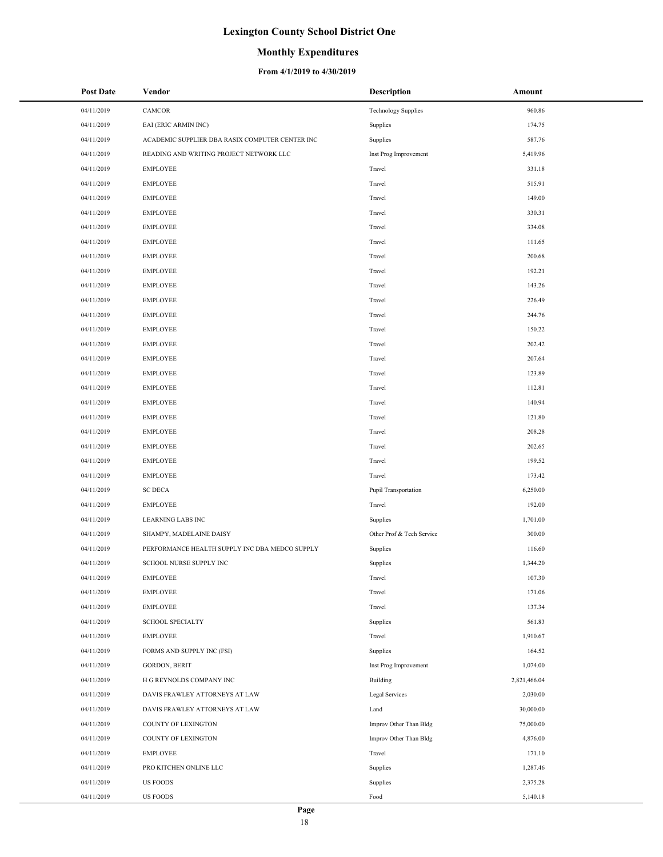### **Monthly Expenditures**

| <b>Post Date</b> | Vendor                                          | <b>Description</b>         | Amount       |
|------------------|-------------------------------------------------|----------------------------|--------------|
| 04/11/2019       | CAMCOR                                          | <b>Technology Supplies</b> | 960.86       |
| 04/11/2019       | EAI (ERIC ARMIN INC)                            | Supplies                   | 174.75       |
| 04/11/2019       | ACADEMIC SUPPLIER DBA RASIX COMPUTER CENTER INC | Supplies                   | 587.76       |
| 04/11/2019       | READING AND WRITING PROJECT NETWORK LLC         | Inst Prog Improvement      | 5,419.96     |
| 04/11/2019       | <b>EMPLOYEE</b>                                 | Travel                     | 331.18       |
| 04/11/2019       | <b>EMPLOYEE</b>                                 | Travel                     | 515.91       |
| 04/11/2019       | <b>EMPLOYEE</b>                                 | Travel                     | 149.00       |
| 04/11/2019       | <b>EMPLOYEE</b>                                 | Travel                     | 330.31       |
| 04/11/2019       | <b>EMPLOYEE</b>                                 | Travel                     | 334.08       |
| 04/11/2019       | <b>EMPLOYEE</b>                                 | Travel                     | 111.65       |
| 04/11/2019       | <b>EMPLOYEE</b>                                 | Travel                     | 200.68       |
| 04/11/2019       | <b>EMPLOYEE</b>                                 | Travel                     | 192.21       |
| 04/11/2019       | <b>EMPLOYEE</b>                                 | Travel                     | 143.26       |
| 04/11/2019       | <b>EMPLOYEE</b>                                 | Travel                     | 226.49       |
| 04/11/2019       | <b>EMPLOYEE</b>                                 | Travel                     | 244.76       |
| 04/11/2019       | <b>EMPLOYEE</b>                                 | Travel                     | 150.22       |
| 04/11/2019       | <b>EMPLOYEE</b>                                 | Travel                     | 202.42       |
| 04/11/2019       | <b>EMPLOYEE</b>                                 | Travel                     | 207.64       |
| 04/11/2019       | <b>EMPLOYEE</b>                                 | Travel                     | 123.89       |
| 04/11/2019       | <b>EMPLOYEE</b>                                 | Travel                     | 112.81       |
| 04/11/2019       | <b>EMPLOYEE</b>                                 | Travel                     | 140.94       |
| 04/11/2019       | <b>EMPLOYEE</b>                                 | Travel                     | 121.80       |
| 04/11/2019       | <b>EMPLOYEE</b>                                 | Travel                     | 208.28       |
| 04/11/2019       | <b>EMPLOYEE</b>                                 | Travel                     | 202.65       |
| 04/11/2019       | <b>EMPLOYEE</b>                                 | Travel                     | 199.52       |
| 04/11/2019       | <b>EMPLOYEE</b>                                 | Travel                     | 173.42       |
| 04/11/2019       | <b>SC DECA</b>                                  | Pupil Transportation       | 6,250.00     |
| 04/11/2019       | <b>EMPLOYEE</b>                                 | Travel                     | 192.00       |
| 04/11/2019       | LEARNING LABS INC                               | Supplies                   | 1,701.00     |
| 04/11/2019       | SHAMPY, MADELAINE DAISY                         | Other Prof & Tech Service  | 300.00       |
| 04/11/2019       | PERFORMANCE HEALTH SUPPLY INC DBA MEDCO SUPPLY  | Supplies                   | 116.60       |
| 04/11/2019       | <b>SCHOOL NURSE SUPPLY INC</b>                  | Supplies                   | 1,344.20     |
| 04/11/2019       | <b>EMPLOYEE</b>                                 | Travel                     | 107.30       |
| 04/11/2019       | <b>EMPLOYEE</b>                                 | Travel                     | 171.06       |
| 04/11/2019       | <b>EMPLOYEE</b>                                 | Travel                     | 137.34       |
| 04/11/2019       | <b>SCHOOL SPECIALTY</b>                         | Supplies                   | 561.83       |
| 04/11/2019       | EMPLOYEE                                        | Travel                     | 1,910.67     |
| 04/11/2019       | FORMS AND SUPPLY INC (FSI)                      | Supplies                   | 164.52       |
| 04/11/2019       | <b>GORDON, BERIT</b>                            | Inst Prog Improvement      | 1,074.00     |
| 04/11/2019       | H G REYNOLDS COMPANY INC                        | Building                   | 2,821,466.04 |
| 04/11/2019       | DAVIS FRAWLEY ATTORNEYS AT LAW                  | Legal Services             | 2,030.00     |
| 04/11/2019       | DAVIS FRAWLEY ATTORNEYS AT LAW                  | Land                       | 30,000.00    |
| 04/11/2019       | COUNTY OF LEXINGTON                             | Improv Other Than Bldg     | 75,000.00    |
| 04/11/2019       | COUNTY OF LEXINGTON                             | Improv Other Than Bldg     | 4,876.00     |
| 04/11/2019       | EMPLOYEE                                        | Travel                     | 171.10       |
| 04/11/2019       | PRO KITCHEN ONLINE LLC                          | Supplies                   | 1,287.46     |
| 04/11/2019       | <b>US FOODS</b>                                 | Supplies                   | 2,375.28     |
| 04/11/2019       | <b>US FOODS</b>                                 | Food                       | 5,140.18     |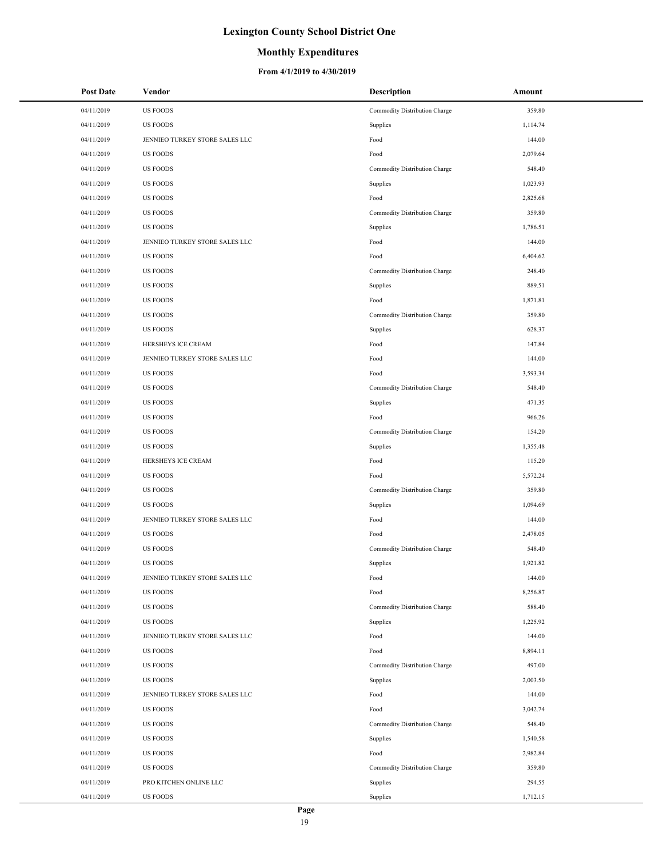### **Monthly Expenditures**

| <b>Post Date</b> | Vendor                         | Description                   | Amount   |
|------------------|--------------------------------|-------------------------------|----------|
| 04/11/2019       | <b>US FOODS</b>                | Commodity Distribution Charge | 359.80   |
| 04/11/2019       | <b>US FOODS</b>                | Supplies                      | 1,114.74 |
| 04/11/2019       | JENNIEO TURKEY STORE SALES LLC | Food                          | 144.00   |
| 04/11/2019       | <b>US FOODS</b>                | Food                          | 2,079.64 |
| 04/11/2019       | <b>US FOODS</b>                | Commodity Distribution Charge | 548.40   |
| 04/11/2019       | <b>US FOODS</b>                | Supplies                      | 1,023.93 |
| 04/11/2019       | <b>US FOODS</b>                | Food                          | 2,825.68 |
| 04/11/2019       | <b>US FOODS</b>                | Commodity Distribution Charge | 359.80   |
| 04/11/2019       | <b>US FOODS</b>                | Supplies                      | 1,786.51 |
| 04/11/2019       | JENNIEO TURKEY STORE SALES LLC | Food                          | 144.00   |
| 04/11/2019       | <b>US FOODS</b>                | Food                          | 6,404.62 |
| 04/11/2019       | <b>US FOODS</b>                | Commodity Distribution Charge | 248.40   |
| 04/11/2019       | <b>US FOODS</b>                | Supplies                      | 889.51   |
| 04/11/2019       | <b>US FOODS</b>                | Food                          | 1,871.81 |
| 04/11/2019       | <b>US FOODS</b>                | Commodity Distribution Charge | 359.80   |
| 04/11/2019       | <b>US FOODS</b>                | Supplies                      | 628.37   |
| 04/11/2019       | HERSHEYS ICE CREAM             | Food                          | 147.84   |
| 04/11/2019       | JENNIEO TURKEY STORE SALES LLC | Food                          | 144.00   |
| 04/11/2019       | <b>US FOODS</b>                | Food                          | 3,593.34 |
| 04/11/2019       | <b>US FOODS</b>                | Commodity Distribution Charge | 548.40   |
| 04/11/2019       | <b>US FOODS</b>                | Supplies                      | 471.35   |
| 04/11/2019       | <b>US FOODS</b>                | Food                          | 966.26   |
| 04/11/2019       | <b>US FOODS</b>                | Commodity Distribution Charge | 154.20   |
| 04/11/2019       | <b>US FOODS</b>                | Supplies                      | 1,355.48 |
| 04/11/2019       | HERSHEYS ICE CREAM             | Food                          | 115.20   |
| 04/11/2019       | <b>US FOODS</b>                | Food                          | 5,572.24 |
| 04/11/2019       | <b>US FOODS</b>                | Commodity Distribution Charge | 359.80   |
| 04/11/2019       | <b>US FOODS</b>                | Supplies                      | 1,094.69 |
| 04/11/2019       | JENNIEO TURKEY STORE SALES LLC | Food                          | 144.00   |
| 04/11/2019       | <b>US FOODS</b>                | Food                          | 2,478.05 |
| 04/11/2019       | <b>US FOODS</b>                | Commodity Distribution Charge | 548.40   |
| 04/11/2019       | <b>US FOODS</b>                | Supplies                      | 1,921.82 |
| 04/11/2019       | JENNIEO TURKEY STORE SALES LLC | Food                          | 144.00   |
| 04/11/2019       | <b>US FOODS</b>                | Food                          | 8,256.87 |
| 04/11/2019       | <b>US FOODS</b>                | Commodity Distribution Charge | 588.40   |
| 04/11/2019       | <b>US FOODS</b>                | Supplies                      | 1,225.92 |
| 04/11/2019       | JENNIEO TURKEY STORE SALES LLC | Food                          | 144.00   |
| 04/11/2019       | <b>US FOODS</b>                | Food                          | 8,894.11 |
| 04/11/2019       | <b>US FOODS</b>                | Commodity Distribution Charge | 497.00   |
| 04/11/2019       | <b>US FOODS</b>                | Supplies                      | 2,003.50 |
| 04/11/2019       | JENNIEO TURKEY STORE SALES LLC | Food                          | 144.00   |
| 04/11/2019       | <b>US FOODS</b>                | Food                          | 3,042.74 |
| 04/11/2019       | <b>US FOODS</b>                | Commodity Distribution Charge | 548.40   |
| 04/11/2019       | <b>US FOODS</b>                | Supplies                      | 1,540.58 |
| 04/11/2019       | <b>US FOODS</b>                | Food                          | 2,982.84 |
| 04/11/2019       | <b>US FOODS</b>                | Commodity Distribution Charge | 359.80   |
| 04/11/2019       | PRO KITCHEN ONLINE LLC         | Supplies                      | 294.55   |
| 04/11/2019       | <b>US FOODS</b>                | Supplies                      | 1,712.15 |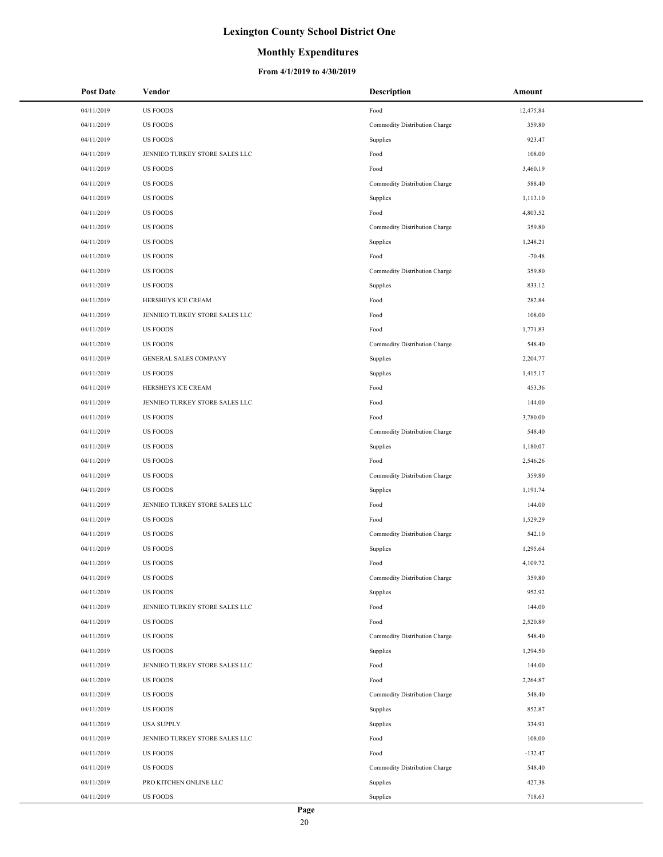### **Monthly Expenditures**

| <b>Post Date</b> | Vendor                         | <b>Description</b>            | Amount    |
|------------------|--------------------------------|-------------------------------|-----------|
| 04/11/2019       | <b>US FOODS</b>                | Food                          | 12,475.84 |
| 04/11/2019       | <b>US FOODS</b>                | Commodity Distribution Charge | 359.80    |
| 04/11/2019       | <b>US FOODS</b>                | Supplies                      | 923.47    |
| 04/11/2019       | JENNIEO TURKEY STORE SALES LLC | Food                          | 108.00    |
| 04/11/2019       | <b>US FOODS</b>                | Food                          | 3,460.19  |
| 04/11/2019       | <b>US FOODS</b>                | Commodity Distribution Charge | 588.40    |
| 04/11/2019       | <b>US FOODS</b>                | Supplies                      | 1,113.10  |
| 04/11/2019       | <b>US FOODS</b>                | Food                          | 4,803.52  |
| 04/11/2019       | <b>US FOODS</b>                | Commodity Distribution Charge | 359.80    |
| 04/11/2019       | <b>US FOODS</b>                | Supplies                      | 1,248.21  |
| 04/11/2019       | <b>US FOODS</b>                | Food                          | $-70.48$  |
| 04/11/2019       | <b>US FOODS</b>                | Commodity Distribution Charge | 359.80    |
| 04/11/2019       | <b>US FOODS</b>                | Supplies                      | 833.12    |
| 04/11/2019       | HERSHEYS ICE CREAM             | Food                          | 282.84    |
| 04/11/2019       | JENNIEO TURKEY STORE SALES LLC | Food                          | 108.00    |
| 04/11/2019       | <b>US FOODS</b>                | Food                          | 1,771.83  |
| 04/11/2019       | <b>US FOODS</b>                | Commodity Distribution Charge | 548.40    |
| 04/11/2019       | GENERAL SALES COMPANY          | Supplies                      | 2,204.77  |
| 04/11/2019       | <b>US FOODS</b>                | Supplies                      | 1,415.17  |
| 04/11/2019       | HERSHEYS ICE CREAM             | Food                          | 453.36    |
| 04/11/2019       | JENNIEO TURKEY STORE SALES LLC | Food                          | 144.00    |
| 04/11/2019       | <b>US FOODS</b>                | Food                          | 3,780.00  |
| 04/11/2019       | <b>US FOODS</b>                | Commodity Distribution Charge | 548.40    |
| 04/11/2019       | <b>US FOODS</b>                | Supplies                      | 1,180.07  |
| 04/11/2019       | <b>US FOODS</b>                | Food                          | 2,546.26  |
| 04/11/2019       | <b>US FOODS</b>                | Commodity Distribution Charge | 359.80    |
| 04/11/2019       | <b>US FOODS</b>                | Supplies                      | 1,191.74  |
| 04/11/2019       | JENNIEO TURKEY STORE SALES LLC | Food                          | 144.00    |
| 04/11/2019       | <b>US FOODS</b>                | Food                          | 1,529.29  |
| 04/11/2019       | <b>US FOODS</b>                | Commodity Distribution Charge | 542.10    |
| 04/11/2019       | <b>US FOODS</b>                | Supplies                      | 1,295.64  |
| 04/11/2019       | <b>US FOODS</b>                | Food                          | 4,109.72  |
| 04/11/2019       | <b>US FOODS</b>                | Commodity Distribution Charge | 359.80    |
| 04/11/2019       | <b>US FOODS</b>                | Supplies                      | 952.92    |
| 04/11/2019       | JENNIEO TURKEY STORE SALES LLC | Food                          | 144.00    |
| 04/11/2019       | <b>US FOODS</b>                | Food                          | 2,520.89  |
| 04/11/2019       | <b>US FOODS</b>                | Commodity Distribution Charge | 548.40    |
| 04/11/2019       | <b>US FOODS</b>                | Supplies                      | 1,294.50  |
| 04/11/2019       | JENNIEO TURKEY STORE SALES LLC | Food                          | 144.00    |
| 04/11/2019       | <b>US FOODS</b>                | Food                          | 2,264.87  |
| 04/11/2019       | <b>US FOODS</b>                | Commodity Distribution Charge | 548.40    |
| 04/11/2019       | <b>US FOODS</b>                | Supplies                      | 852.87    |
| 04/11/2019       | <b>USA SUPPLY</b>              | Supplies                      | 334.91    |
| 04/11/2019       | JENNIEO TURKEY STORE SALES LLC | Food                          | 108.00    |
| 04/11/2019       | <b>US FOODS</b>                | Food                          | $-132.47$ |
| 04/11/2019       | <b>US FOODS</b>                | Commodity Distribution Charge | 548.40    |
| 04/11/2019       | PRO KITCHEN ONLINE LLC         | Supplies                      | 427.38    |
| 04/11/2019       | <b>US FOODS</b>                | Supplies                      | 718.63    |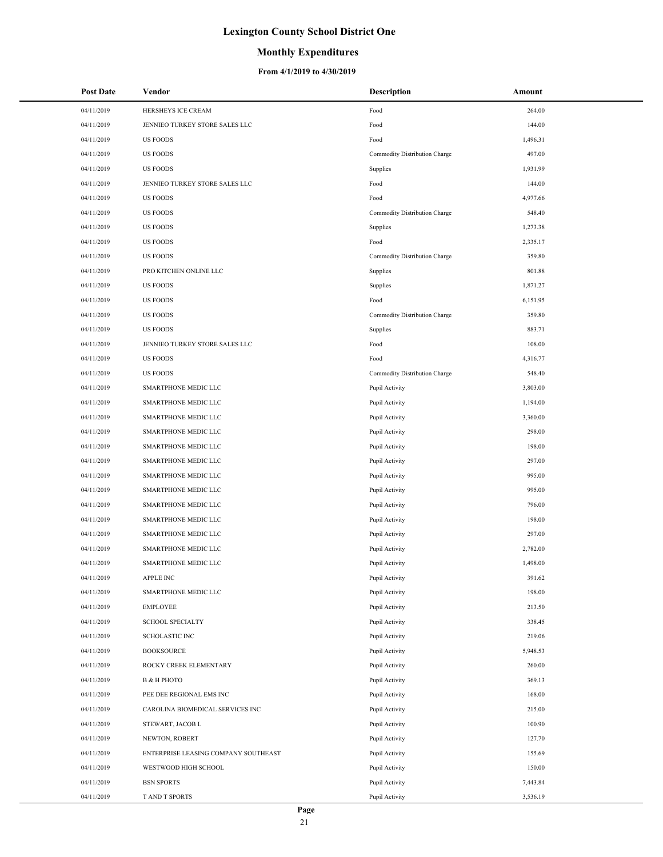### **Monthly Expenditures**

| <b>Post Date</b> | Vendor                               | <b>Description</b>            | Amount   |
|------------------|--------------------------------------|-------------------------------|----------|
| 04/11/2019       | HERSHEYS ICE CREAM                   | Food                          | 264.00   |
| 04/11/2019       | JENNIEO TURKEY STORE SALES LLC       | Food                          | 144.00   |
| 04/11/2019       | <b>US FOODS</b>                      | Food                          | 1,496.31 |
| 04/11/2019       | <b>US FOODS</b>                      | Commodity Distribution Charge | 497.00   |
| 04/11/2019       | <b>US FOODS</b>                      | Supplies                      | 1,931.99 |
| 04/11/2019       | JENNIEO TURKEY STORE SALES LLC       | Food                          | 144.00   |
| 04/11/2019       | <b>US FOODS</b>                      | Food                          | 4,977.66 |
| 04/11/2019       | <b>US FOODS</b>                      | Commodity Distribution Charge | 548.40   |
| 04/11/2019       | <b>US FOODS</b>                      | Supplies                      | 1,273.38 |
| 04/11/2019       | <b>US FOODS</b>                      | Food                          | 2,335.17 |
| 04/11/2019       | <b>US FOODS</b>                      | Commodity Distribution Charge | 359.80   |
| 04/11/2019       | PRO KITCHEN ONLINE LLC               | Supplies                      | 801.88   |
| 04/11/2019       | <b>US FOODS</b>                      | Supplies                      | 1,871.27 |
| 04/11/2019       | <b>US FOODS</b>                      | Food                          | 6,151.95 |
| 04/11/2019       | <b>US FOODS</b>                      | Commodity Distribution Charge | 359.80   |
| 04/11/2019       | <b>US FOODS</b>                      | Supplies                      | 883.71   |
| 04/11/2019       | JENNIEO TURKEY STORE SALES LLC       | Food                          | 108.00   |
| 04/11/2019       | <b>US FOODS</b>                      | Food                          | 4,316.77 |
| 04/11/2019       | <b>US FOODS</b>                      | Commodity Distribution Charge | 548.40   |
| 04/11/2019       | SMARTPHONE MEDIC LLC                 | Pupil Activity                | 3,803.00 |
| 04/11/2019       | SMARTPHONE MEDIC LLC                 | Pupil Activity                | 1,194.00 |
| 04/11/2019       | SMARTPHONE MEDIC LLC                 | Pupil Activity                | 3,360.00 |
| 04/11/2019       | SMARTPHONE MEDIC LLC                 | Pupil Activity                | 298.00   |
| 04/11/2019       | SMARTPHONE MEDIC LLC                 | Pupil Activity                | 198.00   |
| 04/11/2019       | SMARTPHONE MEDIC LLC                 | Pupil Activity                | 297.00   |
| 04/11/2019       | SMARTPHONE MEDIC LLC                 | Pupil Activity                | 995.00   |
| 04/11/2019       | SMARTPHONE MEDIC LLC                 | Pupil Activity                | 995.00   |
| 04/11/2019       | SMARTPHONE MEDIC LLC                 | Pupil Activity                | 796.00   |
| 04/11/2019       | SMARTPHONE MEDIC LLC                 | Pupil Activity                | 198.00   |
| 04/11/2019       | SMARTPHONE MEDIC LLC                 | Pupil Activity                | 297.00   |
| 04/11/2019       | SMARTPHONE MEDIC LLC                 | Pupil Activity                | 2,782.00 |
| 04/11/2019       | SMARTPHONE MEDIC LLC                 | Pupil Activity                | 1,498.00 |
| 04/11/2019       | APPLE INC                            | Pupil Activity                | 391.62   |
| 04/11/2019       | SMARTPHONE MEDIC LLC                 | Pupil Activity                | 198.00   |
| 04/11/2019       | EMPLOYEE                             | Pupil Activity                | 213.50   |
| 04/11/2019       | <b>SCHOOL SPECIALTY</b>              | Pupil Activity                | 338.45   |
| 04/11/2019       | <b>SCHOLASTIC INC</b>                | Pupil Activity                | 219.06   |
| 04/11/2019       | <b>BOOKSOURCE</b>                    | Pupil Activity                | 5,948.53 |
| 04/11/2019       | ROCKY CREEK ELEMENTARY               | Pupil Activity                | 260.00   |
| 04/11/2019       | В & Н РНОТО                          | Pupil Activity                | 369.13   |
| 04/11/2019       | PEE DEE REGIONAL EMS INC             | Pupil Activity                | 168.00   |
| 04/11/2019       | CAROLINA BIOMEDICAL SERVICES INC     | Pupil Activity                | 215.00   |
| 04/11/2019       | STEWART, JACOB L                     | Pupil Activity                | 100.90   |
| 04/11/2019       | NEWTON, ROBERT                       | Pupil Activity                | 127.70   |
| 04/11/2019       | ENTERPRISE LEASING COMPANY SOUTHEAST | Pupil Activity                | 155.69   |
| 04/11/2019       | WESTWOOD HIGH SCHOOL                 | Pupil Activity                | 150.00   |
| 04/11/2019       | <b>BSN SPORTS</b>                    | Pupil Activity                | 7,443.84 |
| 04/11/2019       | T AND T SPORTS                       | Pupil Activity                | 3,536.19 |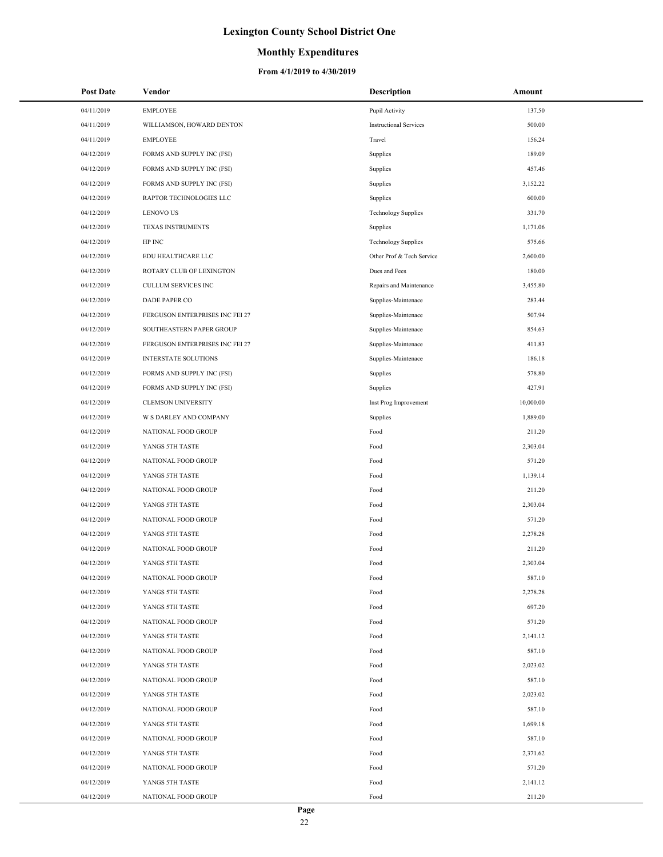### **Monthly Expenditures**

| <b>Post Date</b> | Vendor                          | <b>Description</b>            | Amount    |
|------------------|---------------------------------|-------------------------------|-----------|
| 04/11/2019       | <b>EMPLOYEE</b>                 | Pupil Activity                | 137.50    |
| 04/11/2019       | WILLIAMSON, HOWARD DENTON       | <b>Instructional Services</b> | 500.00    |
| 04/11/2019       | <b>EMPLOYEE</b>                 | Travel                        | 156.24    |
| 04/12/2019       | FORMS AND SUPPLY INC (FSI)      | Supplies                      | 189.09    |
| 04/12/2019       | FORMS AND SUPPLY INC (FSI)      | Supplies                      | 457.46    |
| 04/12/2019       | FORMS AND SUPPLY INC (FSI)      | Supplies                      | 3,152.22  |
| 04/12/2019       | RAPTOR TECHNOLOGIES LLC         | Supplies                      | 600.00    |
| 04/12/2019       | <b>LENOVO US</b>                | <b>Technology Supplies</b>    | 331.70    |
| 04/12/2019       | <b>TEXAS INSTRUMENTS</b>        | Supplies                      | 1,171.06  |
| 04/12/2019       | HP INC                          | <b>Technology Supplies</b>    | 575.66    |
| 04/12/2019       | EDU HEALTHCARE LLC              | Other Prof & Tech Service     | 2,600.00  |
| 04/12/2019       | ROTARY CLUB OF LEXINGTON        | Dues and Fees                 | 180.00    |
| 04/12/2019       | CULLUM SERVICES INC             | Repairs and Maintenance       | 3,455.80  |
| 04/12/2019       | DADE PAPER CO                   | Supplies-Maintenace           | 283.44    |
| 04/12/2019       | FERGUSON ENTERPRISES INC FEI 27 | Supplies-Maintenace           | 507.94    |
| 04/12/2019       | SOUTHEASTERN PAPER GROUP        | Supplies-Maintenace           | 854.63    |
| 04/12/2019       | FERGUSON ENTERPRISES INC FEI 27 | Supplies-Maintenace           | 411.83    |
| 04/12/2019       | <b>INTERSTATE SOLUTIONS</b>     | Supplies-Maintenace           | 186.18    |
| 04/12/2019       | FORMS AND SUPPLY INC (FSI)      | Supplies                      | 578.80    |
| 04/12/2019       | FORMS AND SUPPLY INC (FSI)      | Supplies                      | 427.91    |
| 04/12/2019       | <b>CLEMSON UNIVERSITY</b>       | Inst Prog Improvement         | 10,000.00 |
| 04/12/2019       | W S DARLEY AND COMPANY          | Supplies                      | 1,889.00  |
| 04/12/2019       | NATIONAL FOOD GROUP             | Food                          | 211.20    |
| 04/12/2019       | YANGS 5TH TASTE                 | Food                          | 2,303.04  |
| 04/12/2019       | NATIONAL FOOD GROUP             | Food                          | 571.20    |
| 04/12/2019       | YANGS 5TH TASTE                 | Food                          | 1,139.14  |
| 04/12/2019       | NATIONAL FOOD GROUP             | Food                          | 211.20    |
| 04/12/2019       | YANGS 5TH TASTE                 | Food                          | 2,303.04  |
| 04/12/2019       | NATIONAL FOOD GROUP             | Food                          | 571.20    |
| 04/12/2019       | YANGS 5TH TASTE                 | Food                          | 2,278.28  |
| 04/12/2019       | NATIONAL FOOD GROUP             | Food                          | 211.20    |
| 04/12/2019       | YANGS 5TH TASTE                 | Food                          | 2,303.04  |
| 04/12/2019       | NATIONAL FOOD GROUP             | Food                          | 587.10    |
| 04/12/2019       | YANGS 5TH TASTE                 | Food                          | 2,278.28  |
| 04/12/2019       | YANGS 5TH TASTE                 | Food                          | 697.20    |
| 04/12/2019       | NATIONAL FOOD GROUP             | Food                          | 571.20    |
| 04/12/2019       | YANGS 5TH TASTE                 | Food                          | 2,141.12  |
| 04/12/2019       | NATIONAL FOOD GROUP             | Food                          | 587.10    |
| 04/12/2019       | YANGS 5TH TASTE                 | Food                          | 2,023.02  |
| 04/12/2019       | NATIONAL FOOD GROUP             | Food                          | 587.10    |
| 04/12/2019       | YANGS 5TH TASTE                 | Food                          | 2,023.02  |
| 04/12/2019       | NATIONAL FOOD GROUP             | Food                          | 587.10    |
| 04/12/2019       | YANGS 5TH TASTE                 | Food                          | 1,699.18  |
| 04/12/2019       | NATIONAL FOOD GROUP             | Food                          | 587.10    |
| 04/12/2019       | YANGS 5TH TASTE                 | Food                          | 2,371.62  |
| 04/12/2019       | NATIONAL FOOD GROUP             | Food                          | 571.20    |
| 04/12/2019       | YANGS 5TH TASTE                 | Food                          | 2,141.12  |
| 04/12/2019       | NATIONAL FOOD GROUP             | Food                          | 211.20    |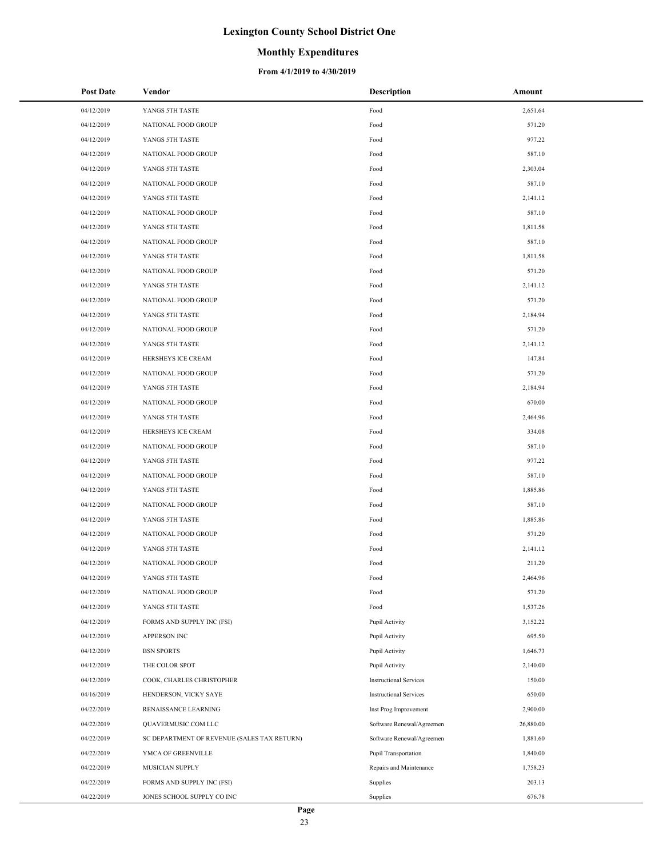### **Monthly Expenditures**

| <b>Post Date</b> | Vendor                                      | Description                   | Amount    |
|------------------|---------------------------------------------|-------------------------------|-----------|
| 04/12/2019       | YANGS 5TH TASTE                             | Food                          | 2,651.64  |
| 04/12/2019       | NATIONAL FOOD GROUP                         | Food                          | 571.20    |
| 04/12/2019       | YANGS 5TH TASTE                             | Food                          | 977.22    |
| 04/12/2019       | NATIONAL FOOD GROUP                         | Food                          | 587.10    |
| 04/12/2019       | YANGS 5TH TASTE                             | Food                          | 2,303.04  |
| 04/12/2019       | NATIONAL FOOD GROUP                         | Food                          | 587.10    |
| 04/12/2019       | YANGS 5TH TASTE                             | Food                          | 2,141.12  |
| 04/12/2019       | NATIONAL FOOD GROUP                         | Food                          | 587.10    |
| 04/12/2019       | YANGS 5TH TASTE                             | Food                          | 1,811.58  |
| 04/12/2019       | NATIONAL FOOD GROUP                         | Food                          | 587.10    |
| 04/12/2019       | YANGS 5TH TASTE                             | Food                          | 1,811.58  |
| 04/12/2019       | NATIONAL FOOD GROUP                         | Food                          | 571.20    |
| 04/12/2019       | YANGS 5TH TASTE                             | Food                          | 2,141.12  |
| 04/12/2019       | NATIONAL FOOD GROUP                         | Food                          | 571.20    |
| 04/12/2019       | YANGS 5TH TASTE                             | Food                          | 2,184.94  |
| 04/12/2019       | NATIONAL FOOD GROUP                         | Food                          | 571.20    |
| 04/12/2019       | YANGS 5TH TASTE                             | Food                          | 2,141.12  |
| 04/12/2019       | HERSHEYS ICE CREAM                          | Food                          | 147.84    |
| 04/12/2019       | NATIONAL FOOD GROUP                         | Food                          | 571.20    |
| 04/12/2019       | YANGS 5TH TASTE                             | Food                          | 2,184.94  |
| 04/12/2019       | NATIONAL FOOD GROUP                         | Food                          | 670.00    |
| 04/12/2019       | YANGS 5TH TASTE                             | Food                          | 2,464.96  |
| 04/12/2019       | HERSHEYS ICE CREAM                          | Food                          | 334.08    |
| 04/12/2019       | NATIONAL FOOD GROUP                         | Food                          | 587.10    |
| 04/12/2019       | YANGS 5TH TASTE                             | Food                          | 977.22    |
| 04/12/2019       | NATIONAL FOOD GROUP                         | Food                          | 587.10    |
| 04/12/2019       | YANGS 5TH TASTE                             | Food                          | 1,885.86  |
| 04/12/2019       | NATIONAL FOOD GROUP                         | Food                          | 587.10    |
| 04/12/2019       | YANGS 5TH TASTE                             | Food                          | 1,885.86  |
| 04/12/2019       | NATIONAL FOOD GROUP                         | Food                          | 571.20    |
| 04/12/2019       | YANGS 5TH TASTE                             | Food                          | 2,141.12  |
| 04/12/2019       | NATIONAL FOOD GROUP                         | Food                          | 211.20    |
| 04/12/2019       | YANGS 5TH TASTE                             | Food                          | 2,464.96  |
| 04/12/2019       | NATIONAL FOOD GROUP                         | Food                          | 571.20    |
| 04/12/2019       | YANGS 5TH TASTE                             | Food                          | 1,537.26  |
| 04/12/2019       | FORMS AND SUPPLY INC (FSI)                  | Pupil Activity                | 3,152.22  |
| 04/12/2019       | APPERSON INC                                | Pupil Activity                | 695.50    |
| 04/12/2019       | <b>BSN SPORTS</b>                           | Pupil Activity                | 1,646.73  |
| 04/12/2019       | THE COLOR SPOT                              | Pupil Activity                | 2,140.00  |
| 04/12/2019       | COOK, CHARLES CHRISTOPHER                   | <b>Instructional Services</b> | 150.00    |
| 04/16/2019       | HENDERSON, VICKY SAYE                       | <b>Instructional Services</b> | 650.00    |
| 04/22/2019       | RENAISSANCE LEARNING                        | Inst Prog Improvement         | 2,900.00  |
| 04/22/2019       | QUAVERMUSIC.COM LLC                         | Software Renewal/Agreemen     | 26,880.00 |
| 04/22/2019       | SC DEPARTMENT OF REVENUE (SALES TAX RETURN) | Software Renewal/Agreemen     | 1,881.60  |
| 04/22/2019       | YMCA OF GREENVILLE                          | Pupil Transportation          | 1,840.00  |
| 04/22/2019       | MUSICIAN SUPPLY                             | Repairs and Maintenance       | 1,758.23  |
| 04/22/2019       | FORMS AND SUPPLY INC (FSI)                  | Supplies                      | 203.13    |
| 04/22/2019       | JONES SCHOOL SUPPLY CO INC                  | Supplies                      | 676.78    |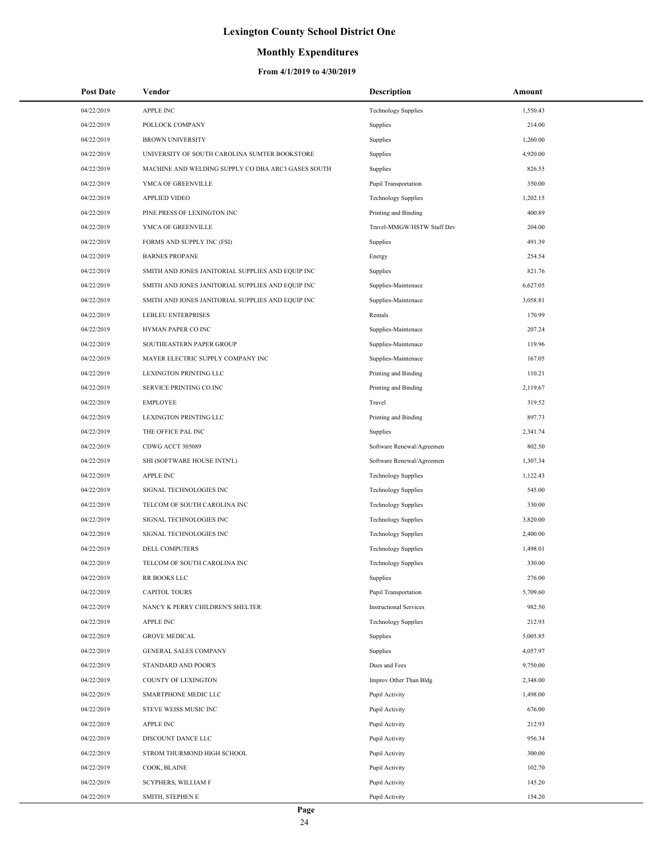## **Monthly Expenditures**

| <b>Post Date</b> | Vendor                                             | <b>Description</b>            | Amount   |
|------------------|----------------------------------------------------|-------------------------------|----------|
| 04/22/2019       | <b>APPLE INC</b>                                   | <b>Technology Supplies</b>    | 1,550.43 |
| 04/22/2019       | POLLOCK COMPANY                                    | Supplies                      | 214.00   |
| 04/22/2019       | <b>BROWN UNIVERSITY</b>                            | Supplies                      | 1,260.00 |
| 04/22/2019       | UNIVERSITY OF SOUTH CAROLINA SUMTER BOOKSTORE      | Supplies                      | 4,920.00 |
| 04/22/2019       | MACHINE AND WELDING SUPPLY CO DBA ARC3 GASES SOUTH | Supplies                      | 826.55   |
| 04/22/2019       | YMCA OF GREENVILLE                                 | Pupil Transportation          | 350.00   |
| 04/22/2019       | <b>APPLIED VIDEO</b>                               | <b>Technology Supplies</b>    | 1,202.15 |
| 04/22/2019       | PINE PRESS OF LEXINGTON INC                        | Printing and Binding          | 400.89   |
| 04/22/2019       | YMCA OF GREENVILLE                                 | Travel-MMGW/HSTW Staff Dev    | 204.00   |
| 04/22/2019       | FORMS AND SUPPLY INC (FSI)                         | Supplies                      | 491.39   |
| 04/22/2019       | <b>BARNES PROPANE</b>                              | Energy                        | 254.54   |
| 04/22/2019       | SMITH AND JONES JANITORIAL SUPPLIES AND EQUIP INC  | Supplies                      | 821.76   |
| 04/22/2019       | SMITH AND JONES JANITORIAL SUPPLIES AND EQUIP INC  | Supplies-Maintenace           | 6,627.05 |
| 04/22/2019       | SMITH AND JONES JANITORIAL SUPPLIES AND EQUIP INC  | Supplies-Maintenace           | 3,058.81 |
| 04/22/2019       | <b>LEBLEU ENTERPRISES</b>                          | Rentals                       | 170.99   |
| 04/22/2019       | HYMAN PAPER CO INC                                 | Supplies-Maintenace           | 207.24   |
| 04/22/2019       | SOUTHEASTERN PAPER GROUP                           | Supplies-Maintenace           | 119.96   |
| 04/22/2019       | MAYER ELECTRIC SUPPLY COMPANY INC                  | Supplies-Maintenace           | 167.05   |
| 04/22/2019       | LEXINGTON PRINTING LLC                             | Printing and Binding          | 110.21   |
| 04/22/2019       | SERVICE PRINTING CO INC                            | Printing and Binding          | 2,119.67 |
| 04/22/2019       | <b>EMPLOYEE</b>                                    | Travel                        | 319.52   |
| 04/22/2019       | LEXINGTON PRINTING LLC                             | Printing and Binding          | 897.73   |
| 04/22/2019       | THE OFFICE PAL INC                                 | Supplies                      | 2,341.74 |
| 04/22/2019       | CDWG ACCT 305089                                   | Software Renewal/Agreemen     | 802.50   |
| 04/22/2019       | SHI (SOFTWARE HOUSE INTN'L)                        | Software Renewal/Agreemen     | 1,307.34 |
| 04/22/2019       | <b>APPLE INC</b>                                   | <b>Technology Supplies</b>    | 1,122.43 |
| 04/22/2019       | SIGNAL TECHNOLOGIES INC                            | <b>Technology Supplies</b>    | 545.00   |
| 04/22/2019       | TELCOM OF SOUTH CAROLINA INC                       | <b>Technology Supplies</b>    | 330.00   |
| 04/22/2019       | SIGNAL TECHNOLOGIES INC                            | <b>Technology Supplies</b>    | 3,820.00 |
| 04/22/2019       | SIGNAL TECHNOLOGIES INC                            | <b>Technology Supplies</b>    | 2,400.00 |
| 04/22/2019       | <b>DELL COMPUTERS</b>                              | <b>Technology Supplies</b>    | 1,498.01 |
| 04/22/2019       | TELCOM OF SOUTH CAROLINA INC                       | <b>Technology Supplies</b>    | 330.00   |
| 04/22/2019       | RR BOOKS LLC                                       | Supplies                      | 276.00   |
| 04/22/2019       | <b>CAPITOL TOURS</b>                               | Pupil Transportation          | 5,709.60 |
| 04/22/2019       | NANCY K PERRY CHILDREN'S SHELTER                   | <b>Instructional Services</b> | 982.50   |
| 04/22/2019       | <b>APPLE INC</b>                                   | <b>Technology Supplies</b>    | 212.93   |
| 04/22/2019       | <b>GROVE MEDICAL</b>                               | Supplies                      | 5,005.85 |
| 04/22/2019       | GENERAL SALES COMPANY                              | Supplies                      | 4,057.97 |
| 04/22/2019       | STANDARD AND POOR'S                                | Dues and Fees                 | 9,750.00 |
| 04/22/2019       | <b>COUNTY OF LEXINGTON</b>                         | Improv Other Than Bldg        | 2,348.00 |
| 04/22/2019       | SMARTPHONE MEDIC LLC                               | Pupil Activity                | 1,498.00 |
| 04/22/2019       | STEVE WEISS MUSIC INC                              | Pupil Activity                | 676.00   |
| 04/22/2019       | <b>APPLE INC</b>                                   | Pupil Activity                | 212.93   |
| 04/22/2019       | DISCOUNT DANCE LLC                                 | Pupil Activity                | 956.34   |
| 04/22/2019       | STROM THURMOND HIGH SCHOOL                         | Pupil Activity                | 300.00   |
| 04/22/2019       | COOK, BLAINE                                       | Pupil Activity                | 102.70   |
| 04/22/2019       | SCYPHERS, WILLIAM F                                | Pupil Activity                | 145.20   |
| 04/22/2019       | SMITH, STEPHEN E                                   | Pupil Activity                | 154.20   |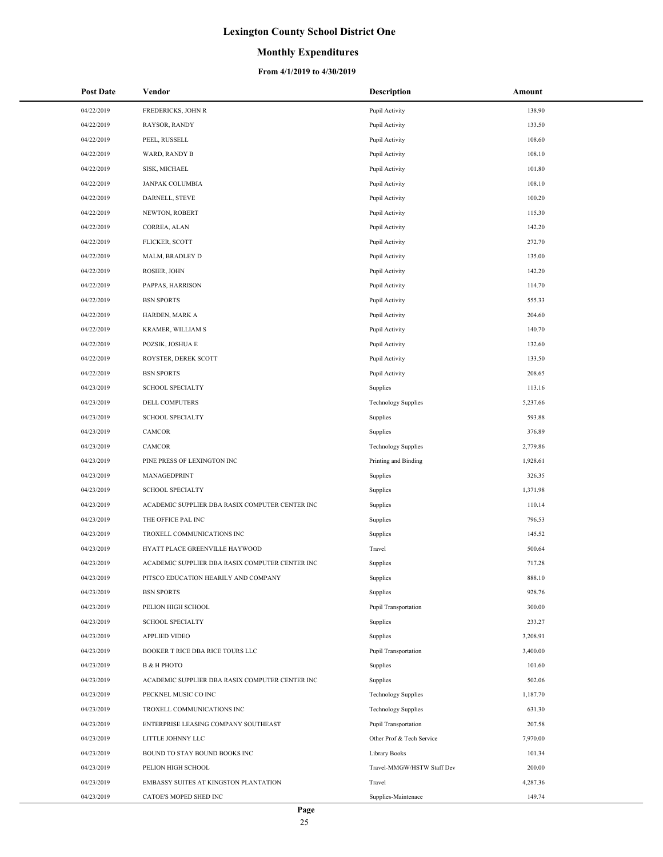### **Monthly Expenditures**

| <b>Post Date</b> | Vendor                                          | <b>Description</b>         | Amount   |
|------------------|-------------------------------------------------|----------------------------|----------|
| 04/22/2019       | FREDERICKS, JOHN R                              | Pupil Activity             | 138.90   |
| 04/22/2019       | RAYSOR, RANDY                                   | Pupil Activity             | 133.50   |
| 04/22/2019       | PEEL, RUSSELL                                   | Pupil Activity             | 108.60   |
| 04/22/2019       | WARD, RANDY B                                   | Pupil Activity             | 108.10   |
| 04/22/2019       | SISK, MICHAEL                                   | Pupil Activity             | 101.80   |
| 04/22/2019       | <b>JANPAK COLUMBIA</b>                          | Pupil Activity             | 108.10   |
| 04/22/2019       | DARNELL, STEVE                                  | Pupil Activity             | 100.20   |
| 04/22/2019       | NEWTON, ROBERT                                  | Pupil Activity             | 115.30   |
| 04/22/2019       | CORREA, ALAN                                    | Pupil Activity             | 142.20   |
| 04/22/2019       | FLICKER, SCOTT                                  | Pupil Activity             | 272.70   |
| 04/22/2019       | MALM, BRADLEY D                                 | Pupil Activity             | 135.00   |
| 04/22/2019       | ROSIER, JOHN                                    | Pupil Activity             | 142.20   |
| 04/22/2019       | PAPPAS, HARRISON                                | Pupil Activity             | 114.70   |
| 04/22/2019       | <b>BSN SPORTS</b>                               | Pupil Activity             | 555.33   |
| 04/22/2019       | HARDEN, MARK A                                  | Pupil Activity             | 204.60   |
| 04/22/2019       | <b>KRAMER, WILLIAM S</b>                        | Pupil Activity             | 140.70   |
| 04/22/2019       | POZSIK, JOSHUA E                                | Pupil Activity             | 132.60   |
| 04/22/2019       | ROYSTER, DEREK SCOTT                            | Pupil Activity             | 133.50   |
| 04/22/2019       | <b>BSN SPORTS</b>                               | Pupil Activity             | 208.65   |
| 04/23/2019       | <b>SCHOOL SPECIALTY</b>                         | Supplies                   | 113.16   |
| 04/23/2019       | DELL COMPUTERS                                  | <b>Technology Supplies</b> | 5,237.66 |
| 04/23/2019       | <b>SCHOOL SPECIALTY</b>                         | Supplies                   | 593.88   |
| 04/23/2019       | CAMCOR                                          | Supplies                   | 376.89   |
| 04/23/2019       | CAMCOR                                          | <b>Technology Supplies</b> | 2,779.86 |
| 04/23/2019       | PINE PRESS OF LEXINGTON INC                     | Printing and Binding       | 1,928.61 |
| 04/23/2019       | MANAGEDPRINT                                    | Supplies                   | 326.35   |
| 04/23/2019       | <b>SCHOOL SPECIALTY</b>                         | Supplies                   | 1,371.98 |
| 04/23/2019       | ACADEMIC SUPPLIER DBA RASIX COMPUTER CENTER INC | Supplies                   | 110.14   |
| 04/23/2019       | THE OFFICE PAL INC                              | Supplies                   | 796.53   |
| 04/23/2019       | TROXELL COMMUNICATIONS INC                      | Supplies                   | 145.52   |
| 04/23/2019       | HYATT PLACE GREENVILLE HAYWOOD                  | Travel                     | 500.64   |
| 04/23/2019       | ACADEMIC SUPPLIER DBA RASIX COMPUTER CENTER INC | Supplies                   | 717.28   |
| 04/23/2019       | PITSCO EDUCATION HEARILY AND COMPANY            | Supplies                   | 888.10   |
| 04/23/2019       | <b>BSN SPORTS</b>                               | Supplies                   | 928.76   |
| 04/23/2019       | PELION HIGH SCHOOL                              | Pupil Transportation       | 300.00   |
| 04/23/2019       | <b>SCHOOL SPECIALTY</b>                         | Supplies                   | 233.27   |
| 04/23/2019       | <b>APPLIED VIDEO</b>                            | Supplies                   | 3,208.91 |
| 04/23/2019       | BOOKER T RICE DBA RICE TOURS LLC                | Pupil Transportation       | 3,400.00 |
| 04/23/2019       | <b>B &amp; H PHOTO</b>                          | Supplies                   | 101.60   |
| 04/23/2019       | ACADEMIC SUPPLIER DBA RASIX COMPUTER CENTER INC | Supplies                   | 502.06   |
| 04/23/2019       | PECKNEL MUSIC CO INC                            | <b>Technology Supplies</b> | 1,187.70 |
| 04/23/2019       | TROXELL COMMUNICATIONS INC                      | <b>Technology Supplies</b> | 631.30   |
| 04/23/2019       | ENTERPRISE LEASING COMPANY SOUTHEAST            | Pupil Transportation       | 207.58   |
| 04/23/2019       | LITTLE JOHNNY LLC                               | Other Prof & Tech Service  | 7,970.00 |
| 04/23/2019       | BOUND TO STAY BOUND BOOKS INC                   | Library Books              | 101.34   |
| 04/23/2019       | PELION HIGH SCHOOL                              | Travel-MMGW/HSTW Staff Dev | 200.00   |
| 04/23/2019       | EMBASSY SUITES AT KINGSTON PLANTATION           | Travel                     | 4,287.36 |
| 04/23/2019       | CATOE'S MOPED SHED INC                          | Supplies-Maintenace        | 149.74   |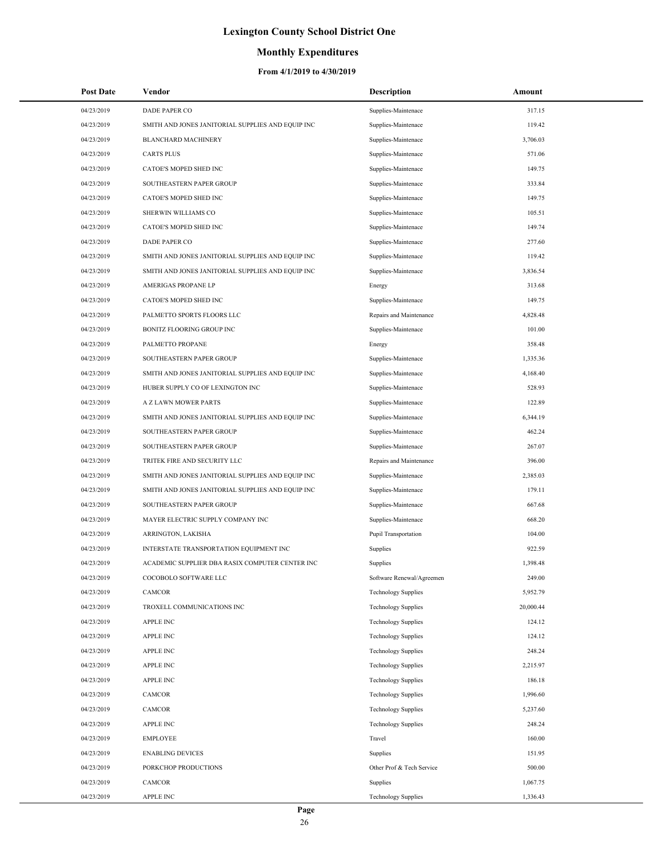### **Monthly Expenditures**

| <b>Post Date</b> | Vendor                                            | <b>Description</b>          | Amount    |
|------------------|---------------------------------------------------|-----------------------------|-----------|
| 04/23/2019       | <b>DADE PAPER CO</b>                              | Supplies-Maintenace         | 317.15    |
| 04/23/2019       | SMITH AND JONES JANITORIAL SUPPLIES AND EQUIP INC | Supplies-Maintenace         | 119.42    |
| 04/23/2019       | <b>BLANCHARD MACHINERY</b>                        | Supplies-Maintenace         | 3,706.03  |
| 04/23/2019       | <b>CARTS PLUS</b>                                 | Supplies-Maintenace         | 571.06    |
| 04/23/2019       | CATOE'S MOPED SHED INC                            | Supplies-Maintenace         | 149.75    |
| 04/23/2019       | SOUTHEASTERN PAPER GROUP                          | Supplies-Maintenace         | 333.84    |
| 04/23/2019       | CATOE'S MOPED SHED INC                            | Supplies-Maintenace         | 149.75    |
| 04/23/2019       | SHERWIN WILLIAMS CO                               | Supplies-Maintenace         | 105.51    |
| 04/23/2019       | CATOE'S MOPED SHED INC                            | Supplies-Maintenace         | 149.74    |
| 04/23/2019       | <b>DADE PAPER CO</b>                              | Supplies-Maintenace         | 277.60    |
| 04/23/2019       | SMITH AND JONES JANITORIAL SUPPLIES AND EQUIP INC | Supplies-Maintenace         | 119.42    |
| 04/23/2019       | SMITH AND JONES JANITORIAL SUPPLIES AND EQUIP INC | Supplies-Maintenace         | 3,836.54  |
| 04/23/2019       | AMERIGAS PROPANE LP                               | Energy                      | 313.68    |
| 04/23/2019       | CATOE'S MOPED SHED INC                            | Supplies-Maintenace         | 149.75    |
| 04/23/2019       | PALMETTO SPORTS FLOORS LLC                        | Repairs and Maintenance     | 4,828.48  |
| 04/23/2019       | <b>BONITZ FLOORING GROUP INC</b>                  | Supplies-Maintenace         | 101.00    |
| 04/23/2019       | PALMETTO PROPANE                                  | Energy                      | 358.48    |
| 04/23/2019       | SOUTHEASTERN PAPER GROUP                          | Supplies-Maintenace         | 1,335.36  |
| 04/23/2019       | SMITH AND JONES JANITORIAL SUPPLIES AND EQUIP INC | Supplies-Maintenace         | 4,168.40  |
| 04/23/2019       | HUBER SUPPLY CO OF LEXINGTON INC                  | Supplies-Maintenace         | 528.93    |
| 04/23/2019       | A Z LAWN MOWER PARTS                              | Supplies-Maintenace         | 122.89    |
| 04/23/2019       | SMITH AND JONES JANITORIAL SUPPLIES AND EQUIP INC | Supplies-Maintenace         | 6,344.19  |
| 04/23/2019       | SOUTHEASTERN PAPER GROUP                          | Supplies-Maintenace         | 462.24    |
| 04/23/2019       | SOUTHEASTERN PAPER GROUP                          | Supplies-Maintenace         | 267.07    |
| 04/23/2019       | TRITEK FIRE AND SECURITY LLC                      | Repairs and Maintenance     | 396.00    |
| 04/23/2019       | SMITH AND JONES JANITORIAL SUPPLIES AND EQUIP INC | Supplies-Maintenace         | 2,385.03  |
| 04/23/2019       | SMITH AND JONES JANITORIAL SUPPLIES AND EQUIP INC | Supplies-Maintenace         | 179.11    |
| 04/23/2019       | SOUTHEASTERN PAPER GROUP                          | Supplies-Maintenace         | 667.68    |
| 04/23/2019       | MAYER ELECTRIC SUPPLY COMPANY INC                 | Supplies-Maintenace         | 668.20    |
| 04/23/2019       | ARRINGTON, LAKISHA                                | <b>Pupil Transportation</b> | 104.00    |
| 04/23/2019       | INTERSTATE TRANSPORTATION EQUIPMENT INC           | Supplies                    | 922.59    |
| 04/23/2019       | ACADEMIC SUPPLIER DBA RASIX COMPUTER CENTER INC   | Supplies                    | 1,398.48  |
| 04/23/2019       | COCOBOLO SOFTWARE LLC                             | Software Renewal/Agreemen   | 249.00    |
| 04/23/2019       | CAMCOR                                            | <b>Technology Supplies</b>  | 5,952.79  |
| 04/23/2019       | TROXELL COMMUNICATIONS INC                        | <b>Technology Supplies</b>  | 20,000.44 |
| 04/23/2019       | <b>APPLE INC</b>                                  | <b>Technology Supplies</b>  | 124.12    |
| 04/23/2019       | <b>APPLE INC</b>                                  | <b>Technology Supplies</b>  | 124.12    |
| 04/23/2019       | <b>APPLE INC</b>                                  | <b>Technology Supplies</b>  | 248.24    |
| 04/23/2019       | <b>APPLE INC</b>                                  | <b>Technology Supplies</b>  | 2,215.97  |
| 04/23/2019       | <b>APPLE INC</b>                                  | <b>Technology Supplies</b>  | 186.18    |
| 04/23/2019       | CAMCOR                                            | <b>Technology Supplies</b>  | 1,996.60  |
| 04/23/2019       | CAMCOR                                            | <b>Technology Supplies</b>  | 5,237.60  |
| 04/23/2019       | <b>APPLE INC</b>                                  | <b>Technology Supplies</b>  | 248.24    |
| 04/23/2019       | <b>EMPLOYEE</b>                                   | Travel                      | 160.00    |
| 04/23/2019       | <b>ENABLING DEVICES</b>                           | Supplies                    | 151.95    |
| 04/23/2019       | PORKCHOP PRODUCTIONS                              | Other Prof & Tech Service   | 500.00    |
| 04/23/2019       | CAMCOR                                            | Supplies                    | 1,067.75  |
| 04/23/2019       | <b>APPLE INC</b>                                  | <b>Technology Supplies</b>  | 1,336.43  |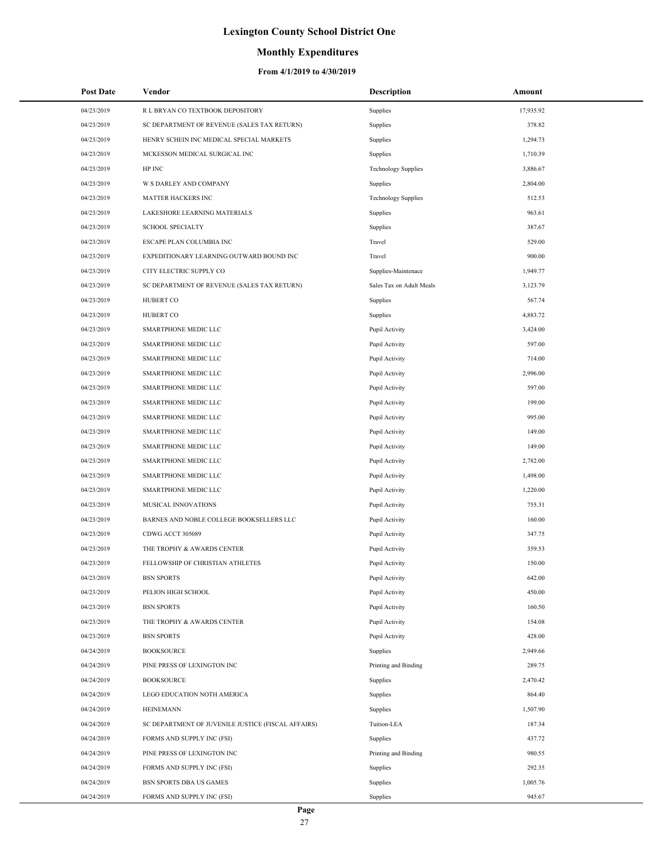## **Monthly Expenditures**

| <b>Post Date</b> | Vendor                                             | <b>Description</b>         | Amount    |
|------------------|----------------------------------------------------|----------------------------|-----------|
| 04/23/2019       | R L BRYAN CO TEXTBOOK DEPOSITORY                   | Supplies                   | 17,935.92 |
| 04/23/2019       | SC DEPARTMENT OF REVENUE (SALES TAX RETURN)        | Supplies                   | 378.82    |
| 04/23/2019       | HENRY SCHEIN INC MEDICAL SPECIAL MARKETS           | Supplies                   | 1,294.73  |
| 04/23/2019       | MCKESSON MEDICAL SURGICAL INC                      | Supplies                   | 1,710.39  |
| 04/23/2019       | HP INC                                             | <b>Technology Supplies</b> | 3,886.67  |
| 04/23/2019       | W S DARLEY AND COMPANY                             | Supplies                   | 2,804.00  |
| 04/23/2019       | MATTER HACKERS INC                                 | <b>Technology Supplies</b> | 512.53    |
| 04/23/2019       | LAKESHORE LEARNING MATERIALS                       | Supplies                   | 963.61    |
| 04/23/2019       | <b>SCHOOL SPECIALTY</b>                            | Supplies                   | 387.67    |
| 04/23/2019       | ESCAPE PLAN COLUMBIA INC                           | Travel                     | 529.00    |
| 04/23/2019       | EXPEDITIONARY LEARNING OUTWARD BOUND INC           | Travel                     | 900.00    |
| 04/23/2019       | CITY ELECTRIC SUPPLY CO                            | Supplies-Maintenace        | 1,949.77  |
| 04/23/2019       | SC DEPARTMENT OF REVENUE (SALES TAX RETURN)        | Sales Tax on Adult Meals   | 3,123.79  |
| 04/23/2019       | <b>HUBERT CO</b>                                   | Supplies                   | 567.74    |
| 04/23/2019       | <b>HUBERT CO</b>                                   | Supplies                   | 4,883.72  |
| 04/23/2019       | SMARTPHONE MEDIC LLC                               | Pupil Activity             | 3,424.00  |
| 04/23/2019       | SMARTPHONE MEDIC LLC                               | Pupil Activity             | 597.00    |
| 04/23/2019       | SMARTPHONE MEDIC LLC                               | Pupil Activity             | 714.00    |
| 04/23/2019       | SMARTPHONE MEDIC LLC                               | Pupil Activity             | 2,996.00  |
| 04/23/2019       | SMARTPHONE MEDIC LLC                               | Pupil Activity             | 597.00    |
| 04/23/2019       | SMARTPHONE MEDIC LLC                               | Pupil Activity             | 199.00    |
| 04/23/2019       | SMARTPHONE MEDIC LLC                               | Pupil Activity             | 995.00    |
| 04/23/2019       | SMARTPHONE MEDIC LLC                               | Pupil Activity             | 149.00    |
| 04/23/2019       | SMARTPHONE MEDIC LLC                               | Pupil Activity             | 149.00    |
| 04/23/2019       | SMARTPHONE MEDIC LLC                               | Pupil Activity             | 2,782.00  |
| 04/23/2019       | SMARTPHONE MEDIC LLC                               | Pupil Activity             | 1,498.00  |
| 04/23/2019       | SMARTPHONE MEDIC LLC                               | Pupil Activity             | 1,220.00  |
| 04/23/2019       | MUSICAL INNOVATIONS                                | Pupil Activity             | 755.31    |
| 04/23/2019       | BARNES AND NOBLE COLLEGE BOOKSELLERS LLC           | Pupil Activity             | 160.00    |
| 04/23/2019       | CDWG ACCT 305089                                   | Pupil Activity             | 347.75    |
| 04/23/2019       | THE TROPHY & AWARDS CENTER                         | Pupil Activity             | 359.53    |
| 04/23/2019       | FELLOWSHIP OF CHRISTIAN ATHLETES                   | Pupil Activity             | 150.00    |
| 04/23/2019       | <b>BSN SPORTS</b>                                  | Pupil Activity             | 642.00    |
| 04/23/2019       | PELION HIGH SCHOOL                                 | Pupil Activity             | 450.00    |
| 04/23/2019       | <b>BSN SPORTS</b>                                  | Pupil Activity             | 160.50    |
| 04/23/2019       | THE TROPHY & AWARDS CENTER                         | Pupil Activity             | 154.08    |
| 04/23/2019       | <b>BSN SPORTS</b>                                  | Pupil Activity             | 428.00    |
| 04/24/2019       | <b>BOOKSOURCE</b>                                  | Supplies                   | 2,949.66  |
| 04/24/2019       | PINE PRESS OF LEXINGTON INC                        | Printing and Binding       | 289.75    |
| 04/24/2019       | <b>BOOKSOURCE</b>                                  | Supplies                   | 2,470.42  |
| 04/24/2019       | LEGO EDUCATION NOTH AMERICA                        | Supplies                   | 864.40    |
| 04/24/2019       | <b>HEINEMANN</b>                                   | Supplies                   | 1,507.90  |
| 04/24/2019       | SC DEPARTMENT OF JUVENILE JUSTICE (FISCAL AFFAIRS) | Tuition-LEA                | 187.34    |
| 04/24/2019       | FORMS AND SUPPLY INC (FSI)                         | Supplies                   | 437.72    |
| 04/24/2019       | PINE PRESS OF LEXINGTON INC                        | Printing and Binding       | 980.55    |
| 04/24/2019       | FORMS AND SUPPLY INC (FSI)                         | Supplies                   | 292.35    |
| 04/24/2019       | <b>BSN SPORTS DBA US GAMES</b>                     | Supplies                   | 1,005.76  |
| 04/24/2019       | FORMS AND SUPPLY INC (FSI)                         | Supplies                   | 945.67    |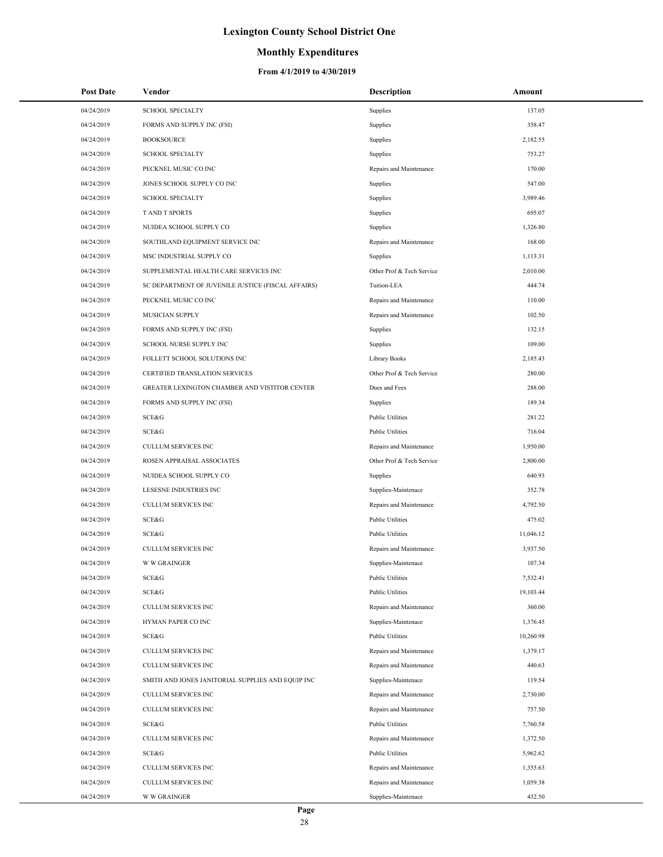## **Monthly Expenditures**

| <b>Post Date</b> | Vendor                                             | <b>Description</b>        | Amount    |
|------------------|----------------------------------------------------|---------------------------|-----------|
| 04/24/2019       | <b>SCHOOL SPECIALTY</b>                            | Supplies                  | 137.05    |
| 04/24/2019       | FORMS AND SUPPLY INC (FSI)                         | Supplies                  | 358.47    |
| 04/24/2019       | <b>BOOKSOURCE</b>                                  | Supplies                  | 2,182.55  |
| 04/24/2019       | <b>SCHOOL SPECIALTY</b>                            | Supplies                  | 753.27    |
| 04/24/2019       | PECKNEL MUSIC CO INC                               | Repairs and Maintenance   | 170.00    |
| 04/24/2019       | JONES SCHOOL SUPPLY CO INC                         | Supplies                  | 547.00    |
| 04/24/2019       | <b>SCHOOL SPECIALTY</b>                            | Supplies                  | 3,989.46  |
| 04/24/2019       | <b>TAND T SPORTS</b>                               | Supplies                  | 695.07    |
| 04/24/2019       | NUIDEA SCHOOL SUPPLY CO                            | Supplies                  | 1,326.80  |
| 04/24/2019       | SOUTHLAND EQUIPMENT SERVICE INC                    | Repairs and Maintenance   | 168.00    |
| 04/24/2019       | MSC INDUSTRIAL SUPPLY CO                           | Supplies                  | 1,113.31  |
| 04/24/2019       | SUPPLEMENTAL HEALTH CARE SERVICES INC              | Other Prof & Tech Service | 2,010.00  |
| 04/24/2019       | SC DEPARTMENT OF JUVENILE JUSTICE (FISCAL AFFAIRS) | Tuition-LEA               | 444.74    |
| 04/24/2019       | PECKNEL MUSIC CO INC                               | Repairs and Maintenance   | 110.00    |
| 04/24/2019       | MUSICIAN SUPPLY                                    | Repairs and Maintenance   | 102.50    |
| 04/24/2019       | FORMS AND SUPPLY INC (FSI)                         | Supplies                  | 132.15    |
| 04/24/2019       | <b>SCHOOL NURSE SUPPLY INC</b>                     | Supplies                  | 109.00    |
| 04/24/2019       | FOLLETT SCHOOL SOLUTIONS INC                       | Library Books             | 2,185.43  |
| 04/24/2019       | CERTIFIED TRANSLATION SERVICES                     | Other Prof & Tech Service | 280.00    |
| 04/24/2019       | GREATER LEXINGTON CHAMBER AND VISTITOR CENTER      | Dues and Fees             | 288.00    |
| 04/24/2019       | FORMS AND SUPPLY INC (FSI)                         | Supplies                  | 189.34    |
| 04/24/2019       | SCE&G                                              | <b>Public Utilities</b>   | 281.22    |
| 04/24/2019       | SCE&G                                              | <b>Public Utilities</b>   | 716.04    |
| 04/24/2019       | CULLUM SERVICES INC                                | Repairs and Maintenance   | 1,950.00  |
| 04/24/2019       | ROSEN APPRAISAL ASSOCIATES                         | Other Prof & Tech Service | 2,800.00  |
| 04/24/2019       | NUIDEA SCHOOL SUPPLY CO                            | Supplies                  | 640.93    |
| 04/24/2019       | LESESNE INDUSTRIES INC                             | Supplies-Maintenace       | 352.78    |
| 04/24/2019       | <b>CULLUM SERVICES INC</b>                         | Repairs and Maintenance   | 4,792.50  |
| 04/24/2019       | SCE&G                                              | <b>Public Utilities</b>   | 475.02    |
| 04/24/2019       | SCE&G                                              | <b>Public Utilities</b>   | 11,046.12 |
| 04/24/2019       | <b>CULLUM SERVICES INC</b>                         | Repairs and Maintenance   | 3,937.50  |
| 04/24/2019       | <b>W W GRAINGER</b>                                | Supplies-Maintenace       | 107.34    |
| 04/24/2019       | SCE&G                                              | <b>Public Utilities</b>   | 7,532.41  |
| 04/24/2019       | SCE&G                                              | <b>Public Utilities</b>   | 19,103.44 |
| 04/24/2019       | CULLUM SERVICES INC                                | Repairs and Maintenance   | 360.00    |
| 04/24/2019       | HYMAN PAPER CO INC                                 | Supplies-Maintenace       | 1,376.45  |
| 04/24/2019       | SCE&G                                              | <b>Public Utilities</b>   | 10,260.98 |
| 04/24/2019       | CULLUM SERVICES INC                                | Repairs and Maintenance   | 1,379.17  |
| 04/24/2019       | CULLUM SERVICES INC                                | Repairs and Maintenance   | 440.63    |
| 04/24/2019       | SMITH AND JONES JANITORIAL SUPPLIES AND EQUIP INC  | Supplies-Maintenace       | 119.54    |
| 04/24/2019       | CULLUM SERVICES INC                                | Repairs and Maintenance   | 2,730.00  |
| 04/24/2019       | CULLUM SERVICES INC                                | Repairs and Maintenance   | 757.50    |
| 04/24/2019       | SCE&G                                              | <b>Public Utilities</b>   | 7,760.58  |
| 04/24/2019       | CULLUM SERVICES INC                                | Repairs and Maintenance   | 1,372.50  |
| 04/24/2019       | SCE&G                                              | <b>Public Utilities</b>   | 5,962.62  |
| 04/24/2019       | CULLUM SERVICES INC                                | Repairs and Maintenance   | 1,355.63  |
| 04/24/2019       | CULLUM SERVICES INC                                | Repairs and Maintenance   | 1,059.38  |
| 04/24/2019       | <b>W W GRAINGER</b>                                | Supplies-Maintenace       | 432.50    |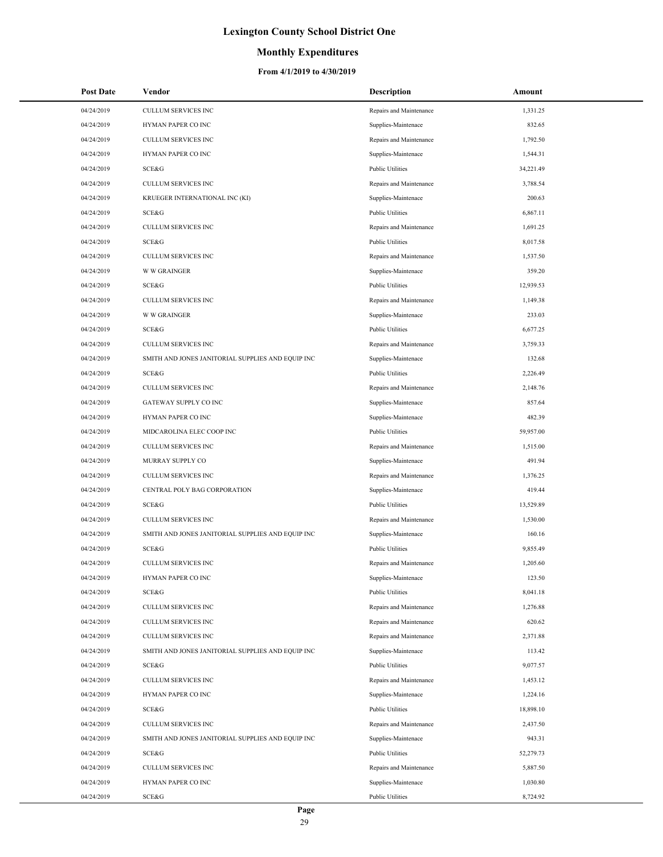## **Monthly Expenditures**

| <b>Post Date</b> | Vendor                                            | <b>Description</b>      | Amount    |
|------------------|---------------------------------------------------|-------------------------|-----------|
| 04/24/2019       | CULLUM SERVICES INC                               | Repairs and Maintenance | 1,331.25  |
| 04/24/2019       | HYMAN PAPER CO INC                                | Supplies-Maintenace     | 832.65    |
| 04/24/2019       | <b>CULLUM SERVICES INC</b>                        | Repairs and Maintenance | 1,792.50  |
| 04/24/2019       | HYMAN PAPER CO INC                                | Supplies-Maintenace     | 1,544.31  |
| 04/24/2019       | SCE&G                                             | <b>Public Utilities</b> | 34,221.49 |
| 04/24/2019       | CULLUM SERVICES INC                               | Repairs and Maintenance | 3,788.54  |
| 04/24/2019       | KRUEGER INTERNATIONAL INC (KI)                    | Supplies-Maintenace     | 200.63    |
| 04/24/2019       | SCE&G                                             | <b>Public Utilities</b> | 6,867.11  |
| 04/24/2019       | CULLUM SERVICES INC                               | Repairs and Maintenance | 1,691.25  |
| 04/24/2019       | SCE&G                                             | <b>Public Utilities</b> | 8,017.58  |
| 04/24/2019       | CULLUM SERVICES INC                               | Repairs and Maintenance | 1,537.50  |
| 04/24/2019       | <b>W W GRAINGER</b>                               | Supplies-Maintenace     | 359.20    |
| 04/24/2019       | SCE&G                                             | <b>Public Utilities</b> | 12,939.53 |
| 04/24/2019       | CULLUM SERVICES INC                               | Repairs and Maintenance | 1,149.38  |
| 04/24/2019       | <b>W W GRAINGER</b>                               | Supplies-Maintenace     | 233.03    |
| 04/24/2019       | SCE&G                                             | <b>Public Utilities</b> | 6,677.25  |
| 04/24/2019       | CULLUM SERVICES INC                               | Repairs and Maintenance | 3,759.33  |
| 04/24/2019       | SMITH AND JONES JANITORIAL SUPPLIES AND EQUIP INC | Supplies-Maintenace     | 132.68    |
| 04/24/2019       | SCE&G                                             | <b>Public Utilities</b> | 2,226.49  |
| 04/24/2019       | <b>CULLUM SERVICES INC</b>                        | Repairs and Maintenance | 2,148.76  |
| 04/24/2019       | GATEWAY SUPPLY CO INC                             | Supplies-Maintenace     | 857.64    |
| 04/24/2019       | HYMAN PAPER CO INC                                | Supplies-Maintenace     | 482.39    |
| 04/24/2019       | MIDCAROLINA ELEC COOP INC                         | <b>Public Utilities</b> | 59,957.00 |
| 04/24/2019       | CULLUM SERVICES INC                               | Repairs and Maintenance | 1,515.00  |
| 04/24/2019       | MURRAY SUPPLY CO                                  | Supplies-Maintenace     | 491.94    |
| 04/24/2019       | CULLUM SERVICES INC                               | Repairs and Maintenance | 1,376.25  |
| 04/24/2019       | CENTRAL POLY BAG CORPORATION                      | Supplies-Maintenace     | 419.44    |
| 04/24/2019       | SCE&G                                             | <b>Public Utilities</b> | 13,529.89 |
| 04/24/2019       | <b>CULLUM SERVICES INC</b>                        | Repairs and Maintenance | 1,530.00  |
| 04/24/2019       | SMITH AND JONES JANITORIAL SUPPLIES AND EQUIP INC | Supplies-Maintenace     | 160.16    |
| 04/24/2019       | SCE&G                                             | <b>Public Utilities</b> | 9,855.49  |
| 04/24/2019       | <b>CULLUM SERVICES INC</b>                        | Repairs and Maintenance | 1,205.60  |
| 04/24/2019       | HYMAN PAPER CO INC                                | Supplies-Maintenace     | 123.50    |
| 04/24/2019       | SCE&G                                             | <b>Public Utilities</b> | 8,041.18  |
| 04/24/2019       | CULLUM SERVICES INC                               | Repairs and Maintenance | 1,276.88  |
| 04/24/2019       | CULLUM SERVICES INC                               | Repairs and Maintenance | 620.62    |
| 04/24/2019       | CULLUM SERVICES INC                               | Repairs and Maintenance | 2,371.88  |
| 04/24/2019       | SMITH AND JONES JANITORIAL SUPPLIES AND EQUIP INC | Supplies-Maintenace     | 113.42    |
| 04/24/2019       | SCE&G                                             | <b>Public Utilities</b> | 9,077.57  |
| 04/24/2019       | CULLUM SERVICES INC                               | Repairs and Maintenance | 1,453.12  |
| 04/24/2019       | HYMAN PAPER CO INC                                | Supplies-Maintenace     | 1,224.16  |
| 04/24/2019       | SCE&G                                             | <b>Public Utilities</b> | 18,898.10 |
| 04/24/2019       | CULLUM SERVICES INC                               | Repairs and Maintenance | 2,437.50  |
| 04/24/2019       | SMITH AND JONES JANITORIAL SUPPLIES AND EQUIP INC | Supplies-Maintenace     | 943.31    |
| 04/24/2019       | SCE&G                                             | <b>Public Utilities</b> | 52,279.73 |
| 04/24/2019       | CULLUM SERVICES INC                               | Repairs and Maintenance | 5,887.50  |
| 04/24/2019       | HYMAN PAPER CO INC                                | Supplies-Maintenace     | 1,030.80  |
| 04/24/2019       | SCE&G                                             | <b>Public Utilities</b> | 8,724.92  |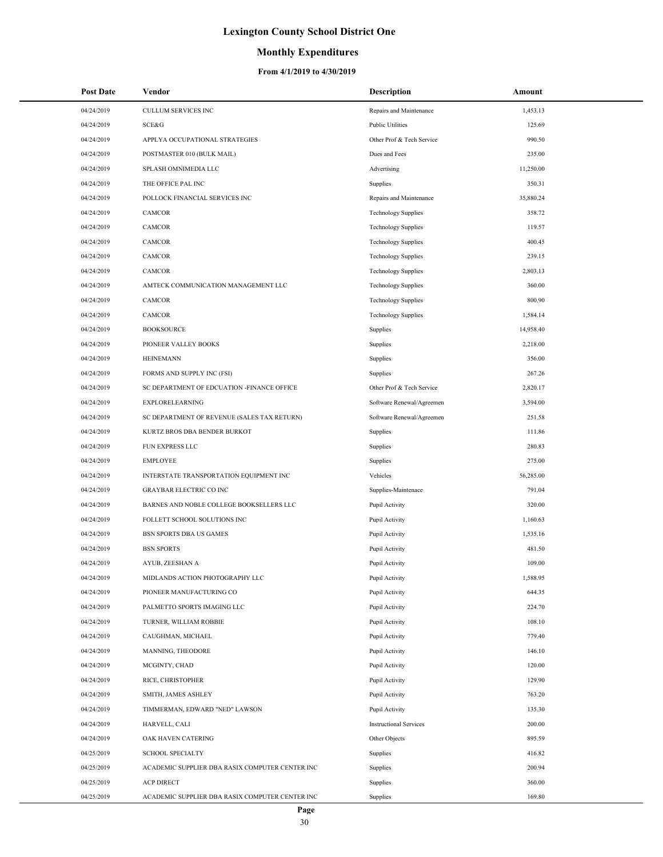### **Monthly Expenditures**

| <b>Post Date</b>         | Vendor                                          | Description                   | Amount    |
|--------------------------|-------------------------------------------------|-------------------------------|-----------|
| 04/24/2019               | <b>CULLUM SERVICES INC</b>                      | Repairs and Maintenance       | 1,453.13  |
| 04/24/2019               | SCE&G                                           | <b>Public Utilities</b>       | 125.69    |
| 04/24/2019               | APPLYA OCCUPATIONAL STRATEGIES                  | Other Prof & Tech Service     | 990.50    |
| 04/24/2019               | POSTMASTER 010 (BULK MAIL)                      | Dues and Fees                 | 235.00    |
| 04/24/2019               | SPLASH OMNIMEDIA LLC                            | Advertising                   | 11,250.00 |
| 04/24/2019               | THE OFFICE PAL INC                              | Supplies                      | 350.31    |
| 04/24/2019               | POLLOCK FINANCIAL SERVICES INC                  | Repairs and Maintenance       | 35,880.24 |
| 04/24/2019               | CAMCOR                                          | <b>Technology Supplies</b>    | 358.72    |
| 04/24/2019               | CAMCOR                                          | <b>Technology Supplies</b>    | 119.57    |
| 04/24/2019               | CAMCOR                                          | <b>Technology Supplies</b>    | 400.45    |
| 04/24/2019               | CAMCOR                                          | <b>Technology Supplies</b>    | 239.15    |
| 04/24/2019               | CAMCOR                                          | <b>Technology Supplies</b>    | 2,803.13  |
| 04/24/2019               | AMTECK COMMUNICATION MANAGEMENT LLC             | <b>Technology Supplies</b>    | 360.00    |
| 04/24/2019               | CAMCOR                                          | <b>Technology Supplies</b>    | 800.90    |
| 04/24/2019               | CAMCOR                                          | <b>Technology Supplies</b>    | 1,584.14  |
| 04/24/2019               | <b>BOOKSOURCE</b>                               | Supplies                      | 14,958.40 |
| 04/24/2019               | PIONEER VALLEY BOOKS                            | Supplies                      | 2,218.00  |
| 04/24/2019               | <b>HEINEMANN</b>                                | Supplies                      | 356.00    |
| 04/24/2019               | FORMS AND SUPPLY INC (FSI)                      | Supplies                      | 267.26    |
| 04/24/2019               | SC DEPARTMENT OF EDCUATION -FINANCE OFFICE      | Other Prof & Tech Service     | 2,820.17  |
| 04/24/2019               | <b>EXPLORELEARNING</b>                          | Software Renewal/Agreemen     | 3,594.00  |
| 04/24/2019               | SC DEPARTMENT OF REVENUE (SALES TAX RETURN)     | Software Renewal/Agreemen     | 251.58    |
| 04/24/2019               | KURTZ BROS DBA BENDER BURKOT                    | Supplies                      | 111.86    |
| 04/24/2019               | FUN EXPRESS LLC                                 | Supplies                      | 280.83    |
| 04/24/2019               | <b>EMPLOYEE</b>                                 | Supplies                      | 275.00    |
| 04/24/2019               | INTERSTATE TRANSPORTATION EQUIPMENT INC         | Vehicles                      | 56,285.00 |
| 04/24/2019               | <b>GRAYBAR ELECTRIC CO INC</b>                  | Supplies-Maintenace           | 791.04    |
| 04/24/2019               | BARNES AND NOBLE COLLEGE BOOKSELLERS LLC        | Pupil Activity                | 320.00    |
| 04/24/2019               | FOLLETT SCHOOL SOLUTIONS INC                    | Pupil Activity                | 1,160.63  |
| 04/24/2019               | BSN SPORTS DBA US GAMES                         | Pupil Activity                | 1,535.16  |
| 04/24/2019               | <b>BSN SPORTS</b>                               | Pupil Activity                | 481.50    |
| 04/24/2019               | AYUB, ZEESHAN A                                 | Pupil Activity                | 109.00    |
| 04/24/2019               | MIDLANDS ACTION PHOTOGRAPHY LLC                 | Pupil Activity                | 1,588.95  |
| 04/24/2019               | PIONEER MANUFACTURING CO                        | Pupil Activity                | 644.35    |
| 04/24/2019               | PALMETTO SPORTS IMAGING LLC                     | Pupil Activity                | 224.70    |
| 04/24/2019               | TURNER, WILLIAM ROBBIE                          | Pupil Activity                | 108.10    |
| 04/24/2019               | CAUGHMAN, MICHAEL                               | Pupil Activity                | 779.40    |
| 04/24/2019               | MANNING, THEODORE                               | Pupil Activity                | 146.10    |
| 04/24/2019               | MCGINTY, CHAD                                   | Pupil Activity                | 120.00    |
|                          |                                                 |                               | 129.90    |
| 04/24/2019<br>04/24/2019 | RICE, CHRISTOPHER                               | Pupil Activity                |           |
|                          | SMITH, JAMES ASHLEY                             | Pupil Activity                | 763.20    |
| 04/24/2019               | TIMMERMAN, EDWARD "NED" LAWSON                  | Pupil Activity                | 135.30    |
| 04/24/2019               | HARVELL, CALI                                   | <b>Instructional Services</b> | 200.00    |
| 04/24/2019               | OAK HAVEN CATERING                              | Other Objects                 | 895.59    |
| 04/25/2019               | <b>SCHOOL SPECIALTY</b>                         | Supplies                      | 416.82    |
| 04/25/2019               | ACADEMIC SUPPLIER DBA RASIX COMPUTER CENTER INC | Supplies                      | 200.94    |
| 04/25/2019               | <b>ACP DIRECT</b>                               | Supplies                      | 360.00    |
| 04/25/2019               | ACADEMIC SUPPLIER DBA RASIX COMPUTER CENTER INC | Supplies                      | 169.80    |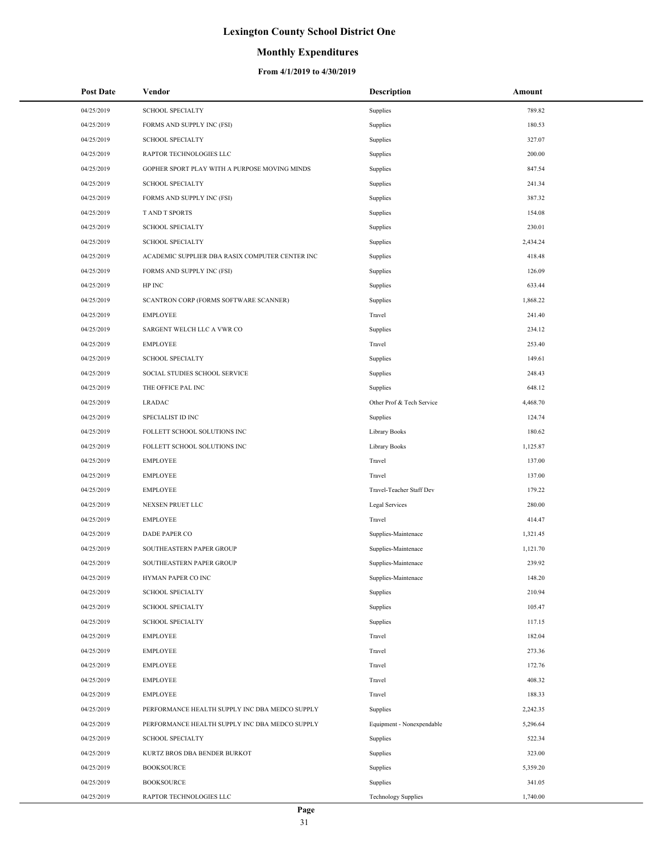### **Monthly Expenditures**

| <b>Post Date</b> | Vendor                                          | Description                | Amount   |
|------------------|-------------------------------------------------|----------------------------|----------|
| 04/25/2019       | <b>SCHOOL SPECIALTY</b>                         | Supplies                   | 789.82   |
| 04/25/2019       | FORMS AND SUPPLY INC (FSI)                      | Supplies                   | 180.53   |
| 04/25/2019       | <b>SCHOOL SPECIALTY</b>                         | Supplies                   | 327.07   |
| 04/25/2019       | RAPTOR TECHNOLOGIES LLC                         | Supplies                   | 200.00   |
| 04/25/2019       | GOPHER SPORT PLAY WITH A PURPOSE MOVING MINDS   | Supplies                   | 847.54   |
| 04/25/2019       | <b>SCHOOL SPECIALTY</b>                         | Supplies                   | 241.34   |
| 04/25/2019       | FORMS AND SUPPLY INC (FSI)                      | Supplies                   | 387.32   |
| 04/25/2019       | <b>TAND T SPORTS</b>                            | Supplies                   | 154.08   |
| 04/25/2019       | <b>SCHOOL SPECIALTY</b>                         | Supplies                   | 230.01   |
| 04/25/2019       | <b>SCHOOL SPECIALTY</b>                         | Supplies                   | 2,434.24 |
| 04/25/2019       | ACADEMIC SUPPLIER DBA RASIX COMPUTER CENTER INC | Supplies                   | 418.48   |
| 04/25/2019       | FORMS AND SUPPLY INC (FSI)                      | Supplies                   | 126.09   |
| 04/25/2019       | HP INC                                          | Supplies                   | 633.44   |
| 04/25/2019       | SCANTRON CORP (FORMS SOFTWARE SCANNER)          | Supplies                   | 1,868.22 |
| 04/25/2019       | <b>EMPLOYEE</b>                                 | Travel                     | 241.40   |
| 04/25/2019       | SARGENT WELCH LLC A VWR CO                      | Supplies                   | 234.12   |
| 04/25/2019       | <b>EMPLOYEE</b>                                 | Travel                     | 253.40   |
| 04/25/2019       | <b>SCHOOL SPECIALTY</b>                         | Supplies                   | 149.61   |
| 04/25/2019       | SOCIAL STUDIES SCHOOL SERVICE                   | Supplies                   | 248.43   |
| 04/25/2019       | THE OFFICE PAL INC                              | Supplies                   | 648.12   |
| 04/25/2019       | <b>LRADAC</b>                                   | Other Prof & Tech Service  | 4,468.70 |
| 04/25/2019       | SPECIALIST ID INC                               | Supplies                   | 124.74   |
| 04/25/2019       | FOLLETT SCHOOL SOLUTIONS INC                    | Library Books              | 180.62   |
| 04/25/2019       | FOLLETT SCHOOL SOLUTIONS INC                    | Library Books              | 1,125.87 |
| 04/25/2019       | <b>EMPLOYEE</b>                                 | Travel                     | 137.00   |
| 04/25/2019       | <b>EMPLOYEE</b>                                 | Travel                     | 137.00   |
| 04/25/2019       | <b>EMPLOYEE</b>                                 | Travel-Teacher Staff Dev   | 179.22   |
| 04/25/2019       | NEXSEN PRUET LLC                                | Legal Services             | 280.00   |
| 04/25/2019       | <b>EMPLOYEE</b>                                 | Travel                     | 414.47   |
| 04/25/2019       | DADE PAPER CO                                   | Supplies-Maintenace        | 1,321.45 |
| 04/25/2019       | SOUTHEASTERN PAPER GROUP                        | Supplies-Maintenace        | 1,121.70 |
| 04/25/2019       | SOUTHEASTERN PAPER GROUP                        | Supplies-Maintenace        | 239.92   |
| 04/25/2019       | HYMAN PAPER CO INC                              | Supplies-Maintenace        | 148.20   |
| 04/25/2019       | <b>SCHOOL SPECIALTY</b>                         | Supplies                   | 210.94   |
| 04/25/2019       | <b>SCHOOL SPECIALTY</b>                         | Supplies                   | 105.47   |
| 04/25/2019       | <b>SCHOOL SPECIALTY</b>                         | Supplies                   | 117.15   |
| 04/25/2019       | <b>EMPLOYEE</b>                                 | Travel                     | 182.04   |
| 04/25/2019       | <b>EMPLOYEE</b>                                 | Travel                     | 273.36   |
| 04/25/2019       | <b>EMPLOYEE</b>                                 | Travel                     | 172.76   |
| 04/25/2019       | <b>EMPLOYEE</b>                                 | Travel                     | 408.32   |
| 04/25/2019       | <b>EMPLOYEE</b>                                 | Travel                     | 188.33   |
| 04/25/2019       | PERFORMANCE HEALTH SUPPLY INC DBA MEDCO SUPPLY  | Supplies                   | 2,242.35 |
| 04/25/2019       | PERFORMANCE HEALTH SUPPLY INC DBA MEDCO SUPPLY  | Equipment - Nonexpendable  | 5,296.64 |
| 04/25/2019       | <b>SCHOOL SPECIALTY</b>                         | Supplies                   | 522.34   |
| 04/25/2019       | KURTZ BROS DBA BENDER BURKOT                    | Supplies                   | 323.00   |
| 04/25/2019       | <b>BOOKSOURCE</b>                               | Supplies                   | 5,359.20 |
| 04/25/2019       | <b>BOOKSOURCE</b>                               | Supplies                   | 341.05   |
| 04/25/2019       | RAPTOR TECHNOLOGIES LLC                         | <b>Technology Supplies</b> | 1,740.00 |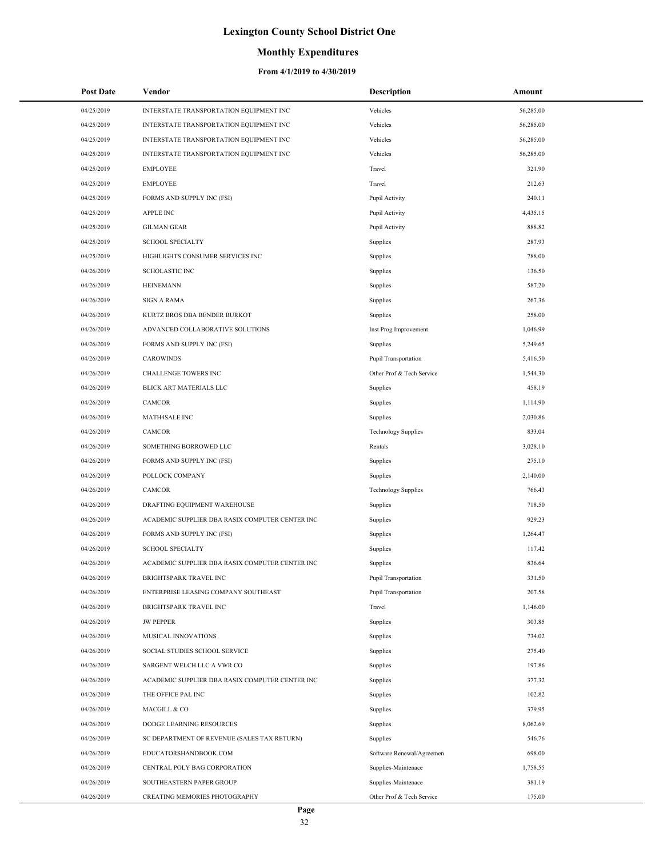### **Monthly Expenditures**

| <b>Post Date</b> | Vendor                                          | <b>Description</b>         | Amount    |
|------------------|-------------------------------------------------|----------------------------|-----------|
| 04/25/2019       | INTERSTATE TRANSPORTATION EQUIPMENT INC         | Vehicles                   | 56,285.00 |
| 04/25/2019       | INTERSTATE TRANSPORTATION EQUIPMENT INC         | Vehicles                   | 56,285.00 |
| 04/25/2019       | INTERSTATE TRANSPORTATION EQUIPMENT INC         | Vehicles                   | 56,285.00 |
| 04/25/2019       | INTERSTATE TRANSPORTATION EQUIPMENT INC         | Vehicles                   | 56,285.00 |
| 04/25/2019       | <b>EMPLOYEE</b>                                 | Travel                     | 321.90    |
| 04/25/2019       | <b>EMPLOYEE</b>                                 | Travel                     | 212.63    |
| 04/25/2019       | FORMS AND SUPPLY INC (FSI)                      | Pupil Activity             | 240.11    |
| 04/25/2019       | <b>APPLE INC</b>                                | Pupil Activity             | 4,435.15  |
| 04/25/2019       | <b>GILMAN GEAR</b>                              | Pupil Activity             | 888.82    |
| 04/25/2019       | <b>SCHOOL SPECIALTY</b>                         | Supplies                   | 287.93    |
| 04/25/2019       | HIGHLIGHTS CONSUMER SERVICES INC                | Supplies                   | 788.00    |
| 04/26/2019       | <b>SCHOLASTIC INC</b>                           | Supplies                   | 136.50    |
| 04/26/2019       | <b>HEINEMANN</b>                                | Supplies                   | 587.20    |
| 04/26/2019       | <b>SIGN A RAMA</b>                              | Supplies                   | 267.36    |
| 04/26/2019       | KURTZ BROS DBA BENDER BURKOT                    | Supplies                   | 258.00    |
| 04/26/2019       | ADVANCED COLLABORATIVE SOLUTIONS                | Inst Prog Improvement      | 1,046.99  |
| 04/26/2019       | FORMS AND SUPPLY INC (FSI)                      | Supplies                   | 5,249.65  |
| 04/26/2019       | <b>CAROWINDS</b>                                | Pupil Transportation       | 5,416.50  |
| 04/26/2019       | CHALLENGE TOWERS INC                            | Other Prof & Tech Service  | 1,544.30  |
| 04/26/2019       | <b>BLICK ART MATERIALS LLC</b>                  | Supplies                   | 458.19    |
| 04/26/2019       | <b>CAMCOR</b>                                   | Supplies                   | 1,114.90  |
| 04/26/2019       | <b>MATH4SALE INC</b>                            | Supplies                   | 2,030.86  |
| 04/26/2019       | <b>CAMCOR</b>                                   | <b>Technology Supplies</b> | 833.04    |
| 04/26/2019       | SOMETHING BORROWED LLC                          | Rentals                    | 3,028.10  |
| 04/26/2019       | FORMS AND SUPPLY INC (FSI)                      | Supplies                   | 275.10    |
| 04/26/2019       | POLLOCK COMPANY                                 | Supplies                   | 2,140.00  |
| 04/26/2019       | CAMCOR                                          | <b>Technology Supplies</b> | 766.43    |
| 04/26/2019       | DRAFTING EQUIPMENT WAREHOUSE                    | Supplies                   | 718.50    |
| 04/26/2019       | ACADEMIC SUPPLIER DBA RASIX COMPUTER CENTER INC | Supplies                   | 929.23    |
| 04/26/2019       | FORMS AND SUPPLY INC (FSI)                      | Supplies                   | 1,264.47  |
| 04/26/2019       | <b>SCHOOL SPECIALTY</b>                         | Supplies                   | 117.42    |
| 04/26/2019       | ACADEMIC SUPPLIER DBA RASIX COMPUTER CENTER INC | Supplies                   | 836.64    |
| 04/26/2019       | BRIGHTSPARK TRAVEL INC                          | Pupil Transportation       | 331.50    |
| 04/26/2019       | ENTERPRISE LEASING COMPANY SOUTHEAST            | Pupil Transportation       | 207.58    |
| 04/26/2019       | BRIGHTSPARK TRAVEL INC                          | Travel                     | 1,146.00  |
| 04/26/2019       | <b>JW PEPPER</b>                                | Supplies                   | 303.85    |
| 04/26/2019       | MUSICAL INNOVATIONS                             | Supplies                   | 734.02    |
| 04/26/2019       | SOCIAL STUDIES SCHOOL SERVICE                   | Supplies                   | 275.40    |
| 04/26/2019       | SARGENT WELCH LLC A VWR CO                      | Supplies                   | 197.86    |
| 04/26/2019       | ACADEMIC SUPPLIER DBA RASIX COMPUTER CENTER INC | Supplies                   | 377.32    |
| 04/26/2019       | THE OFFICE PAL INC                              | Supplies                   | 102.82    |
| 04/26/2019       | MACGILL & CO                                    | Supplies                   | 379.95    |
| 04/26/2019       | DODGE LEARNING RESOURCES                        | Supplies                   | 8,062.69  |
| 04/26/2019       | SC DEPARTMENT OF REVENUE (SALES TAX RETURN)     | Supplies                   | 546.76    |
| 04/26/2019       | EDUCATORSHANDBOOK.COM                           | Software Renewal/Agreemen  | 698.00    |
| 04/26/2019       | CENTRAL POLY BAG CORPORATION                    | Supplies-Maintenace        | 1,758.55  |
| 04/26/2019       | SOUTHEASTERN PAPER GROUP                        | Supplies-Maintenace        | 381.19    |
| 04/26/2019       | CREATING MEMORIES PHOTOGRAPHY                   | Other Prof & Tech Service  | 175.00    |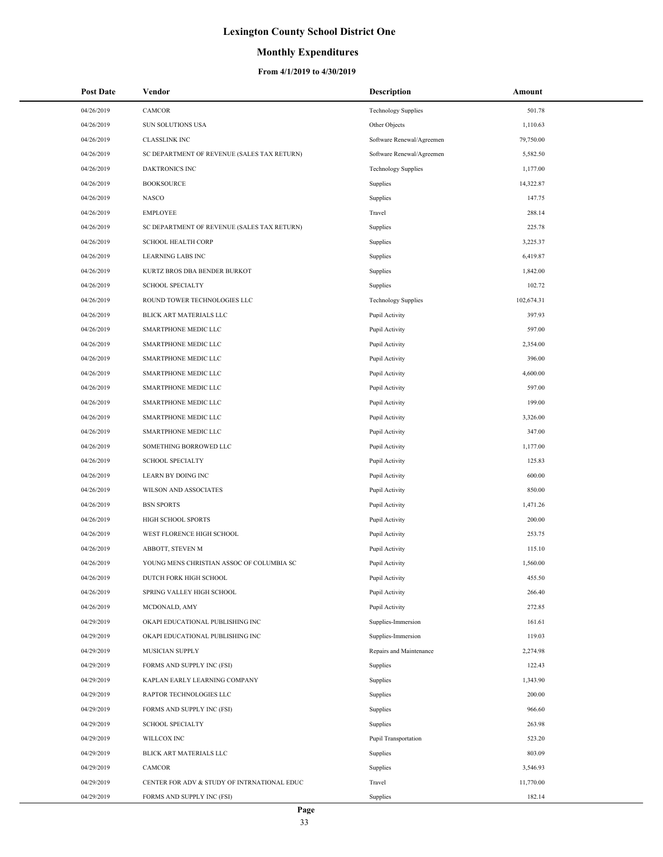## **Monthly Expenditures**

| <b>Post Date</b> | Vendor                                      | <b>Description</b>         | Amount     |
|------------------|---------------------------------------------|----------------------------|------------|
| 04/26/2019       | <b>CAMCOR</b>                               | <b>Technology Supplies</b> | 501.78     |
| 04/26/2019       | SUN SOLUTIONS USA                           | Other Objects              | 1,110.63   |
| 04/26/2019       | <b>CLASSLINK INC</b>                        | Software Renewal/Agreemen  | 79,750.00  |
| 04/26/2019       | SC DEPARTMENT OF REVENUE (SALES TAX RETURN) | Software Renewal/Agreemen  | 5,582.50   |
| 04/26/2019       | <b>DAKTRONICS INC</b>                       | <b>Technology Supplies</b> | 1,177.00   |
| 04/26/2019       | <b>BOOKSOURCE</b>                           | Supplies                   | 14,322.87  |
| 04/26/2019       | <b>NASCO</b>                                | Supplies                   | 147.75     |
| 04/26/2019       | <b>EMPLOYEE</b>                             | Travel                     | 288.14     |
| 04/26/2019       | SC DEPARTMENT OF REVENUE (SALES TAX RETURN) | Supplies                   | 225.78     |
| 04/26/2019       | <b>SCHOOL HEALTH CORP</b>                   | Supplies                   | 3,225.37   |
| 04/26/2019       | <b>LEARNING LABS INC</b>                    | Supplies                   | 6,419.87   |
| 04/26/2019       | KURTZ BROS DBA BENDER BURKOT                | Supplies                   | 1,842.00   |
| 04/26/2019       | <b>SCHOOL SPECIALTY</b>                     | Supplies                   | 102.72     |
| 04/26/2019       | ROUND TOWER TECHNOLOGIES LLC                | <b>Technology Supplies</b> | 102,674.31 |
| 04/26/2019       | BLICK ART MATERIALS LLC                     | Pupil Activity             | 397.93     |
| 04/26/2019       | SMARTPHONE MEDIC LLC                        | Pupil Activity             | 597.00     |
| 04/26/2019       | SMARTPHONE MEDIC LLC                        | Pupil Activity             | 2,354.00   |
| 04/26/2019       | SMARTPHONE MEDIC LLC                        | Pupil Activity             | 396.00     |
| 04/26/2019       | SMARTPHONE MEDIC LLC                        | Pupil Activity             | 4,600.00   |
| 04/26/2019       | SMARTPHONE MEDIC LLC                        | Pupil Activity             | 597.00     |
| 04/26/2019       | SMARTPHONE MEDIC LLC                        | Pupil Activity             | 199.00     |
| 04/26/2019       | SMARTPHONE MEDIC LLC                        | Pupil Activity             | 3,326.00   |
| 04/26/2019       | SMARTPHONE MEDIC LLC                        | Pupil Activity             | 347.00     |
| 04/26/2019       | SOMETHING BORROWED LLC                      | Pupil Activity             | 1,177.00   |
| 04/26/2019       | <b>SCHOOL SPECIALTY</b>                     | Pupil Activity             | 125.83     |
| 04/26/2019       | <b>LEARN BY DOING INC</b>                   | Pupil Activity             | 600.00     |
| 04/26/2019       | WILSON AND ASSOCIATES                       | Pupil Activity             | 850.00     |
| 04/26/2019       | <b>BSN SPORTS</b>                           | Pupil Activity             | 1,471.26   |
| 04/26/2019       | HIGH SCHOOL SPORTS                          | Pupil Activity             | 200.00     |
| 04/26/2019       | WEST FLORENCE HIGH SCHOOL                   | Pupil Activity             | 253.75     |
| 04/26/2019       | ABBOTT, STEVEN M                            | Pupil Activity             | 115.10     |
| 04/26/2019       | YOUNG MENS CHRISTIAN ASSOC OF COLUMBIA SC   | Pupil Activity             | 1,560.00   |
| 04/26/2019       | DUTCH FORK HIGH SCHOOL                      | Pupil Activity             | 455.50     |
| 04/26/2019       | SPRING VALLEY HIGH SCHOOL                   | Pupil Activity             | 266.40     |
| 04/26/2019       | MCDONALD, AMY                               | Pupil Activity             | 272.85     |
| 04/29/2019       | OKAPI EDUCATIONAL PUBLISHING INC            | Supplies-Immersion         | 161.61     |
| 04/29/2019       | OKAPI EDUCATIONAL PUBLISHING INC            | Supplies-Immersion         | 119.03     |
| 04/29/2019       | MUSICIAN SUPPLY                             | Repairs and Maintenance    | 2,274.98   |
| 04/29/2019       | FORMS AND SUPPLY INC (FSI)                  | Supplies                   | 122.43     |
| 04/29/2019       | KAPLAN EARLY LEARNING COMPANY               | Supplies                   | 1,343.90   |
| 04/29/2019       | RAPTOR TECHNOLOGIES LLC                     | Supplies                   | 200.00     |
| 04/29/2019       | FORMS AND SUPPLY INC (FSI)                  | Supplies                   | 966.60     |
| 04/29/2019       | <b>SCHOOL SPECIALTY</b>                     | Supplies                   | 263.98     |
| 04/29/2019       | WILLCOX INC                                 | Pupil Transportation       | 523.20     |
| 04/29/2019       | BLICK ART MATERIALS LLC                     | Supplies                   | 803.09     |
| 04/29/2019       | CAMCOR                                      | Supplies                   | 3,546.93   |
| 04/29/2019       | CENTER FOR ADV & STUDY OF INTRNATIONAL EDUC | Travel                     | 11,770.00  |
| 04/29/2019       | FORMS AND SUPPLY INC (FSI)                  | Supplies                   | 182.14     |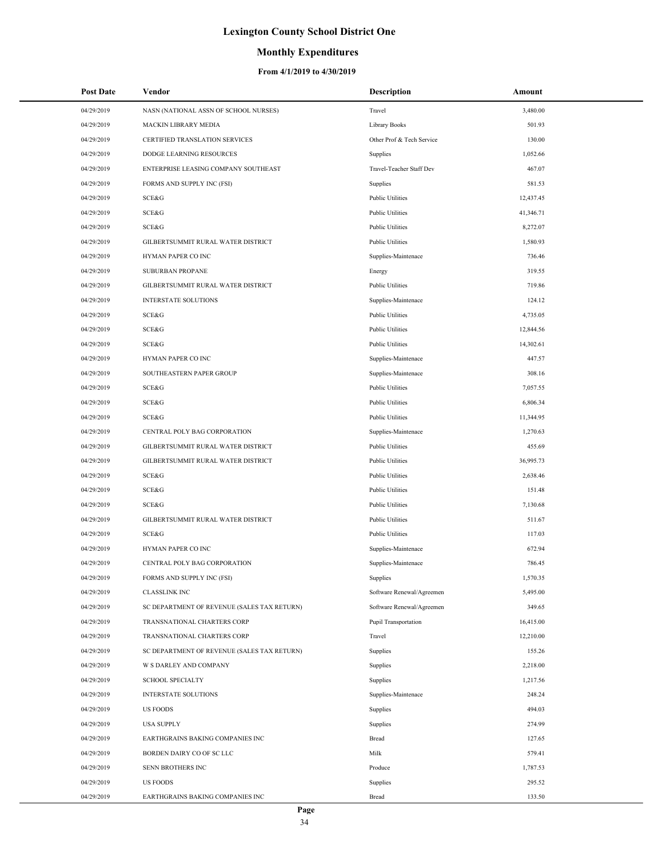### **Monthly Expenditures**

| <b>Post Date</b> | Vendor                                      | <b>Description</b>        | Amount    |
|------------------|---------------------------------------------|---------------------------|-----------|
| 04/29/2019       | NASN (NATIONAL ASSN OF SCHOOL NURSES)       | Travel                    | 3,480.00  |
| 04/29/2019       | MACKIN LIBRARY MEDIA                        | <b>Library Books</b>      | 501.93    |
| 04/29/2019       | CERTIFIED TRANSLATION SERVICES              | Other Prof & Tech Service | 130.00    |
| 04/29/2019       | DODGE LEARNING RESOURCES                    | Supplies                  | 1,052.66  |
| 04/29/2019       | ENTERPRISE LEASING COMPANY SOUTHEAST        | Travel-Teacher Staff Dev  | 467.07    |
| 04/29/2019       | FORMS AND SUPPLY INC (FSI)                  | Supplies                  | 581.53    |
| 04/29/2019       | SCE&G                                       | <b>Public Utilities</b>   | 12,437.45 |
| 04/29/2019       | SCE&G                                       | <b>Public Utilities</b>   | 41,346.71 |
| 04/29/2019       | SCE&G                                       | <b>Public Utilities</b>   | 8,272.07  |
| 04/29/2019       | GILBERTSUMMIT RURAL WATER DISTRICT          | <b>Public Utilities</b>   | 1,580.93  |
| 04/29/2019       | HYMAN PAPER CO INC                          | Supplies-Maintenace       | 736.46    |
| 04/29/2019       | <b>SUBURBAN PROPANE</b>                     | Energy                    | 319.55    |
| 04/29/2019       | GILBERTSUMMIT RURAL WATER DISTRICT          | <b>Public Utilities</b>   | 719.86    |
| 04/29/2019       | <b>INTERSTATE SOLUTIONS</b>                 | Supplies-Maintenace       | 124.12    |
| 04/29/2019       | SCE&G                                       | <b>Public Utilities</b>   | 4,735.05  |
| 04/29/2019       | SCE&G                                       | <b>Public Utilities</b>   | 12,844.56 |
| 04/29/2019       | SCE&G                                       | <b>Public Utilities</b>   | 14,302.61 |
| 04/29/2019       | HYMAN PAPER CO INC                          | Supplies-Maintenace       | 447.57    |
| 04/29/2019       | SOUTHEASTERN PAPER GROUP                    | Supplies-Maintenace       | 308.16    |
| 04/29/2019       | SCE&G                                       | <b>Public Utilities</b>   | 7,057.55  |
| 04/29/2019       | SCE&G                                       | <b>Public Utilities</b>   | 6,806.34  |
| 04/29/2019       | SCE&G                                       | <b>Public Utilities</b>   | 11,344.95 |
| 04/29/2019       | CENTRAL POLY BAG CORPORATION                | Supplies-Maintenace       | 1,270.63  |
| 04/29/2019       | GILBERTSUMMIT RURAL WATER DISTRICT          | <b>Public Utilities</b>   | 455.69    |
| 04/29/2019       | GILBERTSUMMIT RURAL WATER DISTRICT          | <b>Public Utilities</b>   | 36,995.73 |
| 04/29/2019       | SCE&G                                       | <b>Public Utilities</b>   | 2,638.46  |
| 04/29/2019       | SCE&G                                       | <b>Public Utilities</b>   | 151.48    |
| 04/29/2019       | SCE&G                                       | <b>Public Utilities</b>   | 7,130.68  |
| 04/29/2019       | GILBERTSUMMIT RURAL WATER DISTRICT          | <b>Public Utilities</b>   | 511.67    |
| 04/29/2019       | SCE&G                                       | <b>Public Utilities</b>   | 117.03    |
| 04/29/2019       | HYMAN PAPER CO INC                          | Supplies-Maintenace       | 672.94    |
| 04/29/2019       | CENTRAL POLY BAG CORPORATION                | Supplies-Maintenace       | 786.45    |
| 04/29/2019       | FORMS AND SUPPLY INC (FSI)                  | Supplies                  | 1,570.35  |
| 04/29/2019       | <b>CLASSLINK INC</b>                        | Software Renewal/Agreemen | 5,495.00  |
| 04/29/2019       | SC DEPARTMENT OF REVENUE (SALES TAX RETURN) | Software Renewal/Agreemen | 349.65    |
| 04/29/2019       | TRANSNATIONAL CHARTERS CORP                 | Pupil Transportation      | 16,415.00 |
| 04/29/2019       | TRANSNATIONAL CHARTERS CORP                 | Travel                    | 12,210.00 |
| 04/29/2019       | SC DEPARTMENT OF REVENUE (SALES TAX RETURN) | Supplies                  | 155.26    |
| 04/29/2019       | <b>W S DARLEY AND COMPANY</b>               | Supplies                  | 2,218.00  |
| 04/29/2019       | <b>SCHOOL SPECIALTY</b>                     | Supplies                  | 1,217.56  |
| 04/29/2019       | <b>INTERSTATE SOLUTIONS</b>                 | Supplies-Maintenace       | 248.24    |
| 04/29/2019       | <b>US FOODS</b>                             | Supplies                  | 494.03    |
| 04/29/2019       | <b>USA SUPPLY</b>                           | Supplies                  | 274.99    |
| 04/29/2019       | EARTHGRAINS BAKING COMPANIES INC            | Bread                     | 127.65    |
| 04/29/2019       | BORDEN DAIRY CO OF SC LLC                   | Milk                      | 579.41    |
| 04/29/2019       | SENN BROTHERS INC                           | Produce                   | 1,787.53  |
| 04/29/2019       | <b>US FOODS</b>                             | Supplies                  | 295.52    |
| 04/29/2019       | EARTHGRAINS BAKING COMPANIES INC            | Bread                     | 133.50    |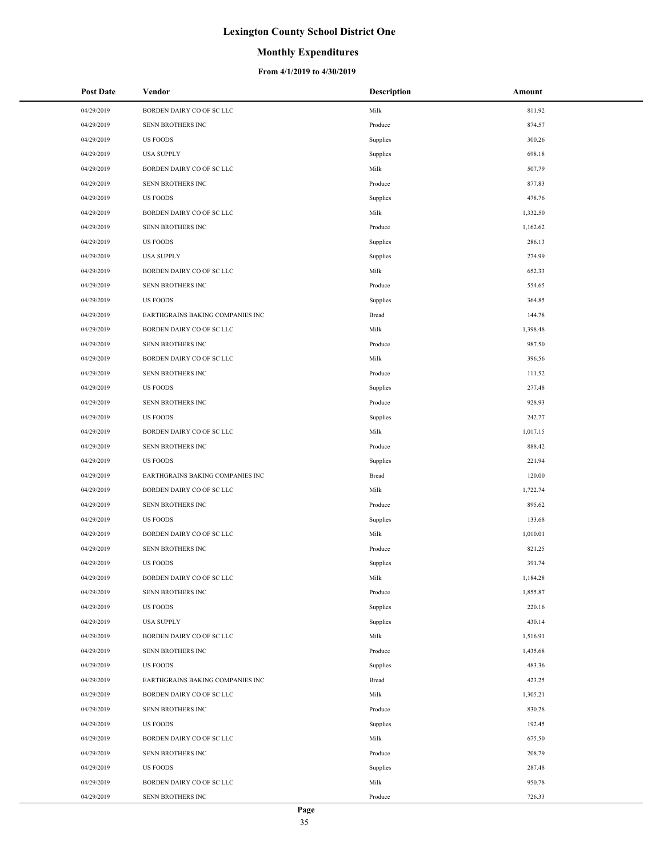### **Monthly Expenditures**

| 04/29/2019<br>BORDEN DAIRY CO OF SC LLC<br>Milk<br>811.92<br>04/29/2019<br>874.57<br>SENN BROTHERS INC<br>Produce<br>300.26<br>04/29/2019<br><b>US FOODS</b><br>Supplies<br>698.18<br>04/29/2019<br><b>USA SUPPLY</b><br>Supplies<br>Milk<br>507.79<br>04/29/2019<br>BORDEN DAIRY CO OF SC LLC<br>877.83<br>04/29/2019<br>SENN BROTHERS INC<br>Produce<br>478.76<br>04/29/2019<br><b>US FOODS</b><br>Supplies<br>04/29/2019<br>BORDEN DAIRY CO OF SC LLC<br>Milk<br>1,332.50<br>04/29/2019<br>SENN BROTHERS INC<br>1,162.62<br>Produce<br>286.13<br>04/29/2019<br><b>US FOODS</b><br>Supplies<br>274.99<br>04/29/2019<br><b>USA SUPPLY</b><br>Supplies<br>Milk<br>652.33<br>04/29/2019<br>BORDEN DAIRY CO OF SC LLC<br>554.65<br>04/29/2019<br>SENN BROTHERS INC<br>Produce<br>364.85<br>04/29/2019<br><b>US FOODS</b><br>Supplies<br>04/29/2019<br>EARTHGRAINS BAKING COMPANIES INC<br>144.78<br>Bread<br>Milk<br>04/29/2019<br>BORDEN DAIRY CO OF SC LLC<br>1,398.48<br>987.50<br>04/29/2019<br>SENN BROTHERS INC<br>Produce<br>Milk<br>396.56<br>04/29/2019<br>BORDEN DAIRY CO OF SC LLC<br>111.52<br>04/29/2019<br>SENN BROTHERS INC<br>Produce<br>277.48<br>04/29/2019<br><b>US FOODS</b><br>Supplies<br>928.93<br>04/29/2019<br>SENN BROTHERS INC<br>Produce<br>04/29/2019<br>242.77<br><b>US FOODS</b><br>Supplies<br>Milk<br>04/29/2019<br>BORDEN DAIRY CO OF SC LLC<br>1,017.15<br>888.42<br>04/29/2019<br>SENN BROTHERS INC<br>Produce<br>04/29/2019<br>221.94<br><b>US FOODS</b><br>Supplies<br>120.00<br>04/29/2019<br>EARTHGRAINS BAKING COMPANIES INC<br>Bread<br>Milk<br>1,722.74<br>04/29/2019<br>BORDEN DAIRY CO OF SC LLC<br>895.62<br>04/29/2019<br>SENN BROTHERS INC<br>Produce<br>133.68<br>04/29/2019<br><b>US FOODS</b><br>Supplies<br>1,010.01<br>04/29/2019<br>BORDEN DAIRY CO OF SC LLC<br>Milk<br>04/29/2019<br>SENN BROTHERS INC<br>821.25<br>Produce<br>391.74<br>04/29/2019<br><b>US FOODS</b><br>Supplies<br>Milk<br>04/29/2019<br>1,184.28<br>BORDEN DAIRY CO OF SC LLC<br>1,855.87<br>04/29/2019<br>SENN BROTHERS INC<br>Produce<br>220.16<br>04/29/2019<br><b>US FOODS</b><br>Supplies<br>04/29/2019<br><b>USA SUPPLY</b><br>430.14<br>Supplies<br>04/29/2019<br>BORDEN DAIRY CO OF SC LLC<br>Milk<br>1,516.91<br>04/29/2019<br>SENN BROTHERS INC<br>Produce<br>1,435.68<br>04/29/2019<br><b>US FOODS</b><br>Supplies<br>483.36<br>04/29/2019<br>423.25<br>EARTHGRAINS BAKING COMPANIES INC<br>Bread<br>Milk<br>04/29/2019<br>BORDEN DAIRY CO OF SC LLC<br>1,305.21<br>830.28<br>04/29/2019<br>SENN BROTHERS INC<br>Produce<br>192.45<br>04/29/2019<br><b>US FOODS</b><br>Supplies<br>Milk<br>04/29/2019<br>BORDEN DAIRY CO OF SC LLC<br>675.50<br>208.79<br>04/29/2019<br>SENN BROTHERS INC<br>Produce<br>04/29/2019<br>287.48<br><b>US FOODS</b><br>Supplies<br>04/29/2019<br>Milk<br>950.78<br>BORDEN DAIRY CO OF SC LLC<br>726.33<br>04/29/2019<br>SENN BROTHERS INC<br>Produce | Post Date | Vendor | Description | Amount |
|-----------------------------------------------------------------------------------------------------------------------------------------------------------------------------------------------------------------------------------------------------------------------------------------------------------------------------------------------------------------------------------------------------------------------------------------------------------------------------------------------------------------------------------------------------------------------------------------------------------------------------------------------------------------------------------------------------------------------------------------------------------------------------------------------------------------------------------------------------------------------------------------------------------------------------------------------------------------------------------------------------------------------------------------------------------------------------------------------------------------------------------------------------------------------------------------------------------------------------------------------------------------------------------------------------------------------------------------------------------------------------------------------------------------------------------------------------------------------------------------------------------------------------------------------------------------------------------------------------------------------------------------------------------------------------------------------------------------------------------------------------------------------------------------------------------------------------------------------------------------------------------------------------------------------------------------------------------------------------------------------------------------------------------------------------------------------------------------------------------------------------------------------------------------------------------------------------------------------------------------------------------------------------------------------------------------------------------------------------------------------------------------------------------------------------------------------------------------------------------------------------------------------------------------------------------------------------------------------------------------------------------------------------------------------------------------------------------------------------------------------------------------------------------------------------------------------------------------------------------------------------------------------------------------------|-----------|--------|-------------|--------|
|                                                                                                                                                                                                                                                                                                                                                                                                                                                                                                                                                                                                                                                                                                                                                                                                                                                                                                                                                                                                                                                                                                                                                                                                                                                                                                                                                                                                                                                                                                                                                                                                                                                                                                                                                                                                                                                                                                                                                                                                                                                                                                                                                                                                                                                                                                                                                                                                                                                                                                                                                                                                                                                                                                                                                                                                                                                                                                                       |           |        |             |        |
|                                                                                                                                                                                                                                                                                                                                                                                                                                                                                                                                                                                                                                                                                                                                                                                                                                                                                                                                                                                                                                                                                                                                                                                                                                                                                                                                                                                                                                                                                                                                                                                                                                                                                                                                                                                                                                                                                                                                                                                                                                                                                                                                                                                                                                                                                                                                                                                                                                                                                                                                                                                                                                                                                                                                                                                                                                                                                                                       |           |        |             |        |
|                                                                                                                                                                                                                                                                                                                                                                                                                                                                                                                                                                                                                                                                                                                                                                                                                                                                                                                                                                                                                                                                                                                                                                                                                                                                                                                                                                                                                                                                                                                                                                                                                                                                                                                                                                                                                                                                                                                                                                                                                                                                                                                                                                                                                                                                                                                                                                                                                                                                                                                                                                                                                                                                                                                                                                                                                                                                                                                       |           |        |             |        |
|                                                                                                                                                                                                                                                                                                                                                                                                                                                                                                                                                                                                                                                                                                                                                                                                                                                                                                                                                                                                                                                                                                                                                                                                                                                                                                                                                                                                                                                                                                                                                                                                                                                                                                                                                                                                                                                                                                                                                                                                                                                                                                                                                                                                                                                                                                                                                                                                                                                                                                                                                                                                                                                                                                                                                                                                                                                                                                                       |           |        |             |        |
|                                                                                                                                                                                                                                                                                                                                                                                                                                                                                                                                                                                                                                                                                                                                                                                                                                                                                                                                                                                                                                                                                                                                                                                                                                                                                                                                                                                                                                                                                                                                                                                                                                                                                                                                                                                                                                                                                                                                                                                                                                                                                                                                                                                                                                                                                                                                                                                                                                                                                                                                                                                                                                                                                                                                                                                                                                                                                                                       |           |        |             |        |
|                                                                                                                                                                                                                                                                                                                                                                                                                                                                                                                                                                                                                                                                                                                                                                                                                                                                                                                                                                                                                                                                                                                                                                                                                                                                                                                                                                                                                                                                                                                                                                                                                                                                                                                                                                                                                                                                                                                                                                                                                                                                                                                                                                                                                                                                                                                                                                                                                                                                                                                                                                                                                                                                                                                                                                                                                                                                                                                       |           |        |             |        |
|                                                                                                                                                                                                                                                                                                                                                                                                                                                                                                                                                                                                                                                                                                                                                                                                                                                                                                                                                                                                                                                                                                                                                                                                                                                                                                                                                                                                                                                                                                                                                                                                                                                                                                                                                                                                                                                                                                                                                                                                                                                                                                                                                                                                                                                                                                                                                                                                                                                                                                                                                                                                                                                                                                                                                                                                                                                                                                                       |           |        |             |        |
|                                                                                                                                                                                                                                                                                                                                                                                                                                                                                                                                                                                                                                                                                                                                                                                                                                                                                                                                                                                                                                                                                                                                                                                                                                                                                                                                                                                                                                                                                                                                                                                                                                                                                                                                                                                                                                                                                                                                                                                                                                                                                                                                                                                                                                                                                                                                                                                                                                                                                                                                                                                                                                                                                                                                                                                                                                                                                                                       |           |        |             |        |
|                                                                                                                                                                                                                                                                                                                                                                                                                                                                                                                                                                                                                                                                                                                                                                                                                                                                                                                                                                                                                                                                                                                                                                                                                                                                                                                                                                                                                                                                                                                                                                                                                                                                                                                                                                                                                                                                                                                                                                                                                                                                                                                                                                                                                                                                                                                                                                                                                                                                                                                                                                                                                                                                                                                                                                                                                                                                                                                       |           |        |             |        |
|                                                                                                                                                                                                                                                                                                                                                                                                                                                                                                                                                                                                                                                                                                                                                                                                                                                                                                                                                                                                                                                                                                                                                                                                                                                                                                                                                                                                                                                                                                                                                                                                                                                                                                                                                                                                                                                                                                                                                                                                                                                                                                                                                                                                                                                                                                                                                                                                                                                                                                                                                                                                                                                                                                                                                                                                                                                                                                                       |           |        |             |        |
|                                                                                                                                                                                                                                                                                                                                                                                                                                                                                                                                                                                                                                                                                                                                                                                                                                                                                                                                                                                                                                                                                                                                                                                                                                                                                                                                                                                                                                                                                                                                                                                                                                                                                                                                                                                                                                                                                                                                                                                                                                                                                                                                                                                                                                                                                                                                                                                                                                                                                                                                                                                                                                                                                                                                                                                                                                                                                                                       |           |        |             |        |
|                                                                                                                                                                                                                                                                                                                                                                                                                                                                                                                                                                                                                                                                                                                                                                                                                                                                                                                                                                                                                                                                                                                                                                                                                                                                                                                                                                                                                                                                                                                                                                                                                                                                                                                                                                                                                                                                                                                                                                                                                                                                                                                                                                                                                                                                                                                                                                                                                                                                                                                                                                                                                                                                                                                                                                                                                                                                                                                       |           |        |             |        |
|                                                                                                                                                                                                                                                                                                                                                                                                                                                                                                                                                                                                                                                                                                                                                                                                                                                                                                                                                                                                                                                                                                                                                                                                                                                                                                                                                                                                                                                                                                                                                                                                                                                                                                                                                                                                                                                                                                                                                                                                                                                                                                                                                                                                                                                                                                                                                                                                                                                                                                                                                                                                                                                                                                                                                                                                                                                                                                                       |           |        |             |        |
|                                                                                                                                                                                                                                                                                                                                                                                                                                                                                                                                                                                                                                                                                                                                                                                                                                                                                                                                                                                                                                                                                                                                                                                                                                                                                                                                                                                                                                                                                                                                                                                                                                                                                                                                                                                                                                                                                                                                                                                                                                                                                                                                                                                                                                                                                                                                                                                                                                                                                                                                                                                                                                                                                                                                                                                                                                                                                                                       |           |        |             |        |
|                                                                                                                                                                                                                                                                                                                                                                                                                                                                                                                                                                                                                                                                                                                                                                                                                                                                                                                                                                                                                                                                                                                                                                                                                                                                                                                                                                                                                                                                                                                                                                                                                                                                                                                                                                                                                                                                                                                                                                                                                                                                                                                                                                                                                                                                                                                                                                                                                                                                                                                                                                                                                                                                                                                                                                                                                                                                                                                       |           |        |             |        |
|                                                                                                                                                                                                                                                                                                                                                                                                                                                                                                                                                                                                                                                                                                                                                                                                                                                                                                                                                                                                                                                                                                                                                                                                                                                                                                                                                                                                                                                                                                                                                                                                                                                                                                                                                                                                                                                                                                                                                                                                                                                                                                                                                                                                                                                                                                                                                                                                                                                                                                                                                                                                                                                                                                                                                                                                                                                                                                                       |           |        |             |        |
|                                                                                                                                                                                                                                                                                                                                                                                                                                                                                                                                                                                                                                                                                                                                                                                                                                                                                                                                                                                                                                                                                                                                                                                                                                                                                                                                                                                                                                                                                                                                                                                                                                                                                                                                                                                                                                                                                                                                                                                                                                                                                                                                                                                                                                                                                                                                                                                                                                                                                                                                                                                                                                                                                                                                                                                                                                                                                                                       |           |        |             |        |
|                                                                                                                                                                                                                                                                                                                                                                                                                                                                                                                                                                                                                                                                                                                                                                                                                                                                                                                                                                                                                                                                                                                                                                                                                                                                                                                                                                                                                                                                                                                                                                                                                                                                                                                                                                                                                                                                                                                                                                                                                                                                                                                                                                                                                                                                                                                                                                                                                                                                                                                                                                                                                                                                                                                                                                                                                                                                                                                       |           |        |             |        |
|                                                                                                                                                                                                                                                                                                                                                                                                                                                                                                                                                                                                                                                                                                                                                                                                                                                                                                                                                                                                                                                                                                                                                                                                                                                                                                                                                                                                                                                                                                                                                                                                                                                                                                                                                                                                                                                                                                                                                                                                                                                                                                                                                                                                                                                                                                                                                                                                                                                                                                                                                                                                                                                                                                                                                                                                                                                                                                                       |           |        |             |        |
|                                                                                                                                                                                                                                                                                                                                                                                                                                                                                                                                                                                                                                                                                                                                                                                                                                                                                                                                                                                                                                                                                                                                                                                                                                                                                                                                                                                                                                                                                                                                                                                                                                                                                                                                                                                                                                                                                                                                                                                                                                                                                                                                                                                                                                                                                                                                                                                                                                                                                                                                                                                                                                                                                                                                                                                                                                                                                                                       |           |        |             |        |
|                                                                                                                                                                                                                                                                                                                                                                                                                                                                                                                                                                                                                                                                                                                                                                                                                                                                                                                                                                                                                                                                                                                                                                                                                                                                                                                                                                                                                                                                                                                                                                                                                                                                                                                                                                                                                                                                                                                                                                                                                                                                                                                                                                                                                                                                                                                                                                                                                                                                                                                                                                                                                                                                                                                                                                                                                                                                                                                       |           |        |             |        |
|                                                                                                                                                                                                                                                                                                                                                                                                                                                                                                                                                                                                                                                                                                                                                                                                                                                                                                                                                                                                                                                                                                                                                                                                                                                                                                                                                                                                                                                                                                                                                                                                                                                                                                                                                                                                                                                                                                                                                                                                                                                                                                                                                                                                                                                                                                                                                                                                                                                                                                                                                                                                                                                                                                                                                                                                                                                                                                                       |           |        |             |        |
|                                                                                                                                                                                                                                                                                                                                                                                                                                                                                                                                                                                                                                                                                                                                                                                                                                                                                                                                                                                                                                                                                                                                                                                                                                                                                                                                                                                                                                                                                                                                                                                                                                                                                                                                                                                                                                                                                                                                                                                                                                                                                                                                                                                                                                                                                                                                                                                                                                                                                                                                                                                                                                                                                                                                                                                                                                                                                                                       |           |        |             |        |
|                                                                                                                                                                                                                                                                                                                                                                                                                                                                                                                                                                                                                                                                                                                                                                                                                                                                                                                                                                                                                                                                                                                                                                                                                                                                                                                                                                                                                                                                                                                                                                                                                                                                                                                                                                                                                                                                                                                                                                                                                                                                                                                                                                                                                                                                                                                                                                                                                                                                                                                                                                                                                                                                                                                                                                                                                                                                                                                       |           |        |             |        |
|                                                                                                                                                                                                                                                                                                                                                                                                                                                                                                                                                                                                                                                                                                                                                                                                                                                                                                                                                                                                                                                                                                                                                                                                                                                                                                                                                                                                                                                                                                                                                                                                                                                                                                                                                                                                                                                                                                                                                                                                                                                                                                                                                                                                                                                                                                                                                                                                                                                                                                                                                                                                                                                                                                                                                                                                                                                                                                                       |           |        |             |        |
|                                                                                                                                                                                                                                                                                                                                                                                                                                                                                                                                                                                                                                                                                                                                                                                                                                                                                                                                                                                                                                                                                                                                                                                                                                                                                                                                                                                                                                                                                                                                                                                                                                                                                                                                                                                                                                                                                                                                                                                                                                                                                                                                                                                                                                                                                                                                                                                                                                                                                                                                                                                                                                                                                                                                                                                                                                                                                                                       |           |        |             |        |
|                                                                                                                                                                                                                                                                                                                                                                                                                                                                                                                                                                                                                                                                                                                                                                                                                                                                                                                                                                                                                                                                                                                                                                                                                                                                                                                                                                                                                                                                                                                                                                                                                                                                                                                                                                                                                                                                                                                                                                                                                                                                                                                                                                                                                                                                                                                                                                                                                                                                                                                                                                                                                                                                                                                                                                                                                                                                                                                       |           |        |             |        |
|                                                                                                                                                                                                                                                                                                                                                                                                                                                                                                                                                                                                                                                                                                                                                                                                                                                                                                                                                                                                                                                                                                                                                                                                                                                                                                                                                                                                                                                                                                                                                                                                                                                                                                                                                                                                                                                                                                                                                                                                                                                                                                                                                                                                                                                                                                                                                                                                                                                                                                                                                                                                                                                                                                                                                                                                                                                                                                                       |           |        |             |        |
|                                                                                                                                                                                                                                                                                                                                                                                                                                                                                                                                                                                                                                                                                                                                                                                                                                                                                                                                                                                                                                                                                                                                                                                                                                                                                                                                                                                                                                                                                                                                                                                                                                                                                                                                                                                                                                                                                                                                                                                                                                                                                                                                                                                                                                                                                                                                                                                                                                                                                                                                                                                                                                                                                                                                                                                                                                                                                                                       |           |        |             |        |
|                                                                                                                                                                                                                                                                                                                                                                                                                                                                                                                                                                                                                                                                                                                                                                                                                                                                                                                                                                                                                                                                                                                                                                                                                                                                                                                                                                                                                                                                                                                                                                                                                                                                                                                                                                                                                                                                                                                                                                                                                                                                                                                                                                                                                                                                                                                                                                                                                                                                                                                                                                                                                                                                                                                                                                                                                                                                                                                       |           |        |             |        |
|                                                                                                                                                                                                                                                                                                                                                                                                                                                                                                                                                                                                                                                                                                                                                                                                                                                                                                                                                                                                                                                                                                                                                                                                                                                                                                                                                                                                                                                                                                                                                                                                                                                                                                                                                                                                                                                                                                                                                                                                                                                                                                                                                                                                                                                                                                                                                                                                                                                                                                                                                                                                                                                                                                                                                                                                                                                                                                                       |           |        |             |        |
|                                                                                                                                                                                                                                                                                                                                                                                                                                                                                                                                                                                                                                                                                                                                                                                                                                                                                                                                                                                                                                                                                                                                                                                                                                                                                                                                                                                                                                                                                                                                                                                                                                                                                                                                                                                                                                                                                                                                                                                                                                                                                                                                                                                                                                                                                                                                                                                                                                                                                                                                                                                                                                                                                                                                                                                                                                                                                                                       |           |        |             |        |
|                                                                                                                                                                                                                                                                                                                                                                                                                                                                                                                                                                                                                                                                                                                                                                                                                                                                                                                                                                                                                                                                                                                                                                                                                                                                                                                                                                                                                                                                                                                                                                                                                                                                                                                                                                                                                                                                                                                                                                                                                                                                                                                                                                                                                                                                                                                                                                                                                                                                                                                                                                                                                                                                                                                                                                                                                                                                                                                       |           |        |             |        |
|                                                                                                                                                                                                                                                                                                                                                                                                                                                                                                                                                                                                                                                                                                                                                                                                                                                                                                                                                                                                                                                                                                                                                                                                                                                                                                                                                                                                                                                                                                                                                                                                                                                                                                                                                                                                                                                                                                                                                                                                                                                                                                                                                                                                                                                                                                                                                                                                                                                                                                                                                                                                                                                                                                                                                                                                                                                                                                                       |           |        |             |        |
|                                                                                                                                                                                                                                                                                                                                                                                                                                                                                                                                                                                                                                                                                                                                                                                                                                                                                                                                                                                                                                                                                                                                                                                                                                                                                                                                                                                                                                                                                                                                                                                                                                                                                                                                                                                                                                                                                                                                                                                                                                                                                                                                                                                                                                                                                                                                                                                                                                                                                                                                                                                                                                                                                                                                                                                                                                                                                                                       |           |        |             |        |
|                                                                                                                                                                                                                                                                                                                                                                                                                                                                                                                                                                                                                                                                                                                                                                                                                                                                                                                                                                                                                                                                                                                                                                                                                                                                                                                                                                                                                                                                                                                                                                                                                                                                                                                                                                                                                                                                                                                                                                                                                                                                                                                                                                                                                                                                                                                                                                                                                                                                                                                                                                                                                                                                                                                                                                                                                                                                                                                       |           |        |             |        |
|                                                                                                                                                                                                                                                                                                                                                                                                                                                                                                                                                                                                                                                                                                                                                                                                                                                                                                                                                                                                                                                                                                                                                                                                                                                                                                                                                                                                                                                                                                                                                                                                                                                                                                                                                                                                                                                                                                                                                                                                                                                                                                                                                                                                                                                                                                                                                                                                                                                                                                                                                                                                                                                                                                                                                                                                                                                                                                                       |           |        |             |        |
|                                                                                                                                                                                                                                                                                                                                                                                                                                                                                                                                                                                                                                                                                                                                                                                                                                                                                                                                                                                                                                                                                                                                                                                                                                                                                                                                                                                                                                                                                                                                                                                                                                                                                                                                                                                                                                                                                                                                                                                                                                                                                                                                                                                                                                                                                                                                                                                                                                                                                                                                                                                                                                                                                                                                                                                                                                                                                                                       |           |        |             |        |
|                                                                                                                                                                                                                                                                                                                                                                                                                                                                                                                                                                                                                                                                                                                                                                                                                                                                                                                                                                                                                                                                                                                                                                                                                                                                                                                                                                                                                                                                                                                                                                                                                                                                                                                                                                                                                                                                                                                                                                                                                                                                                                                                                                                                                                                                                                                                                                                                                                                                                                                                                                                                                                                                                                                                                                                                                                                                                                                       |           |        |             |        |
|                                                                                                                                                                                                                                                                                                                                                                                                                                                                                                                                                                                                                                                                                                                                                                                                                                                                                                                                                                                                                                                                                                                                                                                                                                                                                                                                                                                                                                                                                                                                                                                                                                                                                                                                                                                                                                                                                                                                                                                                                                                                                                                                                                                                                                                                                                                                                                                                                                                                                                                                                                                                                                                                                                                                                                                                                                                                                                                       |           |        |             |        |
|                                                                                                                                                                                                                                                                                                                                                                                                                                                                                                                                                                                                                                                                                                                                                                                                                                                                                                                                                                                                                                                                                                                                                                                                                                                                                                                                                                                                                                                                                                                                                                                                                                                                                                                                                                                                                                                                                                                                                                                                                                                                                                                                                                                                                                                                                                                                                                                                                                                                                                                                                                                                                                                                                                                                                                                                                                                                                                                       |           |        |             |        |
|                                                                                                                                                                                                                                                                                                                                                                                                                                                                                                                                                                                                                                                                                                                                                                                                                                                                                                                                                                                                                                                                                                                                                                                                                                                                                                                                                                                                                                                                                                                                                                                                                                                                                                                                                                                                                                                                                                                                                                                                                                                                                                                                                                                                                                                                                                                                                                                                                                                                                                                                                                                                                                                                                                                                                                                                                                                                                                                       |           |        |             |        |
|                                                                                                                                                                                                                                                                                                                                                                                                                                                                                                                                                                                                                                                                                                                                                                                                                                                                                                                                                                                                                                                                                                                                                                                                                                                                                                                                                                                                                                                                                                                                                                                                                                                                                                                                                                                                                                                                                                                                                                                                                                                                                                                                                                                                                                                                                                                                                                                                                                                                                                                                                                                                                                                                                                                                                                                                                                                                                                                       |           |        |             |        |
|                                                                                                                                                                                                                                                                                                                                                                                                                                                                                                                                                                                                                                                                                                                                                                                                                                                                                                                                                                                                                                                                                                                                                                                                                                                                                                                                                                                                                                                                                                                                                                                                                                                                                                                                                                                                                                                                                                                                                                                                                                                                                                                                                                                                                                                                                                                                                                                                                                                                                                                                                                                                                                                                                                                                                                                                                                                                                                                       |           |        |             |        |
|                                                                                                                                                                                                                                                                                                                                                                                                                                                                                                                                                                                                                                                                                                                                                                                                                                                                                                                                                                                                                                                                                                                                                                                                                                                                                                                                                                                                                                                                                                                                                                                                                                                                                                                                                                                                                                                                                                                                                                                                                                                                                                                                                                                                                                                                                                                                                                                                                                                                                                                                                                                                                                                                                                                                                                                                                                                                                                                       |           |        |             |        |
|                                                                                                                                                                                                                                                                                                                                                                                                                                                                                                                                                                                                                                                                                                                                                                                                                                                                                                                                                                                                                                                                                                                                                                                                                                                                                                                                                                                                                                                                                                                                                                                                                                                                                                                                                                                                                                                                                                                                                                                                                                                                                                                                                                                                                                                                                                                                                                                                                                                                                                                                                                                                                                                                                                                                                                                                                                                                                                                       |           |        |             |        |
|                                                                                                                                                                                                                                                                                                                                                                                                                                                                                                                                                                                                                                                                                                                                                                                                                                                                                                                                                                                                                                                                                                                                                                                                                                                                                                                                                                                                                                                                                                                                                                                                                                                                                                                                                                                                                                                                                                                                                                                                                                                                                                                                                                                                                                                                                                                                                                                                                                                                                                                                                                                                                                                                                                                                                                                                                                                                                                                       |           |        |             |        |
|                                                                                                                                                                                                                                                                                                                                                                                                                                                                                                                                                                                                                                                                                                                                                                                                                                                                                                                                                                                                                                                                                                                                                                                                                                                                                                                                                                                                                                                                                                                                                                                                                                                                                                                                                                                                                                                                                                                                                                                                                                                                                                                                                                                                                                                                                                                                                                                                                                                                                                                                                                                                                                                                                                                                                                                                                                                                                                                       |           |        |             |        |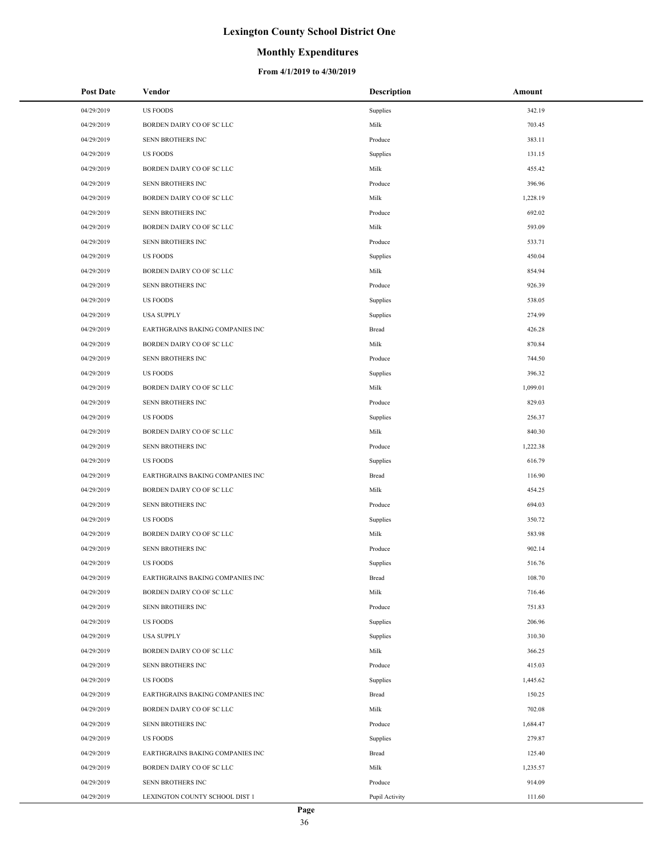### **Monthly Expenditures**

| <b>Post Date</b> | Vendor                           | <b>Description</b> | Amount   |
|------------------|----------------------------------|--------------------|----------|
| 04/29/2019       | <b>US FOODS</b>                  | Supplies           | 342.19   |
| 04/29/2019       | BORDEN DAIRY CO OF SC LLC        | Milk               | 703.45   |
| 04/29/2019       | SENN BROTHERS INC                | Produce            | 383.11   |
| 04/29/2019       | <b>US FOODS</b>                  | Supplies           | 131.15   |
| 04/29/2019       | BORDEN DAIRY CO OF SC LLC        | Milk               | 455.42   |
| 04/29/2019       | SENN BROTHERS INC                | Produce            | 396.96   |
| 04/29/2019       | BORDEN DAIRY CO OF SC LLC        | Milk               | 1,228.19 |
| 04/29/2019       | SENN BROTHERS INC                | Produce            | 692.02   |
| 04/29/2019       | BORDEN DAIRY CO OF SC LLC        | Milk               | 593.09   |
| 04/29/2019       | SENN BROTHERS INC                | Produce            | 533.71   |
| 04/29/2019       | <b>US FOODS</b>                  | Supplies           | 450.04   |
| 04/29/2019       | BORDEN DAIRY CO OF SC LLC        | Milk               | 854.94   |
| 04/29/2019       | SENN BROTHERS INC                | Produce            | 926.39   |
| 04/29/2019       | <b>US FOODS</b>                  | Supplies           | 538.05   |
| 04/29/2019       | <b>USA SUPPLY</b>                | Supplies           | 274.99   |
| 04/29/2019       | EARTHGRAINS BAKING COMPANIES INC | Bread              | 426.28   |
| 04/29/2019       | BORDEN DAIRY CO OF SC LLC        | Milk               | 870.84   |
| 04/29/2019       | SENN BROTHERS INC                | Produce            | 744.50   |
| 04/29/2019       | <b>US FOODS</b>                  | Supplies           | 396.32   |
| 04/29/2019       | BORDEN DAIRY CO OF SC LLC        | Milk               | 1,099.01 |
| 04/29/2019       | SENN BROTHERS INC                | Produce            | 829.03   |
| 04/29/2019       | <b>US FOODS</b>                  | Supplies           | 256.37   |
| 04/29/2019       | BORDEN DAIRY CO OF SC LLC        | Milk               | 840.30   |
| 04/29/2019       | SENN BROTHERS INC                | Produce            | 1,222.38 |
| 04/29/2019       | <b>US FOODS</b>                  | Supplies           | 616.79   |
| 04/29/2019       | EARTHGRAINS BAKING COMPANIES INC | Bread              | 116.90   |
| 04/29/2019       | BORDEN DAIRY CO OF SC LLC        | Milk               | 454.25   |
| 04/29/2019       | <b>SENN BROTHERS INC</b>         | Produce            | 694.03   |
| 04/29/2019       | <b>US FOODS</b>                  | Supplies           | 350.72   |
| 04/29/2019       | BORDEN DAIRY CO OF SC LLC        | Milk               | 583.98   |
| 04/29/2019       | SENN BROTHERS INC                | Produce            | 902.14   |
| 04/29/2019       | <b>US FOODS</b>                  | Supplies           | 516.76   |
| 04/29/2019       | EARTHGRAINS BAKING COMPANIES INC | Bread              | 108.70   |
| 04/29/2019       | BORDEN DAIRY CO OF SC LLC        | Milk               | 716.46   |
| 04/29/2019       | SENN BROTHERS INC                | Produce            | 751.83   |
| 04/29/2019       | <b>US FOODS</b>                  | Supplies           | 206.96   |
| 04/29/2019       | <b>USA SUPPLY</b>                | Supplies           | 310.30   |
| 04/29/2019       | BORDEN DAIRY CO OF SC LLC        | Milk               | 366.25   |
| 04/29/2019       | SENN BROTHERS INC                | Produce            | 415.03   |
| 04/29/2019       | <b>US FOODS</b>                  | Supplies           | 1,445.62 |
| 04/29/2019       | EARTHGRAINS BAKING COMPANIES INC | Bread              | 150.25   |
| 04/29/2019       | BORDEN DAIRY CO OF SC LLC        | Milk               | 702.08   |
| 04/29/2019       | SENN BROTHERS INC                | Produce            | 1,684.47 |
| 04/29/2019       | <b>US FOODS</b>                  | Supplies           | 279.87   |
| 04/29/2019       | EARTHGRAINS BAKING COMPANIES INC | Bread              | 125.40   |
| 04/29/2019       | BORDEN DAIRY CO OF SC LLC        | Milk               | 1,235.57 |
| 04/29/2019       | SENN BROTHERS INC                | Produce            | 914.09   |
| 04/29/2019       | LEXINGTON COUNTY SCHOOL DIST 1   | Pupil Activity     | 111.60   |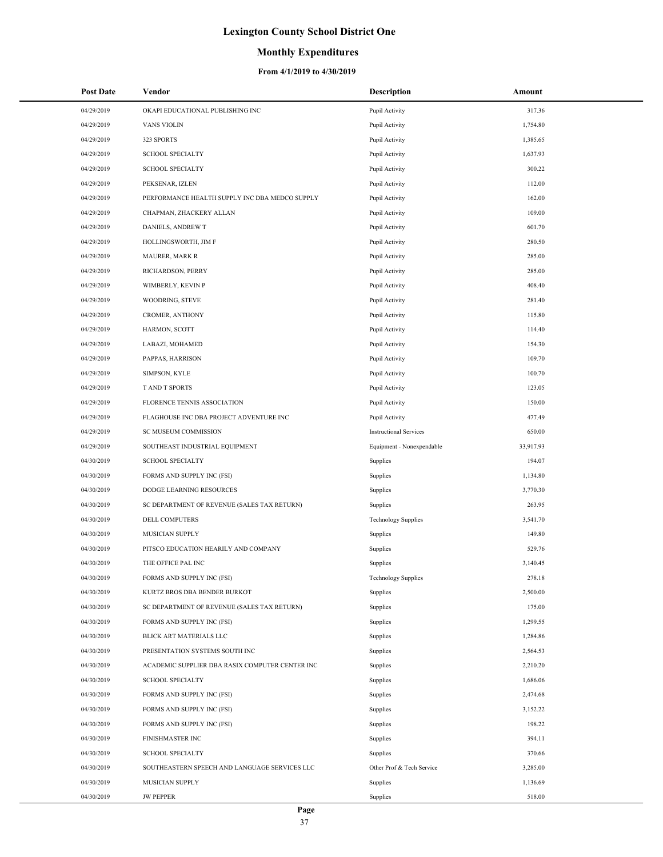### **Monthly Expenditures**

| <b>Post Date</b> | Vendor                                          | <b>Description</b>            | Amount    |
|------------------|-------------------------------------------------|-------------------------------|-----------|
| 04/29/2019       | OKAPI EDUCATIONAL PUBLISHING INC                | Pupil Activity                | 317.36    |
| 04/29/2019       | <b>VANS VIOLIN</b>                              | Pupil Activity                | 1,754.80  |
| 04/29/2019       | 323 SPORTS                                      | Pupil Activity                | 1,385.65  |
| 04/29/2019       | <b>SCHOOL SPECIALTY</b>                         | Pupil Activity                | 1,637.93  |
| 04/29/2019       | <b>SCHOOL SPECIALTY</b>                         | Pupil Activity                | 300.22    |
| 04/29/2019       | PEKSENAR, IZLEN                                 | Pupil Activity                | 112.00    |
| 04/29/2019       | PERFORMANCE HEALTH SUPPLY INC DBA MEDCO SUPPLY  | Pupil Activity                | 162.00    |
| 04/29/2019       | CHAPMAN, ZHACKERY ALLAN                         | Pupil Activity                | 109.00    |
| 04/29/2019       | DANIELS, ANDREW T                               | Pupil Activity                | 601.70    |
| 04/29/2019       | HOLLINGSWORTH, JIM F                            | Pupil Activity                | 280.50    |
| 04/29/2019       | <b>MAURER, MARK R</b>                           | Pupil Activity                | 285.00    |
| 04/29/2019       | RICHARDSON, PERRY                               | Pupil Activity                | 285.00    |
| 04/29/2019       | WIMBERLY, KEVIN P                               | Pupil Activity                | 408.40    |
| 04/29/2019       | WOODRING, STEVE                                 | Pupil Activity                | 281.40    |
| 04/29/2019       | CROMER, ANTHONY                                 | Pupil Activity                | 115.80    |
| 04/29/2019       | HARMON, SCOTT                                   | Pupil Activity                | 114.40    |
| 04/29/2019       | LABAZI, MOHAMED                                 | Pupil Activity                | 154.30    |
| 04/29/2019       | PAPPAS, HARRISON                                | Pupil Activity                | 109.70    |
| 04/29/2019       | SIMPSON, KYLE                                   | Pupil Activity                | 100.70    |
| 04/29/2019       | T AND T SPORTS                                  | Pupil Activity                | 123.05    |
| 04/29/2019       | FLORENCE TENNIS ASSOCIATION                     | Pupil Activity                | 150.00    |
| 04/29/2019       | FLAGHOUSE INC DBA PROJECT ADVENTURE INC         | Pupil Activity                | 477.49    |
| 04/29/2019       | SC MUSEUM COMMISSION                            | <b>Instructional Services</b> | 650.00    |
| 04/29/2019       | SOUTHEAST INDUSTRIAL EQUIPMENT                  | Equipment - Nonexpendable     | 33,917.93 |
| 04/30/2019       | <b>SCHOOL SPECIALTY</b>                         | Supplies                      | 194.07    |
| 04/30/2019       | FORMS AND SUPPLY INC (FSI)                      | Supplies                      | 1,134.80  |
| 04/30/2019       | DODGE LEARNING RESOURCES                        | Supplies                      | 3,770.30  |
| 04/30/2019       | SC DEPARTMENT OF REVENUE (SALES TAX RETURN)     | Supplies                      | 263.95    |
| 04/30/2019       | DELL COMPUTERS                                  | <b>Technology Supplies</b>    | 3,541.70  |
| 04/30/2019       | <b>MUSICIAN SUPPLY</b>                          | Supplies                      | 149.80    |
| 04/30/2019       | PITSCO EDUCATION HEARILY AND COMPANY            | Supplies                      | 529.76    |
| 04/30/2019       | THE OFFICE PAL INC                              | Supplies                      | 3,140.45  |
| 04/30/2019       | FORMS AND SUPPLY INC (FSI)                      | <b>Technology Supplies</b>    | 278.18    |
| 04/30/2019       | KURTZ BROS DBA BENDER BURKOT                    | Supplies                      | 2,500.00  |
| 04/30/2019       | SC DEPARTMENT OF REVENUE (SALES TAX RETURN)     | Supplies                      | 175.00    |
| 04/30/2019       | FORMS AND SUPPLY INC (FSI)                      | Supplies                      | 1,299.55  |
| 04/30/2019       | BLICK ART MATERIALS LLC                         | Supplies                      | 1,284.86  |
| 04/30/2019       | PRESENTATION SYSTEMS SOUTH INC                  | Supplies                      | 2,564.53  |
| 04/30/2019       | ACADEMIC SUPPLIER DBA RASIX COMPUTER CENTER INC | Supplies                      | 2,210.20  |
| 04/30/2019       | <b>SCHOOL SPECIALTY</b>                         | Supplies                      | 1,686.06  |
| 04/30/2019       | FORMS AND SUPPLY INC (FSI)                      | Supplies                      | 2,474.68  |
| 04/30/2019       | FORMS AND SUPPLY INC (FSI)                      | Supplies                      | 3,152.22  |
| 04/30/2019       | FORMS AND SUPPLY INC (FSI)                      | Supplies                      | 198.22    |
| 04/30/2019       | FINISHMASTER INC                                | Supplies                      | 394.11    |
| 04/30/2019       | <b>SCHOOL SPECIALTY</b>                         | Supplies                      | 370.66    |
| 04/30/2019       | SOUTHEASTERN SPEECH AND LANGUAGE SERVICES LLC   | Other Prof & Tech Service     | 3,285.00  |
| 04/30/2019       | MUSICIAN SUPPLY                                 | Supplies                      | 1,136.69  |
| 04/30/2019       | <b>JW PEPPER</b>                                | Supplies                      | 518.00    |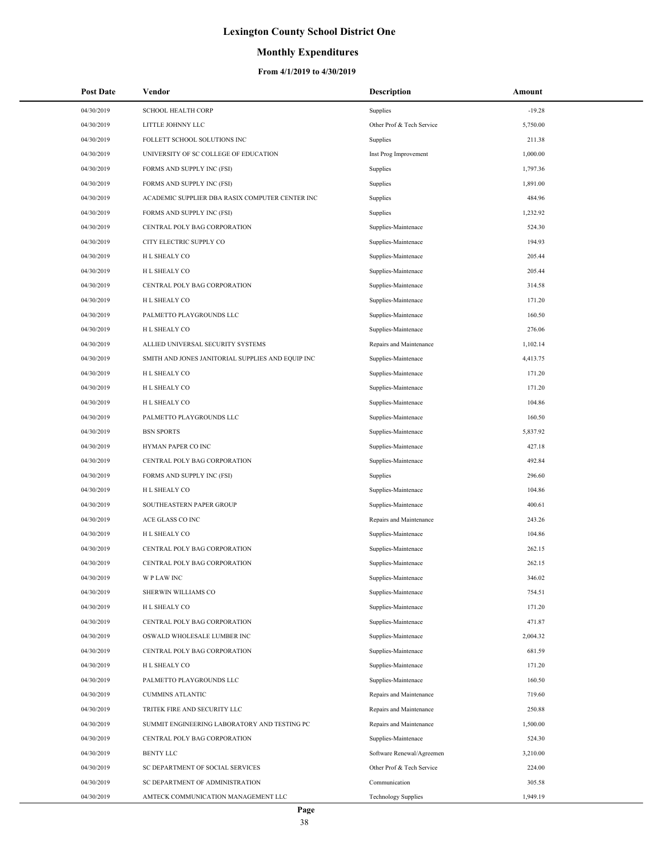## **Monthly Expenditures**

| <b>Post Date</b> | Vendor                                            | <b>Description</b>         | Amount   |
|------------------|---------------------------------------------------|----------------------------|----------|
| 04/30/2019       | <b>SCHOOL HEALTH CORP</b>                         | Supplies                   | $-19.28$ |
| 04/30/2019       | LITTLE JOHNNY LLC                                 | Other Prof & Tech Service  | 5,750.00 |
| 04/30/2019       | FOLLETT SCHOOL SOLUTIONS INC                      | Supplies                   | 211.38   |
| 04/30/2019       | UNIVERSITY OF SC COLLEGE OF EDUCATION             | Inst Prog Improvement      | 1,000.00 |
| 04/30/2019       | FORMS AND SUPPLY INC (FSI)                        | Supplies                   | 1,797.36 |
| 04/30/2019       | FORMS AND SUPPLY INC (FSI)                        | Supplies                   | 1,891.00 |
| 04/30/2019       | ACADEMIC SUPPLIER DBA RASIX COMPUTER CENTER INC   | Supplies                   | 484.96   |
| 04/30/2019       | FORMS AND SUPPLY INC (FSI)                        | Supplies                   | 1,232.92 |
| 04/30/2019       | CENTRAL POLY BAG CORPORATION                      | Supplies-Maintenace        | 524.30   |
| 04/30/2019       | CITY ELECTRIC SUPPLY CO                           | Supplies-Maintenace        | 194.93   |
| 04/30/2019       | H L SHEALY CO                                     | Supplies-Maintenace        | 205.44   |
| 04/30/2019       | H L SHEALY CO                                     | Supplies-Maintenace        | 205.44   |
| 04/30/2019       | CENTRAL POLY BAG CORPORATION                      | Supplies-Maintenace        | 314.58   |
| 04/30/2019       | H L SHEALY CO                                     | Supplies-Maintenace        | 171.20   |
| 04/30/2019       | PALMETTO PLAYGROUNDS LLC                          | Supplies-Maintenace        | 160.50   |
| 04/30/2019       | H L SHEALY CO                                     | Supplies-Maintenace        | 276.06   |
| 04/30/2019       | ALLIED UNIVERSAL SECURITY SYSTEMS                 | Repairs and Maintenance    | 1,102.14 |
| 04/30/2019       | SMITH AND JONES JANITORIAL SUPPLIES AND EQUIP INC | Supplies-Maintenace        | 4,413.75 |
| 04/30/2019       | H L SHEALY CO                                     | Supplies-Maintenace        | 171.20   |
| 04/30/2019       | H L SHEALY CO                                     | Supplies-Maintenace        | 171.20   |
| 04/30/2019       | H L SHEALY CO                                     | Supplies-Maintenace        | 104.86   |
| 04/30/2019       | PALMETTO PLAYGROUNDS LLC                          | Supplies-Maintenace        | 160.50   |
| 04/30/2019       | <b>BSN SPORTS</b>                                 | Supplies-Maintenace        | 5,837.92 |
| 04/30/2019       | HYMAN PAPER CO INC                                | Supplies-Maintenace        | 427.18   |
| 04/30/2019       | CENTRAL POLY BAG CORPORATION                      | Supplies-Maintenace        | 492.84   |
| 04/30/2019       | FORMS AND SUPPLY INC (FSI)                        | Supplies                   | 296.60   |
| 04/30/2019       | H L SHEALY CO                                     | Supplies-Maintenace        | 104.86   |
| 04/30/2019       | SOUTHEASTERN PAPER GROUP                          | Supplies-Maintenace        | 400.61   |
| 04/30/2019       | ACE GLASS CO INC                                  | Repairs and Maintenance    | 243.26   |
| 04/30/2019       | H L SHEALY CO                                     | Supplies-Maintenace        | 104.86   |
| 04/30/2019       | CENTRAL POLY BAG CORPORATION                      | Supplies-Maintenace        | 262.15   |
| 04/30/2019       | CENTRAL POLY BAG CORPORATION                      | Supplies-Maintenace        | 262.15   |
| 04/30/2019       | <b>WPLAWINC</b>                                   | Supplies-Maintenace        | 346.02   |
| 04/30/2019       | SHERWIN WILLIAMS CO                               | Supplies-Maintenace        | 754.51   |
| 04/30/2019       | H L SHEALY CO                                     | Supplies-Maintenace        | 171.20   |
| 04/30/2019       | CENTRAL POLY BAG CORPORATION                      | Supplies-Maintenace        | 471.87   |
| 04/30/2019       | OSWALD WHOLESALE LUMBER INC                       | Supplies-Maintenace        | 2,004.32 |
| 04/30/2019       | CENTRAL POLY BAG CORPORATION                      | Supplies-Maintenace        | 681.59   |
| 04/30/2019       | H L SHEALY CO                                     | Supplies-Maintenace        | 171.20   |
| 04/30/2019       | PALMETTO PLAYGROUNDS LLC                          | Supplies-Maintenace        | 160.50   |
| 04/30/2019       | <b>CUMMINS ATLANTIC</b>                           | Repairs and Maintenance    | 719.60   |
| 04/30/2019       | TRITEK FIRE AND SECURITY LLC                      | Repairs and Maintenance    | 250.88   |
| 04/30/2019       | SUMMIT ENGINEERING LABORATORY AND TESTING PC      | Repairs and Maintenance    | 1,500.00 |
| 04/30/2019       | CENTRAL POLY BAG CORPORATION                      | Supplies-Maintenace        | 524.30   |
| 04/30/2019       | <b>BENTY LLC</b>                                  | Software Renewal/Agreemen  | 3,210.00 |
| 04/30/2019       | SC DEPARTMENT OF SOCIAL SERVICES                  | Other Prof & Tech Service  | 224.00   |
| 04/30/2019       | SC DEPARTMENT OF ADMINISTRATION                   | Communication              | 305.58   |
| 04/30/2019       | AMTECK COMMUNICATION MANAGEMENT LLC               | <b>Technology Supplies</b> | 1,949.19 |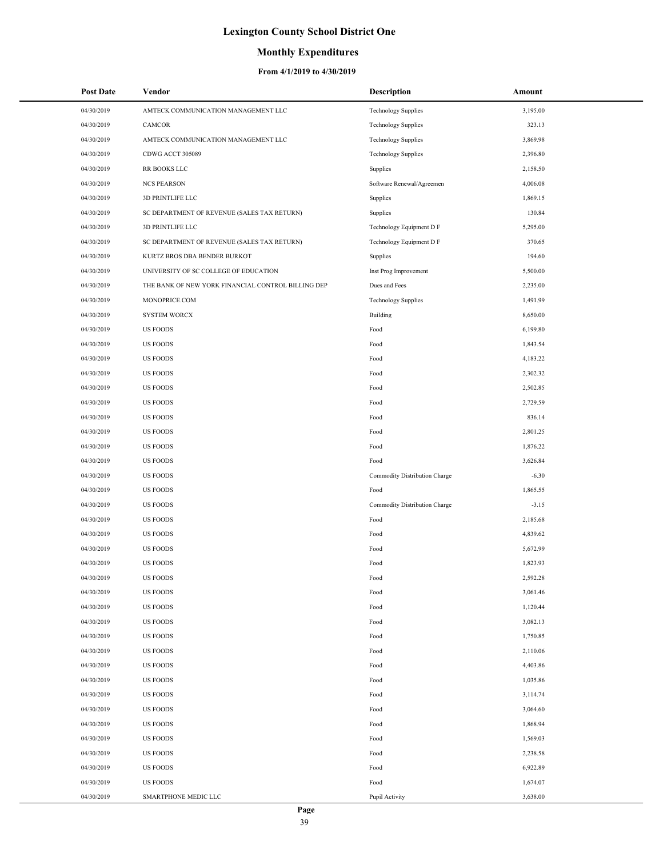### **Monthly Expenditures**

| <b>Post Date</b> | Vendor                                             | <b>Description</b>            | Amount   |
|------------------|----------------------------------------------------|-------------------------------|----------|
| 04/30/2019       | AMTECK COMMUNICATION MANAGEMENT LLC                | <b>Technology Supplies</b>    | 3,195.00 |
| 04/30/2019       | CAMCOR                                             | <b>Technology Supplies</b>    | 323.13   |
| 04/30/2019       | AMTECK COMMUNICATION MANAGEMENT LLC                | <b>Technology Supplies</b>    | 3,869.98 |
| 04/30/2019       | CDWG ACCT 305089                                   | <b>Technology Supplies</b>    | 2,396.80 |
| 04/30/2019       | RR BOOKS LLC                                       | Supplies                      | 2,158.50 |
| 04/30/2019       | <b>NCS PEARSON</b>                                 | Software Renewal/Agreemen     | 4,006.08 |
| 04/30/2019       | 3D PRINTLIFE LLC                                   | Supplies                      | 1,869.15 |
| 04/30/2019       | SC DEPARTMENT OF REVENUE (SALES TAX RETURN)        | Supplies                      | 130.84   |
| 04/30/2019       | <b>3D PRINTLIFE LLC</b>                            | Technology Equipment D F      | 5,295.00 |
| 04/30/2019       | SC DEPARTMENT OF REVENUE (SALES TAX RETURN)        | Technology Equipment D F      | 370.65   |
| 04/30/2019       | KURTZ BROS DBA BENDER BURKOT                       | Supplies                      | 194.60   |
| 04/30/2019       | UNIVERSITY OF SC COLLEGE OF EDUCATION              | Inst Prog Improvement         | 5,500.00 |
| 04/30/2019       | THE BANK OF NEW YORK FINANCIAL CONTROL BILLING DEP | Dues and Fees                 | 2,235.00 |
| 04/30/2019       | MONOPRICE.COM                                      | <b>Technology Supplies</b>    | 1,491.99 |
| 04/30/2019       | <b>SYSTEM WORCX</b>                                | Building                      | 8,650.00 |
| 04/30/2019       | <b>US FOODS</b>                                    | Food                          | 6,199.80 |
| 04/30/2019       | <b>US FOODS</b>                                    | Food                          | 1,843.54 |
| 04/30/2019       | <b>US FOODS</b>                                    | Food                          | 4,183.22 |
| 04/30/2019       | <b>US FOODS</b>                                    | Food                          | 2,302.32 |
| 04/30/2019       | <b>US FOODS</b>                                    | Food                          | 2,502.85 |
| 04/30/2019       | <b>US FOODS</b>                                    | Food                          | 2,729.59 |
| 04/30/2019       | <b>US FOODS</b>                                    | Food                          | 836.14   |
| 04/30/2019       | <b>US FOODS</b>                                    | Food                          | 2,801.25 |
| 04/30/2019       | <b>US FOODS</b>                                    | Food                          | 1,876.22 |
| 04/30/2019       | <b>US FOODS</b>                                    | Food                          | 3,626.84 |
| 04/30/2019       | <b>US FOODS</b>                                    | Commodity Distribution Charge | $-6.30$  |
| 04/30/2019       | <b>US FOODS</b>                                    | Food                          | 1,865.55 |
| 04/30/2019       | <b>US FOODS</b>                                    | Commodity Distribution Charge | $-3.15$  |
| 04/30/2019       | <b>US FOODS</b>                                    | Food                          | 2,185.68 |
| 04/30/2019       | <b>US FOODS</b>                                    | Food                          | 4,839.62 |
| 04/30/2019       | <b>US FOODS</b>                                    | Food                          | 5,672.99 |
| 04/30/2019       | <b>US FOODS</b>                                    | Food                          | 1,823.93 |
| 04/30/2019       | <b>US FOODS</b>                                    | Food                          | 2,592.28 |
| 04/30/2019       | <b>US FOODS</b>                                    | Food                          | 3,061.46 |
| 04/30/2019       | <b>US FOODS</b>                                    | Food                          | 1,120.44 |
| 04/30/2019       | <b>US FOODS</b>                                    | Food                          | 3,082.13 |
| 04/30/2019       | <b>US FOODS</b>                                    | Food                          | 1,750.85 |
| 04/30/2019       | <b>US FOODS</b>                                    | Food                          | 2,110.06 |
| 04/30/2019       | <b>US FOODS</b>                                    | Food                          | 4,403.86 |
| 04/30/2019       | <b>US FOODS</b>                                    | Food                          | 1,035.86 |
| 04/30/2019       | <b>US FOODS</b>                                    | Food                          | 3,114.74 |
| 04/30/2019       | <b>US FOODS</b>                                    | Food                          | 3,064.60 |
| 04/30/2019       | <b>US FOODS</b>                                    | Food                          | 1,868.94 |
| 04/30/2019       | <b>US FOODS</b>                                    | Food                          | 1,569.03 |
| 04/30/2019       | <b>US FOODS</b>                                    | Food                          | 2,238.58 |
| 04/30/2019       | <b>US FOODS</b>                                    | Food                          | 6,922.89 |
| 04/30/2019       | <b>US FOODS</b>                                    | Food                          | 1,674.07 |
| 04/30/2019       | SMARTPHONE MEDIC LLC                               | Pupil Activity                | 3,638.00 |